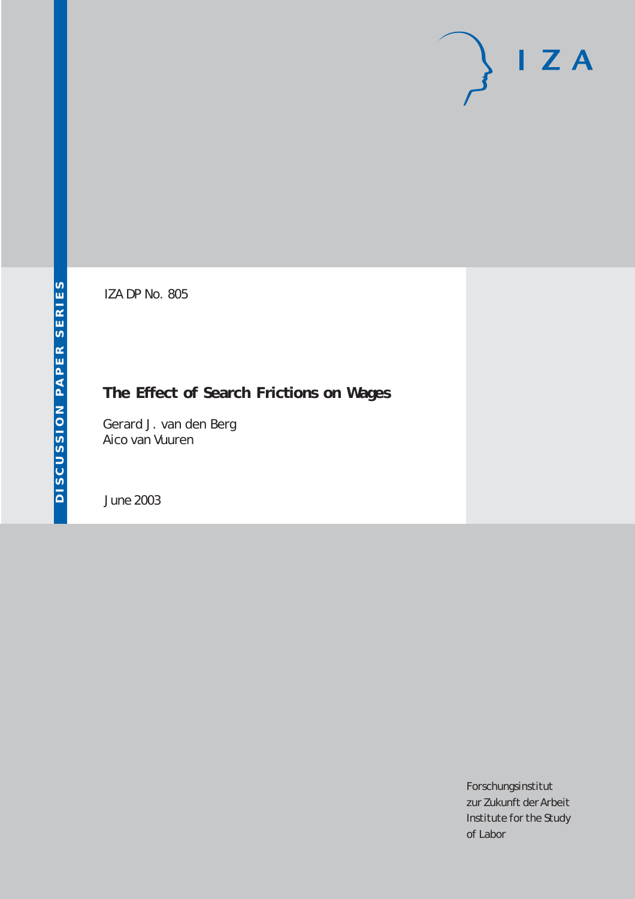# $I Z A$

IZA DP No. 805

## **The Effect of Search Frictions on Wages**

Gerard J. van den Berg Aico van Vuuren

June 2003

Forschungsinstitut zur Zukunft der Arbeit Institute for the Study of Labor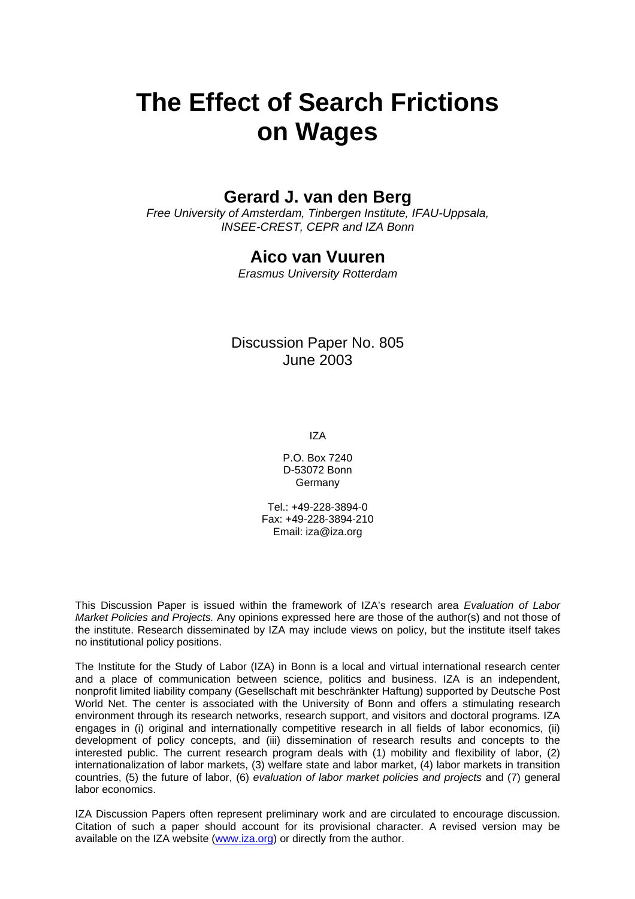# **The Effect of Search Frictions on Wages**

## **Gerard J. van den Berg**

*Free University of Amsterdam, Tinbergen Institute, IFAU-Uppsala, INSEE-CREST, CEPR and IZA Bonn* 

## **Aico van Vuuren**

*Erasmus University Rotterdam* 

### Discussion Paper No. 805 June 2003

IZA

P.O. Box 7240 D-53072 Bonn **Germany** 

Tel.: +49-228-3894-0 Fax: +49-228-3894-210 Email: [iza@iza.org](mailto:iza@iza.org)

This Discussion Paper is issued within the framework of IZA's research area *Evaluation of Labor Market Policies and Projects.* Any opinions expressed here are those of the author(s) and not those of the institute. Research disseminated by IZA may include views on policy, but the institute itself takes no institutional policy positions.

The Institute for the Study of Labor (IZA) in Bonn is a local and virtual international research center and a place of communication between science, politics and business. IZA is an independent, nonprofit limited liability company (Gesellschaft mit beschränkter Haftung) supported by Deutsche Post World Net. The center is associated with the University of Bonn and offers a stimulating research environment through its research networks, research support, and visitors and doctoral programs. IZA engages in (i) original and internationally competitive research in all fields of labor economics, (ii) development of policy concepts, and (iii) dissemination of research results and concepts to the interested public. The current research program deals with (1) mobility and flexibility of labor, (2) internationalization of labor markets, (3) welfare state and labor market, (4) labor markets in transition countries, (5) the future of labor, (6) *evaluation of labor market policies and projects* and (7) general labor economics.

IZA Discussion Papers often represent preliminary work and are circulated to encourage discussion. Citation of such a paper should account for its provisional character. A revised version may be available on the IZA website ([www.iza.org](http://www.iza.org/)) or directly from the author.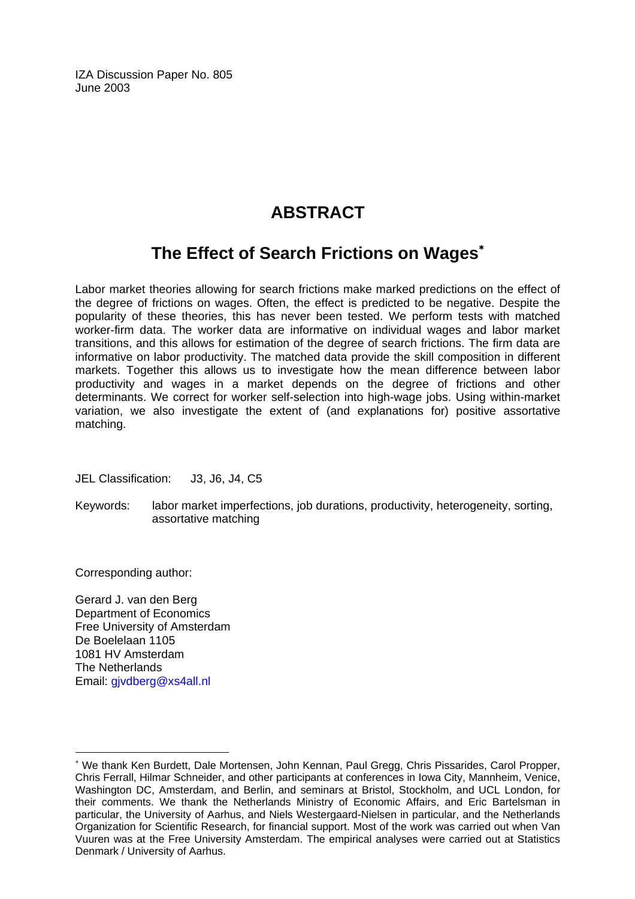IZA Discussion Paper No. 805 June 2003

## **ABSTRACT**

## **The Effect of Search Frictions on Wages**[∗](#page-2-0)

Labor market theories allowing for search frictions make marked predictions on the effect of the degree of frictions on wages. Often, the effect is predicted to be negative. Despite the popularity of these theories, this has never been tested. We perform tests with matched worker-firm data. The worker data are informative on individual wages and labor market transitions, and this allows for estimation of the degree of search frictions. The firm data are informative on labor productivity. The matched data provide the skill composition in different markets. Together this allows us to investigate how the mean difference between labor productivity and wages in a market depends on the degree of frictions and other determinants. We correct for worker self-selection into high-wage jobs. Using within-market variation, we also investigate the extent of (and explanations for) positive assortative matching.

JEL Classification: J3, J6, J4, C5

Keywords: labor market imperfections, job durations, productivity, heterogeneity, sorting, assortative matching

Corresponding author:

Gerard J. van den Berg Department of Economics Free University of Amsterdam De Boelelaan 1105 1081 HV Amsterdam The Netherlands Email: [gjvdberg@xs4all.nl](mailto:gjvdberg@xs4all.nl)

<span id="page-2-0"></span><sup>∗</sup> We thank Ken Burdett, Dale Mortensen, John Kennan, Paul Gregg, Chris Pissarides, Carol Propper, Chris Ferrall, Hilmar Schneider, and other participants at conferences in Iowa City, Mannheim, Venice, Washington DC, Amsterdam, and Berlin, and seminars at Bristol, Stockholm, and UCL London, for their comments. We thank the Netherlands Ministry of Economic Affairs, and Eric Bartelsman in particular, the University of Aarhus, and Niels Westergaard-Nielsen in particular, and the Netherlands Organization for Scientific Research, for financial support. Most of the work was carried out when Van Vuuren was at the Free University Amsterdam. The empirical analyses were carried out at Statistics Denmark / University of Aarhus.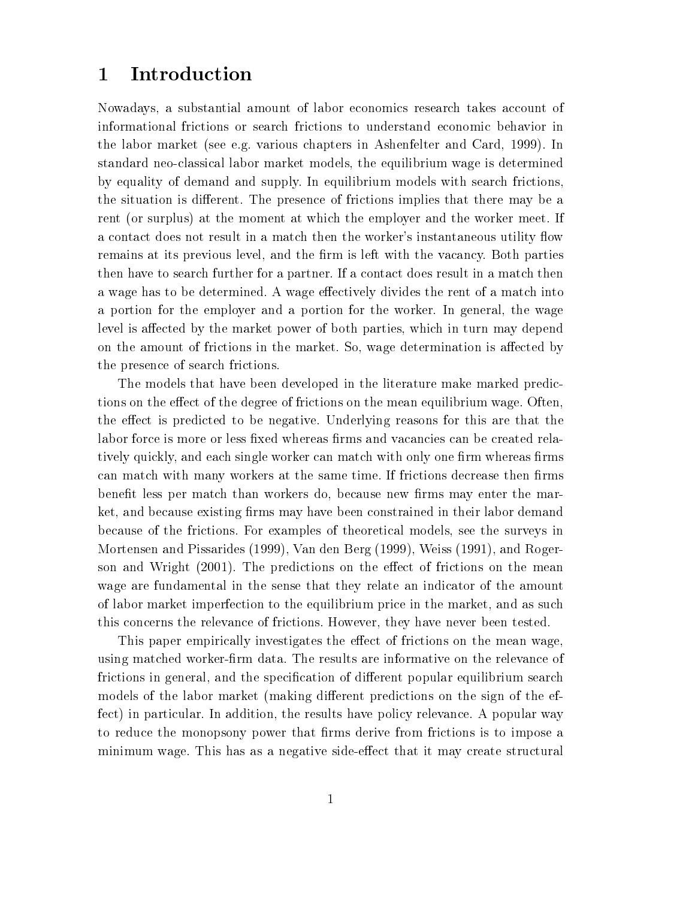## 1 Introduction

Nowadays, a substantial amount of labor economics research takes account of informational frictions or search frictions to understand economic behavior in the labor market (see e.g. various chapters in Ashenfelter and Card, 1999). In standard neo-classical labor market models, the equilibrium wage is determined by equality of demand and supply. In equilibrium models with search frictions, the situation is different. The presence of frictions implies that there may be a rent (or surplus) at the moment at which the employer and the worker meet. If a contact does not result in a match then the worker's instantaneous utility flow remains at its previous level, and the firm is left with the vacancy. Both parties then have to search further for a partner. If a contact does result in a match then a wage has to be determined. A wage effectively divides the rent of a match into a portion for the employer and a portion for the worker. In general, the wage level is affected by the market power of both parties, which in turn may depend on the amount of frictions in the market. So, wage determination is affected by the presence of search frictions.

The models that have been developed in the literature make marked predictions on the effect of the degree of frictions on the mean equilibrium wage. Often, the effect is predicted to be negative. Underlying reasons for this are that the labor force is more or less fixed whereas firms and vacancies can be created relatively quickly, and each single worker can match with only one firm whereas firms can match with many workers at the same time. If frictions decrease then firms benefit less per match than workers do, because new firms may enter the market, and because existing firms may have been constrained in their labor demand because of the frictions. For examples of theoretical models, see the surveys in Mortensen and Pissarides (1999), Van den Berg (1999), Weiss (1991), and Rogerson and Wright (2001). The predictions on the effect of frictions on the mean wage are fundamental in the sense that they relate an indicator of the amount of labor market imperfection to the equilibrium price in the market, and as such this concerns the relevance of frictions. However, they have never been tested.

This paper empirically investigates the effect of frictions on the mean wage, using matched worker-firm data. The results are informative on the relevance of frictions in general, and the specification of different popular equilibrium search models of the labor market (making different predictions on the sign of the effect) in particular. In addition, the results have policy relevance. A popular way to reduce the monopsony power that firms derive from frictions is to impose a minimum wage. This has as a negative side-effect that it may create structural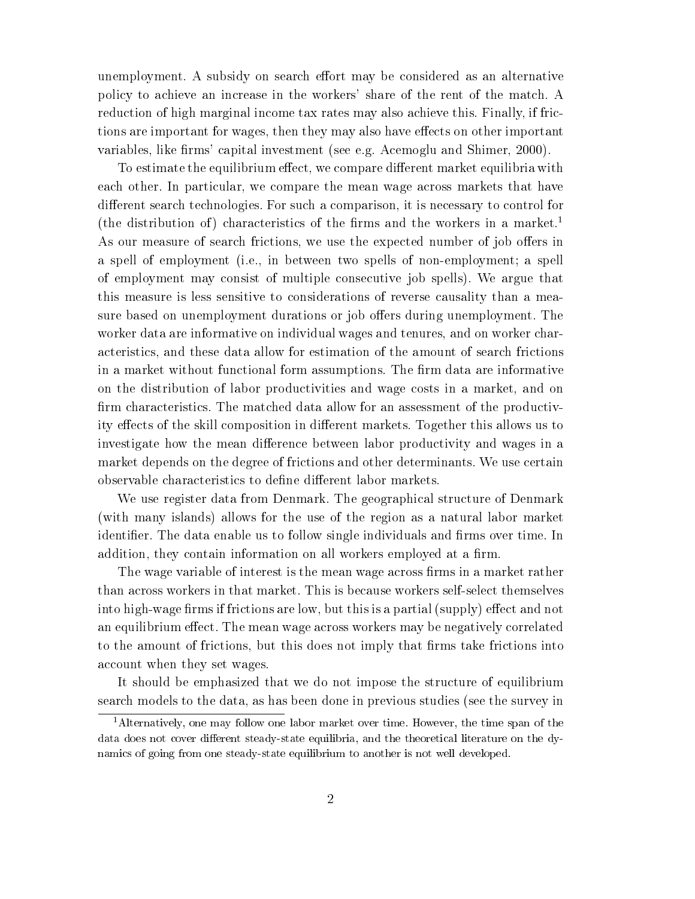unemployment. A subsidy on search effort may be considered as an alternative policy to achieve an increase in the workers' share of the rent of the match. A reduction of high marginal income tax rates may also achieve this. Finally, if frictions are important for wages, then they may also have effects on other important variables, like firms' capital investment (see e.g. Acemoglu and Shimer, 2000).

To estimate the equilibrium effect, we compare different market equilibria with each other. In particular, we compare the mean wage across markets that have different search technologies. For such a comparison, it is necessary to control for (the distribution of) characteristics of the firms and the workers in a market.<sup>1</sup> As our measure of search frictions, we use the expected number of job offers in a spell of employment (i.e., in between two spells of non-employment; a spell of employment may consist of multiple consecutive job spells). We argue that this measure is less sensitive to considerations of reverse causality than a measure based on unemployment durations or job offers during unemployment. The worker data are informative on individual wages and tenures, and on worker characteristics, and these data allow for estimation of the amount of search frictions in a market without functional form assumptions. The firm data are informative on the distribution of labor productivities and wage costs in a market, and on firm characteristics. The matched data allow for an assessment of the productivity effects of the skill composition in different markets. Together this allows us to investigate how the mean difference between labor productivity and wages in a market depends on the degree of frictions and other determinants. We use certain observable characteristics to define different labor markets.

We use register data from Denmark. The geographical structure of Denmark (with many islands) allows for the use of the region as a natural labor market identifier. The data enable us to follow single individuals and firms over time. In addition, they contain information on all workers employed at a firm.

The wage variable of interest is the mean wage across firms in a market rather than across workers in that market. This is because workers self-select themselves into high-wage firms if frictions are low, but this is a partial (supply) effect and not an equilibrium effect. The mean wage across workers may be negatively correlated to the amount of frictions, but this does not imply that firms take frictions into account when they set wages.

It should be emphasized that we do not impose the structure of equilibrium search models to the data, as has been done in previous studies (see the survey in

<sup>&</sup>lt;sup>1</sup>Alternatively, one may follow one labor market over time. However, the time span of the data does not cover different steady-state equilibria, and the theoretical literature on the dynamics of going from one steady-state equilibrium to another is not well developed.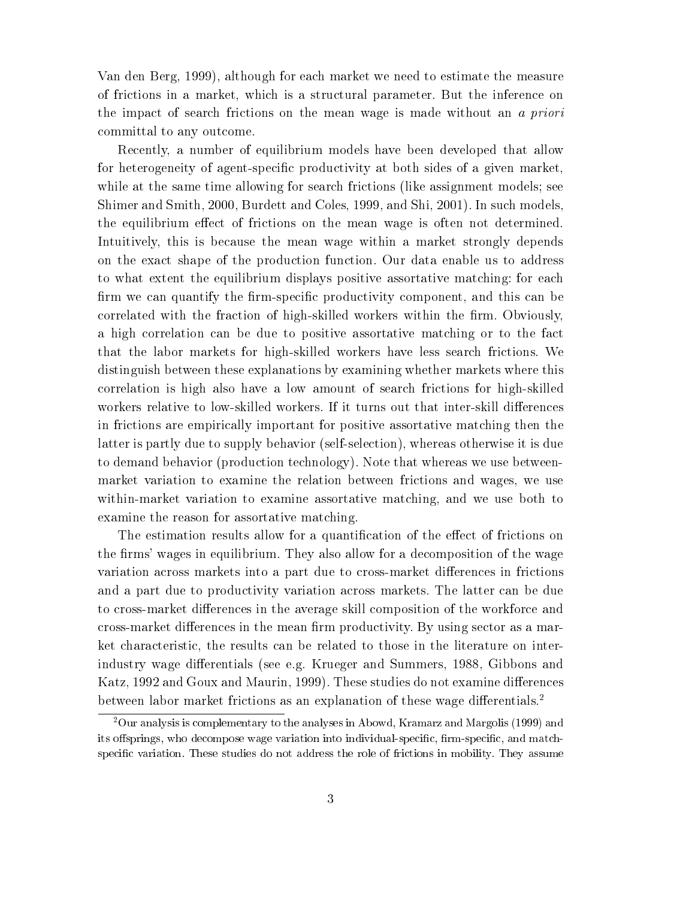Van den Berg, 1999), although for each market we need to estimate the measure of frictions in a market, which is a structural parameter. But the inference on the impact of search frictions on the mean wage is made without an a priori committal to any outcome.

Recently, a number of equilibrium models have been developed that allow for heterogeneity of agent-specific productivity at both sides of a given market. while at the same time allowing for search frictions (like assignment models; see Shimer and Smith, 2000, Burdett and Coles, 1999, and Shi, 2001). In such models, the equilibrium effect of frictions on the mean wage is often not determined. Intuitively, this is because the mean wage within a market strongly depends on the exact shape of the production function. Our data enable us to address to what extent the equilibrium displays positive assortative matching: for each firm we can quantify the firm-specific productivity component, and this can be correlated with the fraction of high-skilled workers within the firm. Obviously, a high correlation can be due to positive assortative matching or to the fact that the labor markets for high-skilled workers have less search frictions. We distinguish between these explanations by examining whether markets where this correlation is high also have a low amount of search frictions for high-skilled workers relative to low-skilled workers. If it turns out that inter-skill differences in frictions are empirically important for positive assortative matching then the latter is partly due to supply behavior (self-selection), whereas otherwise it is due to demand behavior (production technology). Note that whereas we use betweenmarket variation to examine the relation between frictions and wages, we use within-market variation to examine assortative matching, and we use both to examine the reason for assortative matching.

The estimation results allow for a quantification of the effect of frictions on the firms' wages in equilibrium. They also allow for a decomposition of the wage variation across markets into a part due to cross-market differences in frictions and a part due to productivity variation across markets. The latter can be due to cross-market differences in the average skill composition of the workforce and cross-market differences in the mean firm productivity. By using sector as a market characteristic, the results can be related to those in the literature on interindustry wage differentials (see e.g. Krueger and Summers, 1988, Gibbons and Katz, 1992 and Goux and Maurin, 1999). These studies do not examine differences between labor market frictions as an explanation of these wage differentials.<sup>2</sup>

<sup>2</sup>Our analysis is complementary to the analyses in Abowd, Kramarz and Margolis (1999) and its offsprings, who decompose wage variation into individual-specific, firm-specific, and matchspecic variation. These studies do not address the role of frictions in mobility. They assume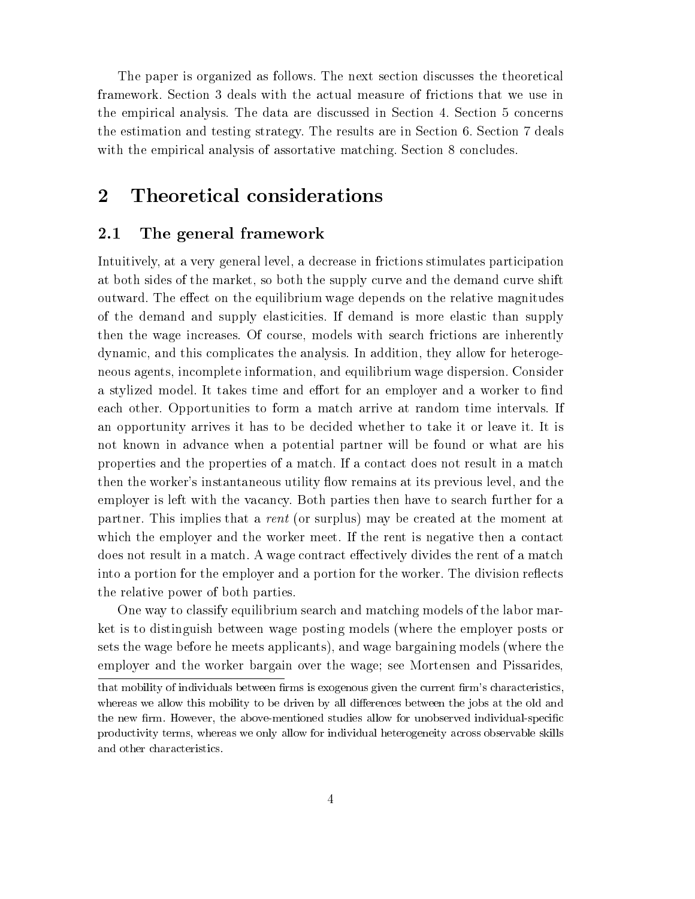The paper is organized as follows. The next section discusses the theoretical framework. Section 3 deals with the actual measure of frictions that we use in the empirical analysis. The data are discussed in Section 4. Section 5 concerns the estimation and testing strategy. The results are in Section 6. Section 7 deals with the empirical analysis of assortative matching. Section 8 concludes.

## 2 Theoretical considerations

#### 2.1 The general framework

Intuitively, at a very general level, a decrease in frictions stimulates participation at both sides of the market, so both the supply curve and the demand curve shift outward. The effect on the equilibrium wage depends on the relative magnitudes of the demand and supply elasticities. If demand is more elastic than supply then the wage increases. Of course, models with search frictions are inherently dynamic, and this complicates the analysis. In addition, they allow for heterogeneous agents, incomplete information, and equilibrium wage dispersion. Consider a stylized model. It takes time and effort for an employer and a worker to find each other. Opportunities to form a match arrive at random time intervals. If an opportunity arrives it has to be decided whether to take it or leave it. It is not known in advance when a potential partner will be found or what are his properties and the properties of a match. If a contact does not result in a match then the worker's instantaneous utility flow remains at its previous level, and the employer is left with the vacancy. Both parties then have to search further for a partner. This implies that a rent (or surplus) may be created at the moment at which the employer and the worker meet. If the rent is negative then a contact does not result in a match. A wage contract effectively divides the rent of a match into a portion for the employer and a portion for the worker. The division reflects the relative power of both parties.

One way to classify equilibrium search and matching models of the labor market is to distinguish between wage posting models (where the employer posts or sets the wage before he meets applicants), and wage bargaining models (where the employer and the worker bargain over the wage; see Mortensen and Pissarides,

that mobility of individuals between firms is exogenous given the current firm's characteristics, whereas we allow this mobility to be driven by all differences between the jobs at the old and the new firm. However, the above-mentioned studies allow for unobserved individual-specific productivity terms, whereas we only allow for individual heterogeneity across observable skills and other characteristics.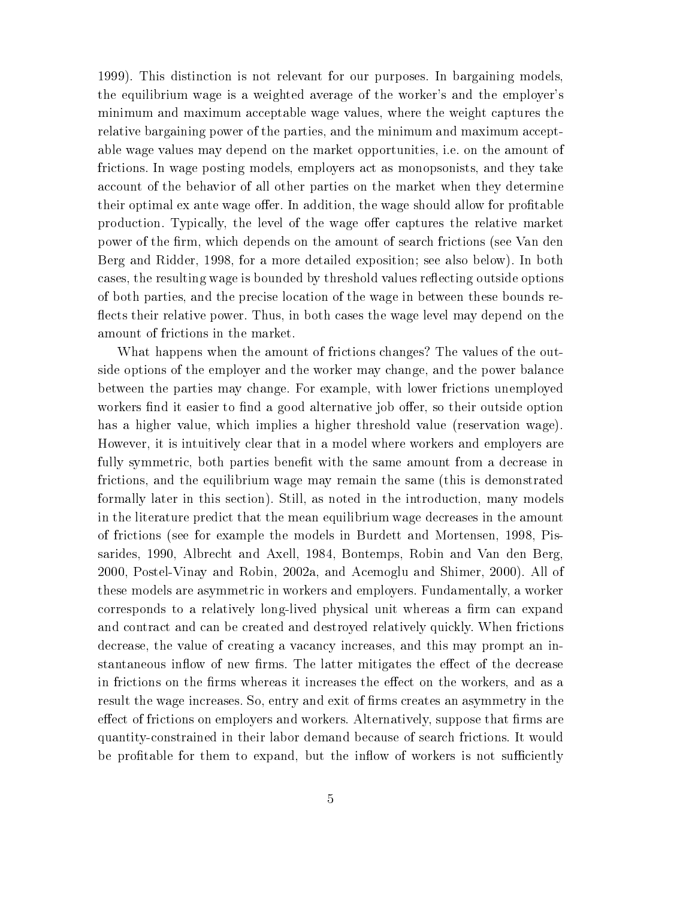1999). This distinction is not relevant for our purposes. In bargaining models, the equilibrium wage is a weighted average of the worker's and the employer's minimum and maximum acceptable wage values, where the weight captures the relative bargaining power of the parties, and the minimum and maximum acceptable wage values may depend on the market opportunities, i.e. on the amount of frictions. In wage posting models, employers act as monopsonists, and they take account of the behavior of all other parties on the market when they determine their optimal ex ante wage offer. In addition, the wage should allow for profitable production. Typically, the level of the wage offer captures the relative market power of the firm, which depends on the amount of search frictions (see Van den Berg and Ridder, 1998, for a more detailed exposition; see also below). In both cases, the resulting wage is bounded by threshold values reflecting outside options of both parties, and the precise location of the wage in between these bounds re flects their relative power. Thus, in both cases the wage level may depend on the amount of frictions in the market.

What happens when the amount of frictions changes? The values of the outside options of the employer and the worker may change, and the power balance between the parties may change. For example, with lower frictions unemployed workers find it easier to find a good alternative job offer, so their outside option has a higher value, which implies a higher threshold value (reservation wage). However, it is intuitively clear that in a model where workers and employers are fully symmetric, both parties benefit with the same amount from a decrease in frictions, and the equilibrium wage may remain the same (this is demonstrated formally later in this section). Still, as noted in the introduction, many models in the literature predict that the mean equilibrium wage decreases in the amount of frictions (see for example the models in Burdett and Mortensen, 1998, Pissarides, 1990, Albrecht and Axell, 1984, Bontemps, Robin and Van den Berg, 2000, Postel-Vinay and Robin, 2002a, and Acemoglu and Shimer, 2000). All of these models are asymmetric in workers and employers. Fundamentally, a worker corresponds to a relatively long-lived physical unit whereas a firm can expand and contract and can be created and destroyed relatively quickly. When frictions decrease, the value of creating a vacancy increases, and this may prompt an instantaneous inflow of new firms. The latter mitigates the effect of the decrease in frictions on the firms whereas it increases the effect on the workers, and as a result the wage increases. So, entry and exit of firms creates an asymmetry in the effect of frictions on employers and workers. Alternatively, suppose that firms are quantity-constrained in their labor demand because of search frictions. It would be profitable for them to expand, but the inflow of workers is not sufficiently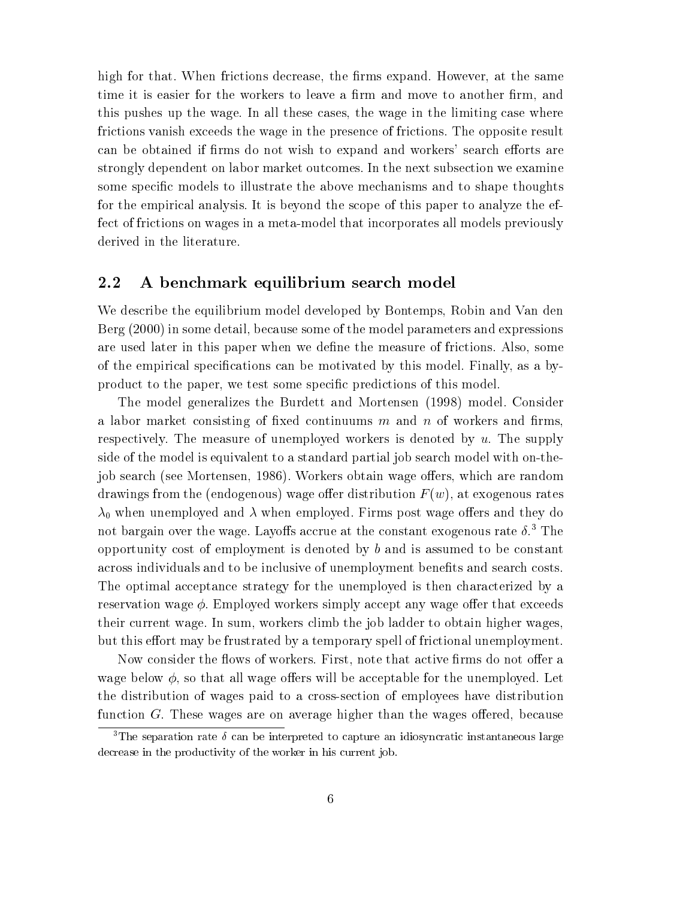high for that. When frictions decrease, the firms expand. However, at the same time it is easier for the workers to leave a firm and move to another firm, and this pushes up the wage. In all these cases, the wage in the limiting case where frictions vanish exceeds the wage in the presence of frictions. The opposite result can be obtained if firms do not wish to expand and workers' search efforts are strongly dependent on labor market outcomes. In the next subsection we examine some specific models to illustrate the above mechanisms and to shape thoughts for the empirical analysis. It is beyond the scope of this paper to analyze the effect of frictions on wages in a meta-model that incorporates all models previously derived in the literature.

#### 2.2 A benchmark equilibrium search model

We describe the equilibrium model developed by Bontemps, Robin and Van den Berg (2000) in some detail, because some of the model parameters and expressions are used later in this paper when we define the measure of frictions. Also, some of the empirical specifications can be motivated by this model. Finally, as a byproduct to the paper, we test some specic predictions of this model.

The model generalizes the Burdett and Mortensen (1998) model. Consider a labor market consisting of fixed continuums  $m$  and  $n$  of workers and firms, respectively. The measure of unemployed workers is denoted by  $u$ . The supply side of the model is equivalent to a standard partial job search model with on-thejob search (see Mortensen, 1986). Workers obtain wage offers, which are random drawings from the (endogenous) wage offer distribution  $F(w)$ , at exogenous rates  $\lambda_0$  when unemployed and  $\lambda$  when employed. Firms post wage offers and they do not bargain over the wage. Layoffs accrue at the constant exogenous rate  $\delta$ .<sup>3</sup> The opportunity cost of employment is denoted by <sup>b</sup> and is assumed to be constant across individuals and to be inclusive of unemployment benets and search costs. The optimal acceptance strategy for the unemployed is then characterized by a reservation wage  $\phi$ . Employed workers simply accept any wage offer that exceeds their current wage. In sum, workers climb the job ladder to obtain higher wages, but this effort may be frustrated by a temporary spell of frictional unemployment.

Now consider the flows of workers. First, note that active firms do not offer a wage below  $\phi$ , so that all wage offers will be acceptable for the unemployed. Let the distribution of wages paid to a cross-section of employees have distribution function  $G$ . These wages are on average higher than the wages offered, because

<sup>&</sup>lt;sup>3</sup>The separation rate  $\delta$  can be interpreted to capture an idiosyncratic instantaneous large decrease in the productivity of the worker in his current job.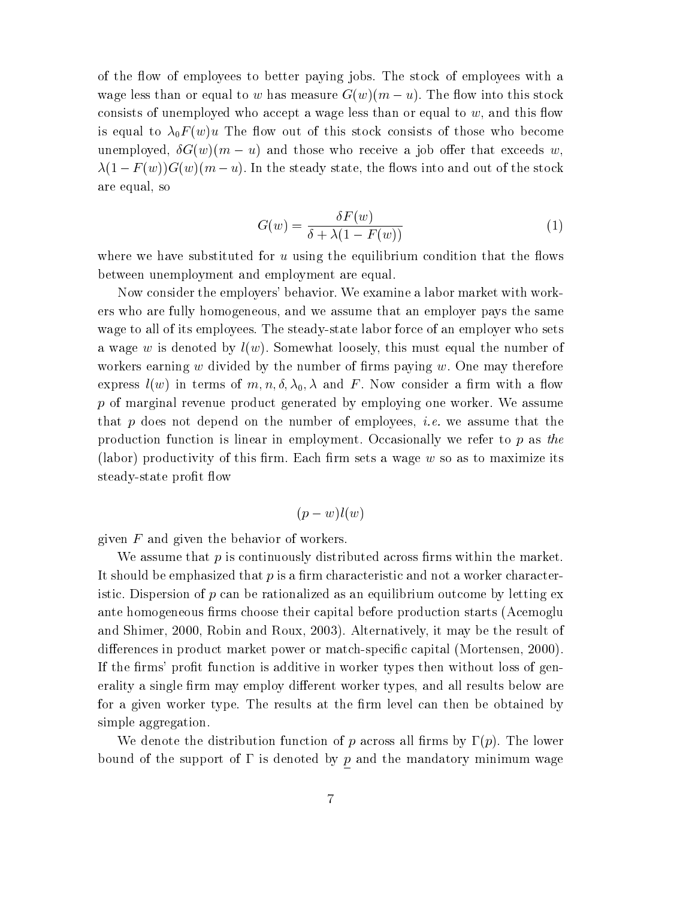of the ow of employees to better paying jobs. The stock of employees with a wage less than or equal to w has measure  $G(w)(m-u)$ . The flow into this stock consists of unemployed who accept a wage less than or equal to  $w$ , and this flow is equal to  $\lambda_0 F(w)u$  The flow out of this stock consists of those who become underployed, G(w)(m)(m) and those who receive a following whose those contractions w,  $\mathbf{1}$  f  $\mathbf{1}$  f  $\mathbf{1}$  f  $\mathbf{1}$ are equal, so

$$
G(w) = \frac{\delta F(w)}{\delta + \lambda(1 - F(w))}
$$
\n(1)

where we have substituted for  $u$  using the equilibrium condition that the flows between unemployment and employment are equal.

Now consider the employers' behavior. We examine a labor market with workers who are fully homogeneous, and we assume that an employer pays the same wage to all of its employees. The steady-state labor force of an employer who sets a wage w is denoted by  $l(w)$ . Somewhat loosely, this must equal the number of workers earning  $w$  divided by the number of firms paying  $w$ . One may therefore express  $l(w)$  in terms of  $m, n, \delta, \lambda_0, \lambda$  and F. Now consider a firm with a flow  $p$  of marginal revenue product generated by employing one worker. We assume that p does not depend on the number of employees, *i.e.* we assume that the production function is linear in employment. Occasionally we refer to  $p$  as the (labor) productivity of this firm. Each firm sets a wage  $w$  so as to maximize its steady-state profit flow

$$
(p-w)l(w)
$$

given  $F$  and given the behavior of workers.

We assume that  $p$  is continuously distributed across firms within the market. It should be emphasized that  $p$  is a firm characteristic and not a worker characteristic. Dispersion of  $p$  can be rationalized as an equilibrium outcome by letting ex ante homogeneous firms choose their capital before production starts (Acemoglu and Shimer, 2000, Robin and Roux, 2003). Alternatively, it may be the result of differences in product market power or match-specific capital (Mortensen, 2000). If the firms' profit function is additive in worker types then without loss of generality a single firm may employ different worker types, and all results below are for a given worker type. The results at the firm level can then be obtained by simple aggregation.

We denote the distribution function of p across all firms by  $\Gamma(p)$ . The lower bound of the support of  $\Gamma$  is denoted by  $\underline{p}$  and the mandatory minimum wage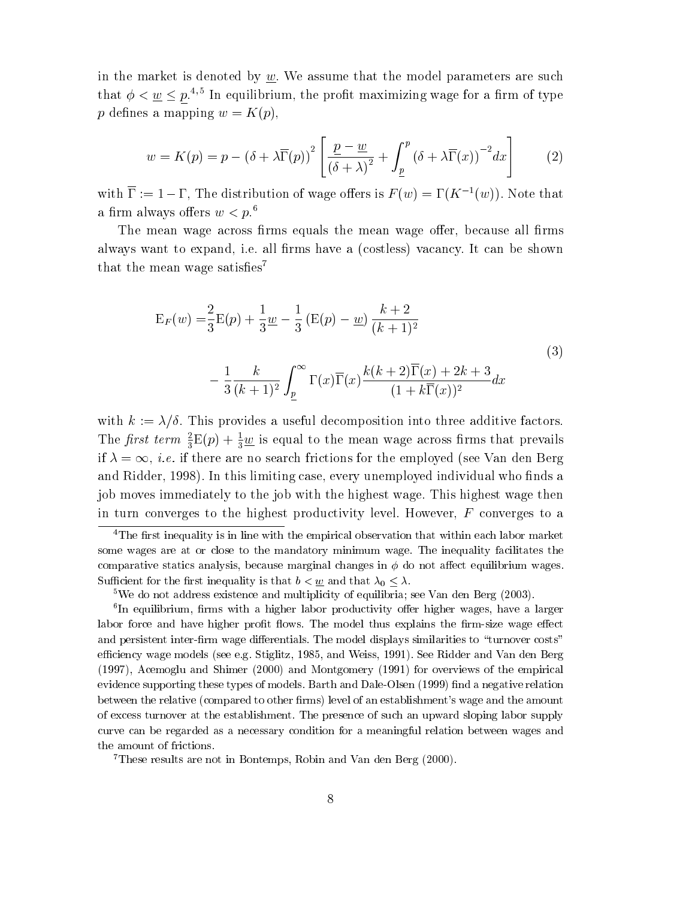in the market is denoted by  $w$ . We assume that the model parameters are such that  $\varphi < w < p$ . The equilibrium, the profit maximizing wage for a firm of type p defines a mapping  $w = K(p)$ ,

$$
w = K(p) = p - (\delta + \lambda \overline{\Gamma}(p))^2 \left[ \frac{\underline{p} - \underline{w}}{(\delta + \lambda)^2} + \int_{\underline{p}}^p (\delta + \lambda \overline{\Gamma}(x))^{-2} dx \right]
$$
 (2)

with  $\overline{\Gamma} := 1 - \Gamma$ , The distribution of wage offers is  $F(w) = \Gamma(K^{-1}(w))$ . Note that a firm always offers  $w < p<sup>6</sup>$ .

The mean wage across firms equals the mean wage offer, because all firms always want to expand, i.e. all firms have a (costless) vacancy. It can be shown that the mean wage satisfies<sup>7</sup>

$$
E_F(w) = \frac{2}{3}E(p) + \frac{1}{3}\underline{w} - \frac{1}{3}(E(p) - \underline{w})\frac{k+2}{(k+1)^2}
$$
  

$$
- \frac{1}{3}\frac{k}{(k+1)^2}\int_{\underline{p}}^{\infty} \Gamma(x)\overline{\Gamma}(x)\frac{k(k+2)\overline{\Gamma}(x) + 2k + 3}{(1 + k\overline{\Gamma}(x))^2}dx
$$
 (3)

with  $k := \lambda/\delta$ . This provides a useful decomposition into three additive factors. The *first term*  $\frac{1}{3}E(p) + \frac{1}{3} \underline{w}$  is equal to the mean wage across firms that prevails if  $\lambda = \infty$ , *i.e.* if there are no search frictions for the employed (see Van den Berg and Ridder, 1998). In this limiting case, every unemployed individual who finds a job moves immediately to the job with the highest wage. This highest wage then in turn converges to the highest productivity level. However,  $F$  converges to a

<sup>&</sup>lt;sup>4</sup>The first inequality is in line with the empirical observation that within each labor market some wages are at or close to the mandatory minimum wage. The inequality facilitates the comparative statics analysis, because marginal changes in  $\phi$  do not affect equilibrium wages. Sufficient for the first inequality is that  $b < \underline{w}$  and that  $\lambda_0 \leq \lambda$ .

<sup>5</sup>We do not address existence and multiplicity of equilibria; see Van den Berg (2003).

<sup>-</sup>In equilibrium, firms with a higher labor productivity oner higher wages, have a larger labor force and have higher profit flows. The model thus explains the firm-size wage effect and persistent inter-firm wage differentials. The model displays similarities to "turnover costs" efficiency wage models (see e.g. Stiglitz, 1985, and Weiss, 1991). See Ridder and Van den Berg (1997), Acemoglu and Shimer (2000) and Montgomery (1991) for overviews of the empirical evidence supporting these types of models. Barth and Dale-Olsen (1999) find a negative relation between the relative (compared to other firms) level of an establishment's wage and the amount of excess turnover at the establishment. The presence of such an upward sloping labor supply curve can be regarded as a necessary condition for a meaningful relation between wages and the amount of frictions.

<sup>7</sup>These results are not in Bontemps, Robin and Van den Berg (2000).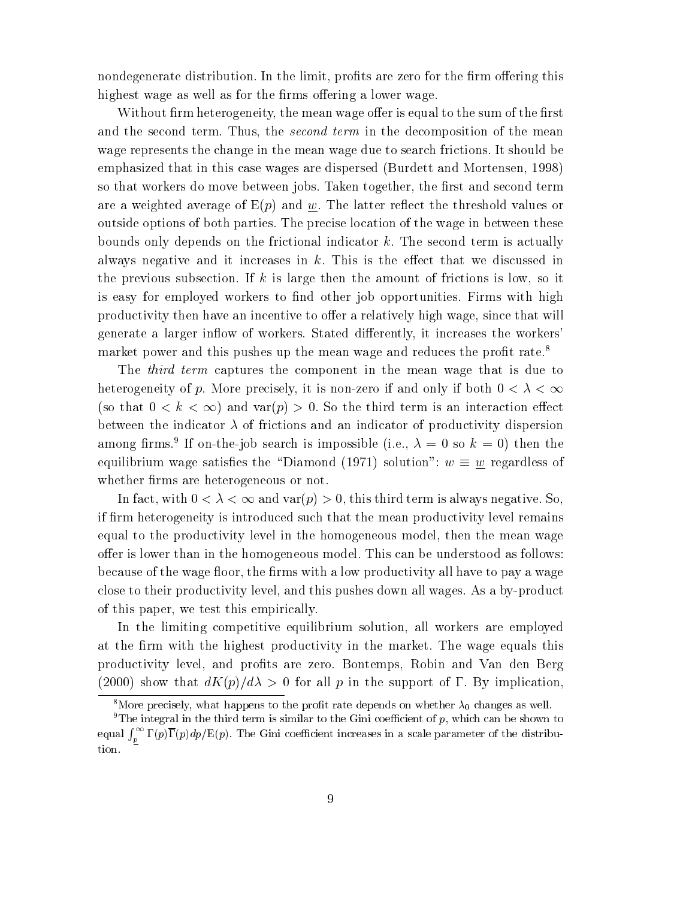nondegenerate distribution. In the limit, profits are zero for the firm offering this highest wage as well as for the firms offering a lower wage.

Without firm heterogeneity, the mean wage offer is equal to the sum of the first and the second term. Thus, the *second term* in the decomposition of the mean wage represents the change in the mean wage due to search frictions. It should be emphasized that in this case wages are dispersed (Burdett and Mortensen, 1998) so that workers do move between jobs. Taken together, the first and second term are a weighted average of  $E(p)$  and w. The latter reflect the threshold values or outside options of both parties. The precise location of the wage in between these bounds only depends on the frictional indicator k. The second term is actually always negative and it increases in  $k$ . This is the effect that we discussed in the previous subsection. If k is large then the amount of frictions is low, so it is easy for employed workers to find other job opportunities. Firms with high productivity then have an incentive to offer a relatively high wage, since that will generate a larger inflow of workers. Stated differently, it increases the workers' market power and this pushes up the mean wage and reduces the profit rate.<sup>8</sup>

The *third term* captures the component in the mean wage that is due to heterogeneity of p. More precisely, it is non-zero if and only if both 0 < <sup>&</sup>lt; 1 (so that  $0 < k < \infty$ ) and var(p) > 0. So the third term is an interaction effect between the indicator  $\lambda$  of frictions and an indicator of productivity dispersion among iffins. It on-the-job search is impossible (i.e.,  $\lambda = 0$  so  $\kappa = 0$ ) then the equilibrium wage satisfaction was satisfaction of  $\overline{\mathcal{C}}$ whether firms are heterogeneous or not.

In fact, with  $0 < \lambda < \infty$  and var $(p) > 0$ , this third term is always negative. So, if firm heterogeneity is introduced such that the mean productivity level remains equal to the productivity level in the homogeneous model, then the mean wage offer is lower than in the homogeneous model. This can be understood as follows: because of the wage floor, the firms with a low productivity all have to pay a wage close to their productivity level, and this pushes down all wages. As a by-product of this paper, we test this empirically.

In the limiting competitive equilibrium solution, all workers are employed at the firm with the highest productivity in the market. The wage equals this productivity level, and prots are zero. Bontemps, Robin and Van den Berg (2000) show that  $dK(p)/d\lambda > 0$  for all p in the support of  $\Gamma$ . By implication,

<sup>&</sup>lt;sup>8</sup>More precisely, what happens to the profit rate depends on whether  $\lambda_0$  changes as well.

<sup>&</sup>lt;sup>9</sup>The integral in the third term is similar to the Gini coefficient of  $p$ , which can be shown to equal  $\int_n^{\infty} \Gamma(p) \overline{\Gamma}(p) dp / E(p)$ . The Gini coefficient increases in a scale parameter of the distribution.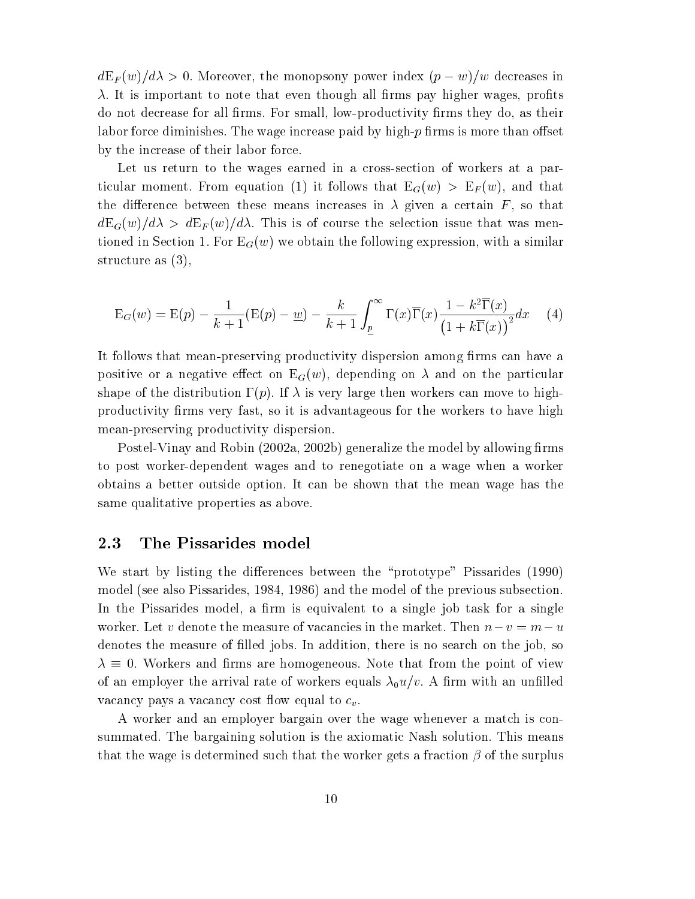$dE_F(w)/d\lambda > 0$ . Moreover, the monopsony power index  $(p - w)/w$  decreases in  $\lambda$ . It is important to note that even though all firms pay higher wages, profits do not decrease for all firms. For small, low-productivity firms they do, as their labor force diminishes. The wage increase paid by high- $p$  firms is more than offset by the increase of their labor force.

Let us return to the wages earned in a cross-section of workers at a particular moment. From equation (1) it follows that  $E_G(w) > E_F(w)$ , and that the difference between these means increases in  $\lambda$  given a certain  $F$ , so that  $dE_G(w)/d\lambda > dE_F(w)/d\lambda$ . This is of course the selection issue that was mentioned in Section 1. For  $E_G(w)$  we obtain the following expression, with a similar structure as (3),

$$
E_G(w) = E(p) - \frac{1}{k+1}(E(p) - \underline{w}) - \frac{k}{k+1} \int_{\underline{p}}^{\infty} \Gamma(x)\overline{\Gamma}(x) \frac{1 - k^2 \overline{\Gamma}(x)}{\left(1 + k\overline{\Gamma}(x)\right)^2} dx \tag{4}
$$

It follows that mean-preserving productivity dispersion among firms can have a positive or a negative effect on  $E_G(w)$ , depending on  $\lambda$  and on the particular shape of the distribution  $\Gamma(p)$ . If  $\lambda$  is very large then workers can move to highproductivity firms very fast, so it is advantageous for the workers to have high mean-preserving productivity dispersion.

Postel-Vinay and Robin (2002a, 2002b) generalize the model by allowing firms to post worker-dependent wages and to renegotiate on a wage when a worker obtains a better outside option. It can be shown that the mean wage has the same qualitative properties as above.

#### 2.3 The Pissarides model

We start by listing the differences between the "prototype" Pissarides (1990) model (see also Pissarides, 1984, 1986) and the model of the previous subsection. In the Pissarides model, a firm is equivalent to a single job task for a single worker. Let v denote the measure of vacancies in the market. Then  $n-v = m-u$ denotes the measure of filled jobs. In addition, there is no search on the job, so 0. Workers and rms are homogeneous. Note that from the point of view of an employer the arrival rate of workers equals  $\lambda_0 u/v$ . A firm with an unfilled vacancy pays a vacancy cost flow equal to  $c_v$ .

A worker and an employer bargain over the wage whenever a match is consummated. The bargaining solution is the axiomatic Nash solution. This means that the wage is determined such that the worker gets a fraction  $\beta$  of the surplus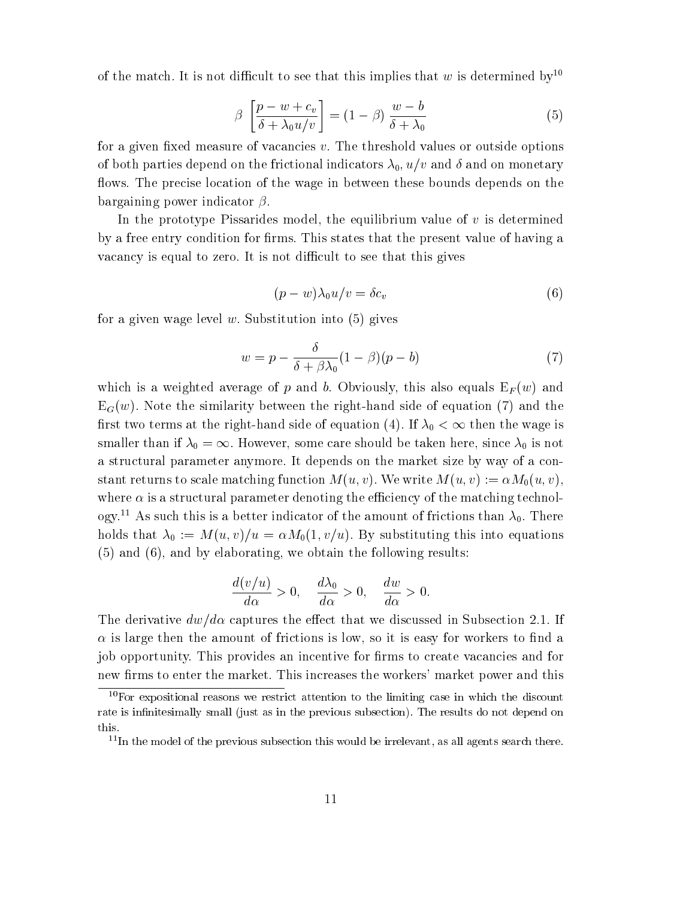of the match. It is not difficult to see that this implies that w is determined by<sup>10</sup>

$$
\beta \left[ \frac{p - w + c_v}{\delta + \lambda_0 u/v} \right] = (1 - \beta) \frac{w - b}{\delta + \lambda_0} \tag{5}
$$

for a given fixed measure of vacancies  $v$ . The threshold values or outside options of both parties depend on the frictional indicators  $\lambda_0$ ,  $u/v$  and  $\delta$  and on monetary flows. The precise location of the wage in between these bounds depends on the bargaining power indicator  $\beta$ .

In the prototype Pissarides model, the equilibrium value of  $v$  is determined by a free entry condition for firms. This states that the present value of having a vacancy is equal to zero. It is not difficult to see that this gives

$$
(p - w)\lambda_0 u/v = \delta c_v \tag{6}
$$

for a given wage level w. Substitution into  $(5)$  gives

$$
w = p - \frac{\delta}{\delta + \beta \lambda_0} (1 - \beta)(p - b) \tag{7}
$$

which is a weighted average of p and b. Obviously, this also equals  $E_F(w)$  and  $E_G(w)$ . Note the similarity between the right-hand side of equation (7) and the first two terms at the right-hand side of equation (4). If  $\lambda_0 < \infty$  then the wage is smaller than if  $\lambda_0 = \infty$ . However, some care should be taken here, since  $\lambda_0$  is not a structural parameter anymore. It depends on the market size by way of a constant returns to scale matching function  $M(u, v)$ . We write  $M(u, v) := \alpha M_0(u, v)$ , where  $\alpha$  is a structural parameter denoting the efficiency of the matching technology.<sup>11</sup> As such this is a better indicator of the amount of frictions than  $\lambda_0$ . There holds that  $\lambda_0 := M(u, v)/u = \alpha M_0(1, v/u)$ . By substituting this into equations (5) and (6), and by elaborating, we obtain the following results:

$$
\frac{d(v/u)}{d\alpha} > 0, \quad \frac{d\lambda_0}{d\alpha} > 0, \quad \frac{dw}{d\alpha} > 0.
$$

The derivative  $dw/d\alpha$  captures the effect that we discussed in Subsection 2.1. If  $\alpha$  is large then the amount of frictions is low, so it is easy for workers to find a job opportunity. This provides an incentive for firms to create vacancies and for new firms to enter the market. This increases the workers' market power and this

 $10$  For expositional reasons we restrict attention to the limiting case in which the discount rate is infinitesimally small (just as in the previous subsection). The results do not depend on

 $11$ In the model of the previous subsection this would be irrelevant, as all agents search there.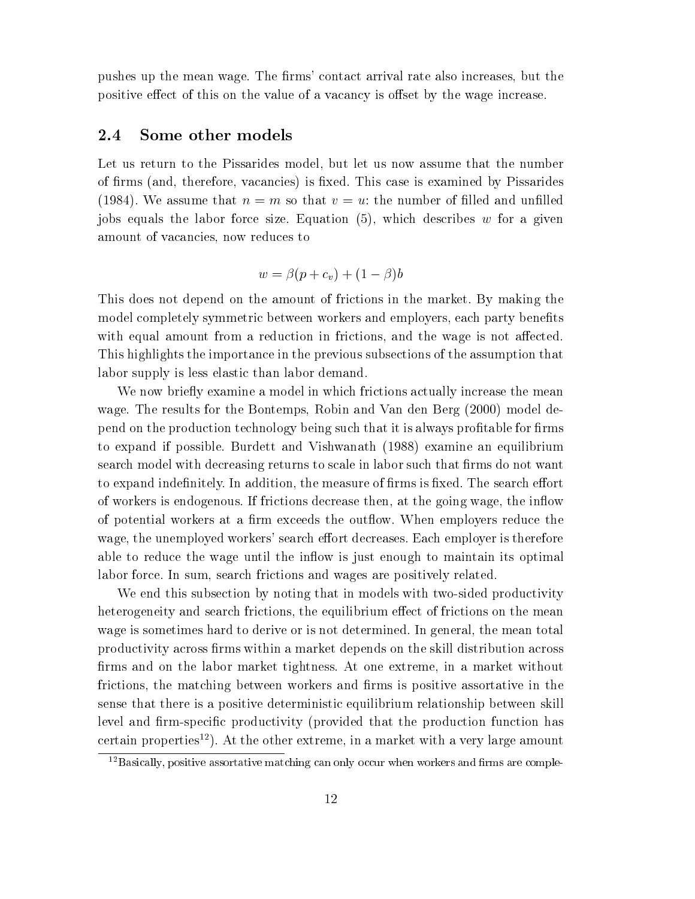pushes up the mean wage. The firms' contact arrival rate also increases, but the positive effect of this on the value of a vacancy is offset by the wage increase.

#### 2.4 Some other models

Let us return to the Pissarides model, but let us now assume that the number of firms (and, therefore, vacancies) is fixed. This case is examined by Pissarides (1984). We assume that  $n = m$  so that  $v = u$ : the number of filled and unfilled jobs equals the labor force size. Equation  $(5)$ , which describes w for a given amount of vacancies, now reduces to

$$
w = \beta(p + c_v) + (1 - \beta)b
$$

This does not depend on the amount of frictions in the market. By making the model completely symmetric between workers and employers, each party benefits with equal amount from a reduction in frictions, and the wage is not affected. This highlights the importance in the previous subsections of the assumption that labor supply is less elastic than labor demand.

We now briefly examine a model in which frictions actually increase the mean wage. The results for the Bontemps, Robin and Van den Berg (2000) model depend on the production technology being such that it is always profitable for firms to expand if possible. Burdett and Vishwanath (1988) examine an equilibrium search model with decreasing returns to scale in labor such that firms do not want to expand indefinitely. In addition, the measure of firms is fixed. The search effort of workers is endogenous. If frictions decrease then, at the going wage, the inflow of potential workers at a firm exceeds the outflow. When employers reduce the wage, the unemployed workers' search effort decreases. Each employer is therefore able to reduce the wage until the inflow is just enough to maintain its optimal labor force. In sum, search frictions and wages are positively related.

We end this subsection by noting that in models with two-sided productivity heterogeneity and search frictions, the equilibrium effect of frictions on the mean wage is sometimes hard to derive or is not determined. In general, the mean total productivity across firms within a market depends on the skill distribution across firms and on the labor market tightness. At one extreme, in a market without frictions, the matching between workers and firms is positive assortative in the sense that there is a positive deterministic equilibrium relationship between skill level and firm-specific productivity (provided that the production function has certain properties<sup>12</sup>). At the other extreme, in a market with a very large amount

 $^{12}$ Basically, positive assortative matching can only occur when workers and firms are comple-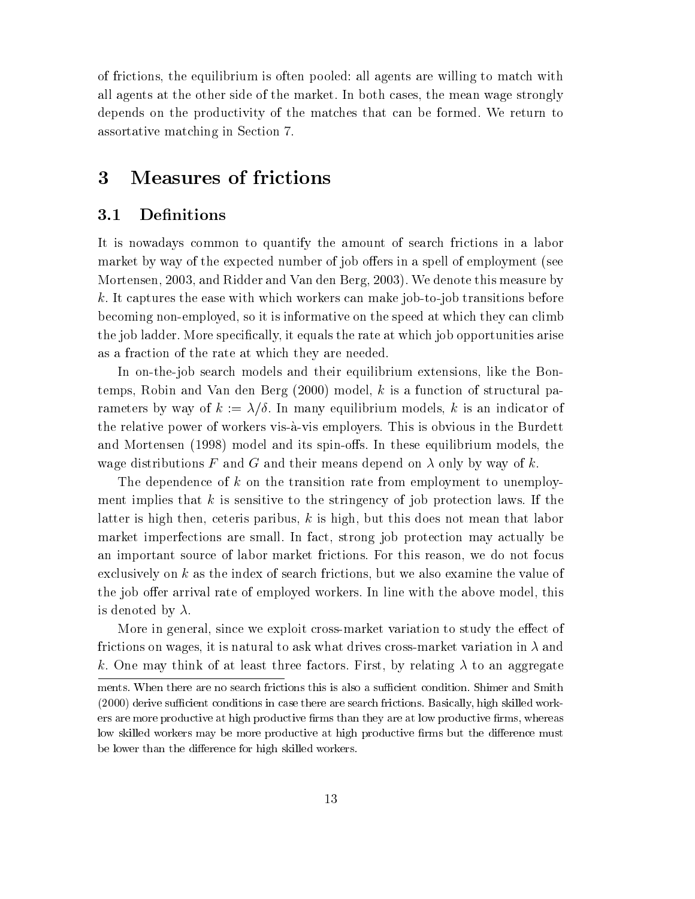of frictions, the equilibrium is often pooled: all agents are willing to match with all agents at the other side of the market. In both cases, the mean wage strongly depends on the productivity of the matches that can be formed. We return to assortative matching in Section 7.

#### 3 Measures of frictions

#### 3.1 Definitions

It is nowadays common to quantify the amount of search frictions in a labor market by way of the expected number of job offers in a spell of employment (see Mortensen, 2003, and Ridder and Van den Berg, 2003). We denote this measure by k. It captures the ease with which workers can make job-to-job transitions before becoming non-employed, so it is informative on the speed at which they can climb the job ladder. More specifically, it equals the rate at which job opportunities arise as a fraction of the rate at which they are needed.

In on-the-job search models and their equilibrium extensions, like the Bontemps, Robin and Van den Berg (2000) model, <sup>k</sup> is a function of structural parameters by way of  $k := \lambda/\delta$ . In many equilibrium models, k is an indicator of the relative power of workers vis-a-vis employers. This is obvious in the Burdett and Mortensen (1998) model and its spin-offs. In these equilibrium models, the wage distributions F and G and their means depend on  $\lambda$  only by way of k.

The dependence of  $k$  on the transition rate from employment to unemployment implies that k is sensitive to the stringency of job protection laws. If the latter is high then, ceteris paribus,  $k$  is high, but this does not mean that labor market imperfections are small. In fact, strong job protection may actually be an important source of labor market frictions. For this reason, we do not focus exclusively on <sup>k</sup> as the index of search frictions, but we also examine the value of the job offer arrival rate of employed workers. In line with the above model, this is denoted by  $\lambda$ .

More in general, since we exploit cross-market variation to study the effect of frictions on wages, it is natural to ask what drives cross-market variation in  $\lambda$  and k. One may think of at least three factors. First, by relating  $\lambda$  to an aggregate

ments. When there are no search frictions this is also a sufficient condition. Shimer and Smith  $(2000)$  derive sufficient conditions in case there are search frictions. Basically, high skilled workers are more productive at high productive firms than they are at low productive firms, whereas low skilled workers may be more productive at high productive firms but the difference must be lower than the difference for high skilled workers.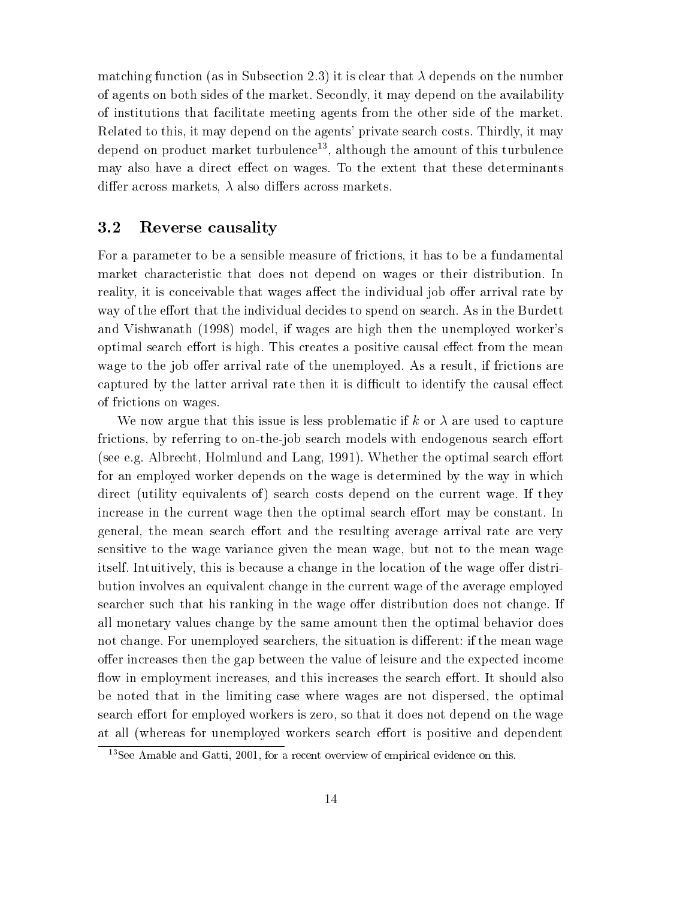matching function (as in Subsection 2.3) it is clear that  $\lambda$  depends on the number of agents on both sides of the market. Secondly, it may depend on the availability of institutions that facilitate meeting agents from the other side of the market. Related to this, it may depend on the agents' private search costs. Thirdly, it may depend on product market turbulence<sup>13</sup>, although the amount of this turbulence may also have a direct effect on wages. To the extent that these determinants differ across markets,  $\lambda$  also differs across markets.

#### 3.2 Reverse causality

For a parameter to be a sensible measure of frictions, it has to be a fundamental market characteristic that does not depend on wages or their distribution. In reality, it is conceivable that wages affect the individual job offer arrival rate by way of the effort that the individual decides to spend on search. As in the Burdett and Vishwanath (1998) model, if wages are high then the unemployed worker's optimal search effort is high. This creates a positive causal effect from the mean wage to the job offer arrival rate of the unemployed. As a result, if frictions are captured by the latter arrival rate then it is difficult to identify the causal effect of frictions on wages.

We now argue that this issue is less problematic if k or  $\lambda$  are used to capture frictions, by referring to on-the-job search models with endogenous search effort (see e.g. Albrecht, Holmlund and Lang, 1991). Whether the optimal search effort for an employed worker depends on the wage is determined by the way in which direct (utility equivalents of) search costs depend on the current wage. If they increase in the current wage then the optimal search effort may be constant. In general, the mean search effort and the resulting average arrival rate are very sensitive to the wage variance given the mean wage, but not to the mean wage itself. Intuitively, this is because a change in the location of the wage offer distribution involves an equivalent change in the current wage of the average employed searcher such that his ranking in the wage offer distribution does not change. If all monetary values change by the same amount then the optimal behavior does not change. For unemployed searchers, the situation is different: if the mean wage offer increases then the gap between the value of leisure and the expected income flow in employment increases, and this increases the search effort. It should also be noted that in the limiting case where wages are not dispersed, the optimal search effort for employed workers is zero, so that it does not depend on the wage at all (whereas for unemployed workers search effort is positive and dependent

<sup>&</sup>lt;sup>13</sup>See Amable and Gatti, 2001, for a recent overview of empirical evidence on this.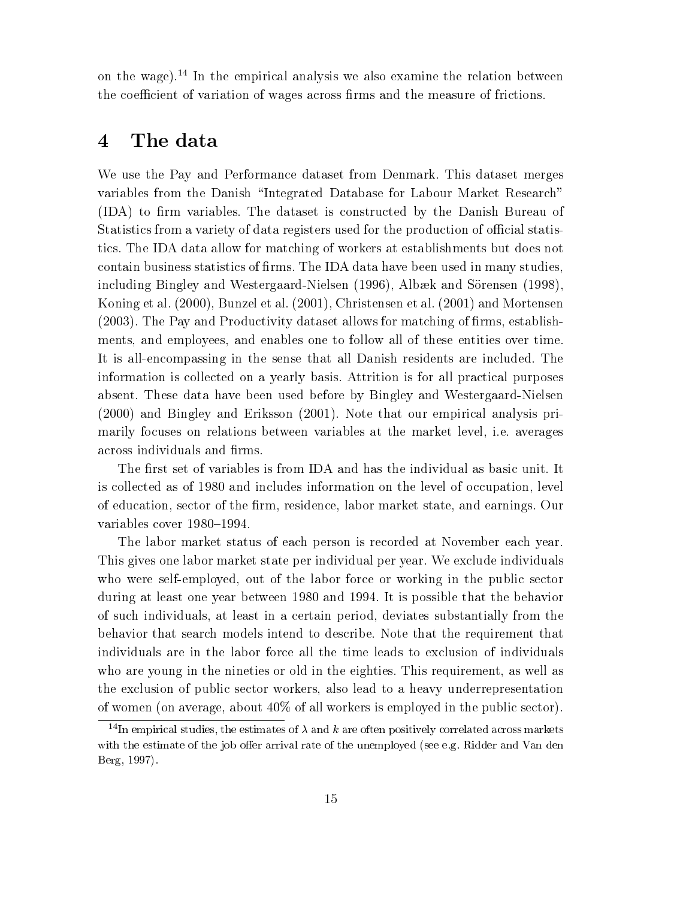on the wage).<sup>14</sup> In the empirical analysis we also examine the relation between the coefficient of variation of wages across firms and the measure of frictions.

## 4 The data

We use the Pay and Performance dataset from Denmark. This dataset merges variables from the Danish \Integrated Database for Labour Market Research" (IDA) to firm variables. The dataset is constructed by the Danish Bureau of Statistics from a variety of data registers used for the production of official statistics. The IDA data allow for matching of workers at establishments but does not contain business statistics of firms. The IDA data have been used in many studies, including Bingley and Westergaard-Nielsen (1996), Albæk and Sörensen (1998), Koning et al. (2000), Bunzel et al. (2001), Christensen et al. (2001) and Mortensen  $(2003)$ . The Pay and Productivity dataset allows for matching of firms, establishments, and employees, and enables one to follow all of these entities over time. It is all-encompassing in the sense that all Danish residents are included. The information is collected on a yearly basis. Attrition is for all practical purposes absent. These data have been used before by Bingley and Westergaard-Nielsen (2000) and Bingley and Eriksson (2001). Note that our empirical analysis primarily focuses on relations between variables at the market level, i.e. averages across individuals and firms.

The first set of variables is from IDA and has the individual as basic unit. It is collected as of 1980 and includes information on the level of occupation, level of education, sector of the firm, residence, labor market state, and earnings. Our variables cover 1980-1994.

The labor market status of each person is recorded at November each year. This gives one labor market state per individual per year. We exclude individuals who were self-employed, out of the labor force or working in the public sector during at least one year between 1980 and 1994. It is possible that the behavior of such individuals, at least in a certain period, deviates substantially from the behavior that search models intend to describe. Note that the requirement that individuals are in the labor force all the time leads to exclusion of individuals who are young in the nineties or old in the eighties. This requirement, as well as the exclusion of public sector workers, also lead to a heavy underrepresentation of women (on average, about  $40\%$  of all workers is employed in the public sector).

<sup>&</sup>lt;sup>14</sup>In empirical studies, the estimates of  $\lambda$  and  $k$  are often positively correlated across markets with the estimate of the job offer arrival rate of the unemployed (see e.g. Ridder and Van den Berg, 1997).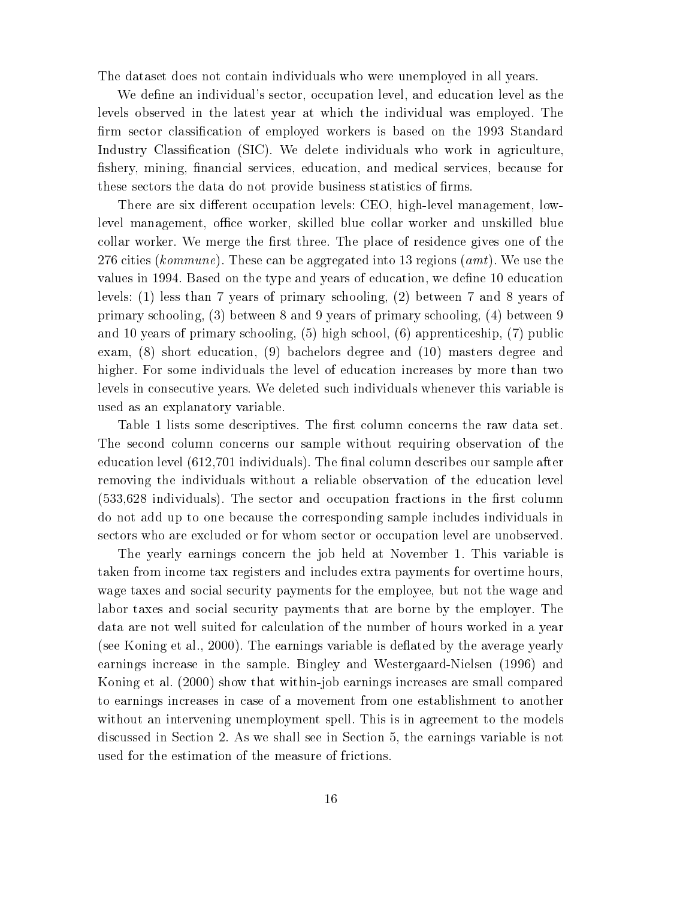The dataset does not contain individuals who were unemployed in all years.

We define an individual's sector, occupation level, and education level as the levels observed in the latest year at which the individual was employed. The firm sector classification of employed workers is based on the 1993 Standard Industry Classification (SIC). We delete individuals who work in agriculture, fishery, mining, financial services, education, and medical services, because for these sectors the data do not provide business statistics of firms.

There are six different occupation levels: CEO, high-level management, lowlevel management, office worker, skilled blue collar worker and unskilled blue collar worker. We merge the first three. The place of residence gives one of the 276 cities (kommune). These can be aggregated into 13 regions (amt). We use the values in 1994. Based on the type and years of education, we define 10 education levels: (1) less than 7 years of primary schooling, (2) between 7 and 8 years of primary schooling, (3) between 8 and 9 years of primary schooling, (4) between 9 and 10 years of primary schooling, (5) high school, (6) apprenticeship, (7) public exam, (8) short education, (9) bachelors degree and (10) masters degree and higher. For some individuals the level of education increases by more than two levels in consecutive years. We deleted such individuals whenever this variable is used as an explanatory variable.

Table 1 lists some descriptives. The first column concerns the raw data set. The second column concerns our sample without requiring observation of the education level (612,701 individuals). The final column describes our sample after removing the individuals without a reliable observation of the education level  $(533,628)$  individuals). The sector and occupation fractions in the first column do not add up to one because the corresponding sample includes individuals in sectors who are excluded or for whom sector or occupation level are unobserved.

The yearly earnings concern the job held at November 1. This variable is taken from income tax registers and includes extra payments for overtime hours, wage taxes and social security payments for the employee, but not the wage and labor taxes and social security payments that are borne by the employer. The data are not well suited for calculation of the number of hours worked in a year (see Koning et al., 2000). The earnings variable is deflated by the average yearly earnings increase in the sample. Bingley and Westergaard-Nielsen (1996) and Koning et al. (2000) show that within-job earnings increases are small compared to earnings increases in case of a movement from one establishment to another without an intervening unemployment spell. This is in agreement to the models discussed in Section 2. As we shall see in Section 5, the earnings variable is not used for the estimation of the measure of frictions.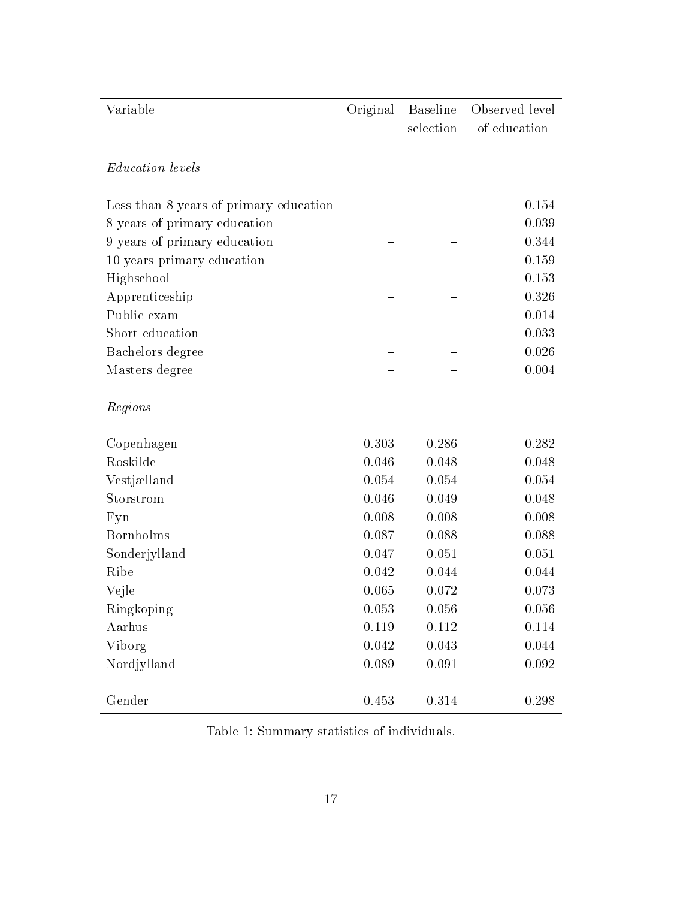| Variable                               | Original | <b>Baseline</b><br>selection | Observed level<br>of education |
|----------------------------------------|----------|------------------------------|--------------------------------|
|                                        |          |                              |                                |
| <b>Education</b> levels                |          |                              |                                |
| Less than 8 years of primary education |          |                              | 0.154                          |
| 8 years of primary education           |          |                              | 0.039                          |
| 9 years of primary education           |          |                              | 0.344                          |
| 10 years primary education             |          |                              | 0.159                          |
| Highschool                             |          |                              | 0.153                          |
| Apprenticeship                         |          |                              | 0.326                          |
| Public exam                            |          |                              | 0.014                          |
| Short education                        |          |                              | 0.033                          |
| Bachelors degree                       |          |                              | 0.026                          |
| Masters degree                         |          |                              | 0.004                          |
| Regions                                |          |                              |                                |
| Copenhagen                             | 0.303    | 0.286                        | 0.282                          |
| Roskilde                               | 0.046    | 0.048                        | 0.048                          |
| Vestjælland                            | 0.054    | 0.054                        | 0.054                          |
| Storstrom                              | 0.046    | 0.049                        | 0.048                          |
| Fyn                                    | 0.008    | 0.008                        | 0.008                          |
| Bornholms                              | 0.087    | 0.088                        | 0.088                          |
| Sonderjylland                          | 0.047    | 0.051                        | 0.051                          |
| Ribe                                   | 0.042    | 0.044                        | 0.044                          |
| Vejle                                  | 0.065    | 0.072                        | 0.073                          |
| Ringkoping                             | 0.053    | 0.056                        | 0.056                          |
| Aarhus                                 | 0.119    | $0.112\,$                    | 0.114                          |
| Viborg                                 | 0.042    | 0.043                        | 0.044                          |
| Nordjylland                            | 0.089    | 0.091                        | 0.092                          |
| Gender                                 | 0.453    | 0.314                        | 0.298                          |

Table 1: Summary statistics of individuals.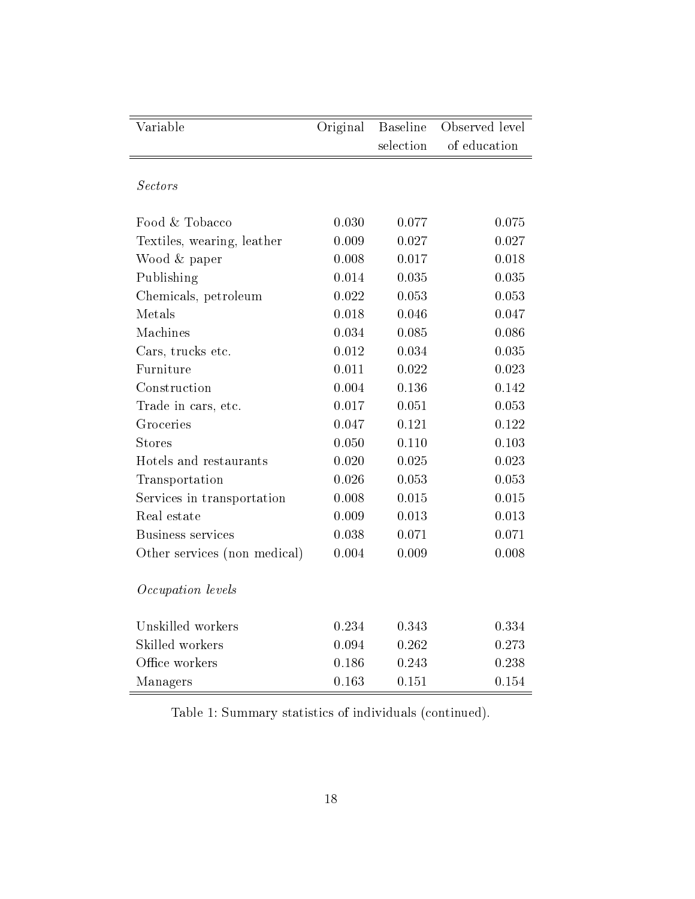| Variable                     | Original | <b>Baseline</b> | Observed level |
|------------------------------|----------|-----------------|----------------|
|                              |          | selection       | of education   |
|                              |          |                 |                |
| <b>Sectors</b>               |          |                 |                |
| Food & Tobacco               | 0.030    | 0.077           | 0.075          |
| Textiles, wearing, leather   | 0.009    | 0.027           | 0.027          |
| Wood & paper                 | 0.008    | 0.017           | 0.018          |
| Publishing                   | 0.014    | 0.035           | 0.035          |
| Chemicals, petroleum         | 0.022    | 0.053           | 0.053          |
| Metals                       | 0.018    | 0.046           | 0.047          |
| Machines                     | 0.034    | 0.085           | 0.086          |
| Cars, trucks etc.            | 0.012    | 0.034           | 0.035          |
| Furniture                    | 0.011    | 0.022           | 0.023          |
| Construction                 | 0.004    | 0.136           | 0.142          |
| Trade in cars, etc.          | 0.017    | 0.051           | 0.053          |
| Groceries                    | 0.047    | $0.121\,$       | 0.122          |
| <b>Stores</b>                | 0.050    | 0.110           | 0.103          |
| Hotels and restaurants       | 0.020    | 0.025           | 0.023          |
| Transportation               | 0.026    | 0.053           | 0.053          |
| Services in transportation   | 0.008    | 0.015           | 0.015          |
| Real estate                  | 0.009    | 0.013           | 0.013          |
| <b>Business services</b>     | 0.038    | 0.071           | 0.071          |
| Other services (non medical) | 0.004    | 0.009           | 0.008          |
|                              |          |                 |                |
| Occupation levels            |          |                 |                |
| Unskilled workers            | 0.234    |                 |                |
| Skilled workers              |          | 0.343           | 0.334          |
|                              | 0.094    | 0.262           | 0.273          |
| Office workers               | 0.186    | 0.243           | 0.238          |
| Managers                     | 0.163    | 0.151           | 0.154          |

Table 1: Summary statistics of individuals (continued).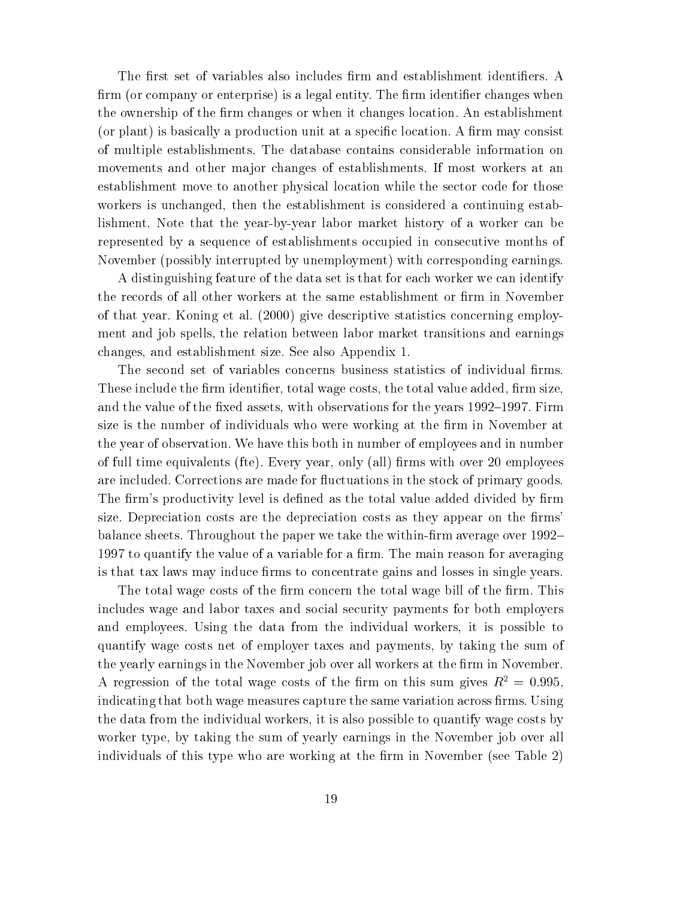The first set of variables also includes firm and establishment identifiers. A firm (or company or enterprise) is a legal entity. The firm identifier changes when the ownership of the firm changes or when it changes location. An establishment (or plant) is basically a production unit at a specific location. A firm may consist of multiple establishments. The database contains considerable information on movements and other major changes of establishments. If most workers at an establishment move to another physical location while the sector code for those workers is unchanged, then the establishment is considered a continuing establishment. Note that the year-by-year labor market history of a worker can be represented by a sequence of establishments occupied in consecutive months of November (possibly interrupted by unemployment) with corresponding earnings.

A distinguishing feature of the data set is that for each worker we can identify the records of all other workers at the same establishment or firm in November of that year. Koning et al. (2000) give descriptive statistics concerning employment and job spells, the relation between labor market transitions and earnings changes, and establishment size. See also Appendix 1.

The second set of variables concerns business statistics of individual firms. These include the firm identifier, total wage costs, the total value added, firm size, and the value of the fixed assets, with observations for the years 1992–1997. Firm size is the number of individuals who were working at the firm in November at the year of observation. We have this both in number of employees and in number of full time equivalents (fte). Every year, only (all) firms with over 20 employees are included. Corrections are made for fluctuations in the stock of primary goods. The firm's productivity level is defined as the total value added divided by firm size. Depreciation costs are the depreciation costs as they appear on the firms' balance sheets. Throughout the paper we take the within-firm average over 1992– 1997 to quantify the value of a variable for a firm. The main reason for averaging is that tax laws may induce firms to concentrate gains and losses in single years.

The total wage costs of the firm concern the total wage bill of the firm. This includes wage and labor taxes and social security payments for both employers and employees. Using the data from the individual workers, it is possible to quantify wage costs net of employer taxes and payments, by taking the sum of the yearly earnings in the November job over all workers at the firm in November. A regression of the total wage costs of the firm on this sum gives  $R^2 = 0.995$ , indicating that both wage measures capture the same variation across firms. Using the data from the individual workers, it is also possible to quantify wage costs by worker type, by taking the sum of yearly earnings in the November job over all individuals of this type who are working at the firm in November (see Table 2)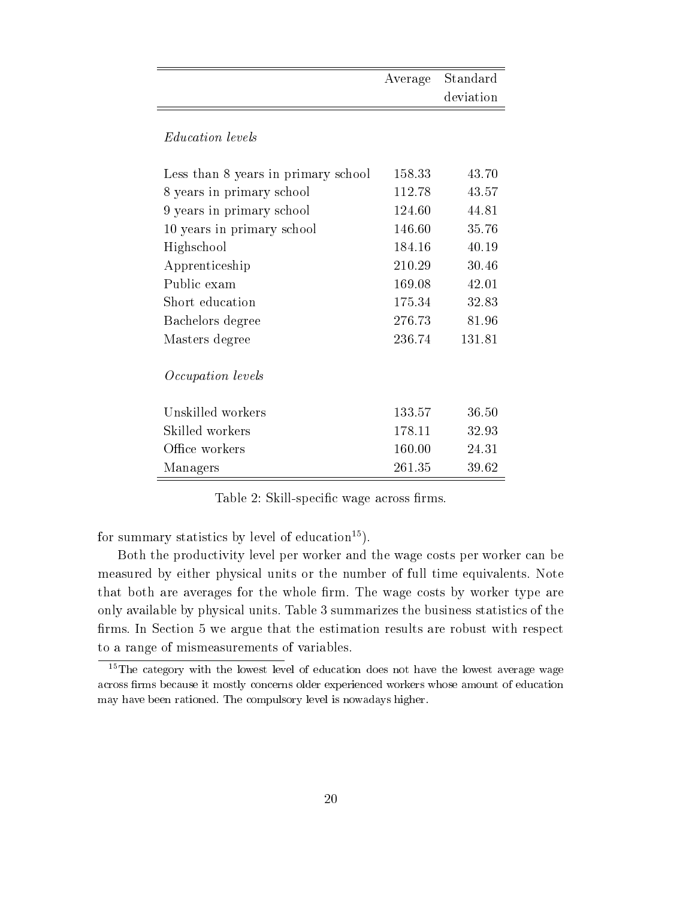|                                     | Average | Standard  |
|-------------------------------------|---------|-----------|
|                                     |         | deviation |
| <i>Education levels</i>             |         |           |
| Less than 8 years in primary school | 158.33  | 43.70     |
| 8 years in primary school           | 112.78  | 43.57     |
| 9 years in primary school           | 124.60  | 44.81     |
| 10 years in primary school          | 146.60  | 35.76     |
| Highschool                          | 184.16  | 40.19     |
| Apprenticeship                      | 210.29  | 30.46     |
| Public exam                         | 169.08  | 42.01     |
| Short education                     | 175.34  | 32.83     |
| Bachelors degree                    | 276.73  | 81.96     |
| Masters degree                      | 236.74  | 131.81    |
| <i>Occupation</i> levels            |         |           |
| Unskilled workers                   | 133.57  | 36.50     |
| Skilled workers                     | 178.11  | 32.93     |
| Office workers                      | 160.00  | 24.31     |
| Managers                            | 261.35  | 39.62     |

Table 2: Skill-specific wage across firms.

for summary statistics by level of education<sup>15</sup>).

Both the productivity level per worker and the wage costs per worker can be measured by either physical units or the number of full time equivalents. Note that both are averages for the whole firm. The wage costs by worker type are only available by physical units. Table 3 summarizes the business statistics of the firms. In Section 5 we argue that the estimation results are robust with respect to a range of mismeasurements of variables.

<sup>&</sup>lt;sup>15</sup>The category with the lowest level of education does not have the lowest average wage across firms because it mostly concerns older experienced workers whose amount of education may have been rationed. The compulsory level is nowadays higher.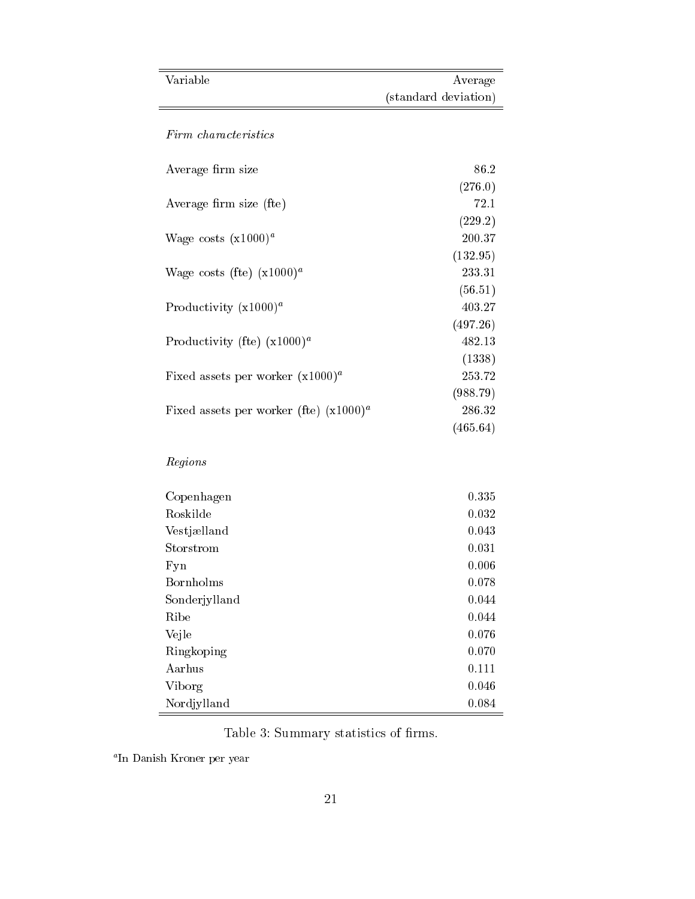| Variable                                  | Average              |
|-------------------------------------------|----------------------|
|                                           | (standard deviation) |
| Firm characteristics                      |                      |
|                                           |                      |
| Average firm size                         | 86.2                 |
|                                           | (276.0)              |
| Average firm size (fte)                   | 72.1                 |
|                                           | (229.2)              |
| Wage costs $(x1000)^a$                    | 200.37               |
|                                           | (132.95)             |
| Wage costs (fte) $(x1000)^a$              | 233.31               |
|                                           | (56.51)              |
| Productivity $(x1000)^a$                  | 403.27               |
|                                           | (497.26)             |
| Productivity (fte) $(x1000)^a$            | 482.13               |
|                                           | (1338)               |
| Fixed assets per worker $(x1000)^a$       | 253.72               |
|                                           | (988.79)             |
| Fixed assets per worker (fte) $(x1000)^a$ | 286.32               |
|                                           | (465.64)             |
| Regions                                   |                      |
| Copenhagen                                | 0.335                |
| Roskilde                                  | 0.032                |
| Vestjælland                               | 0.043                |
| Storstrom                                 | 0.031                |
| Fyn                                       | 0.006                |
| Bornholms                                 | 0.078                |
| Sonderjylland                             | 0.044                |
| Ribe                                      | 0.044                |
| Vejle                                     | 0.076                |
| Ringkoping                                | 0.070                |
| Aarhus                                    | 0.111                |
| Viborg                                    | 0.046                |
| Nordjylland                               | 0.084                |

Table 3: Summary statistics of firms. <br>  $\quad$ 

<sup>a</sup> In Danish Kroner per year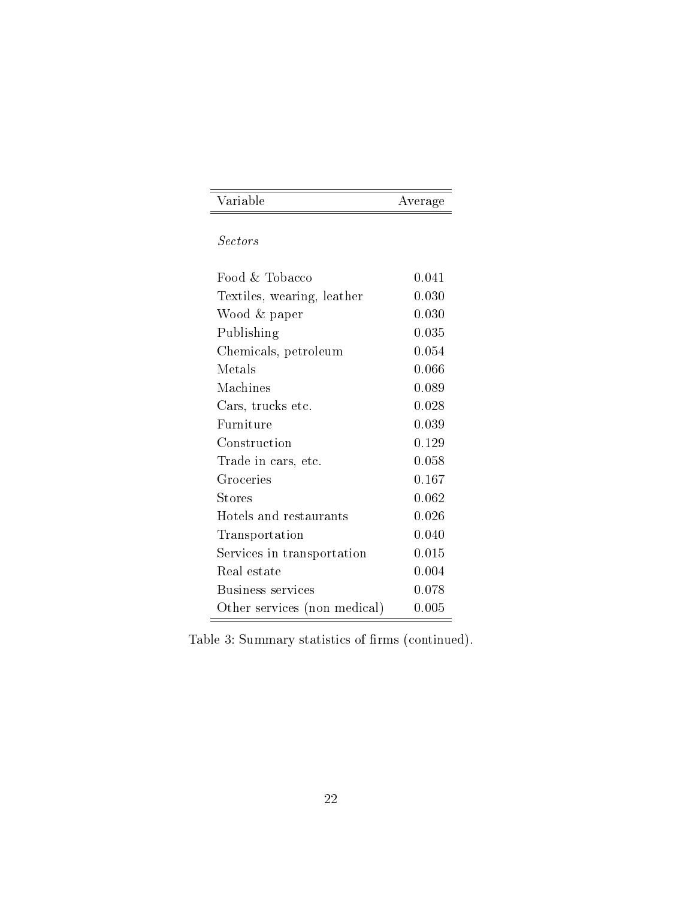| $\mathbf{V}$ , $\mathbf{V}$ , $\mathbf{V}$ , $\mathbf{V}$ | $\sim 0.04$<br>$- - - - - - -$<br>- |
|-----------------------------------------------------------|-------------------------------------|

Sectors

| Food & Tobacco               | 0.041 |
|------------------------------|-------|
| Textiles, wearing, leather   | 0.030 |
| Wood & paper                 | 0.030 |
| Publishing                   | 0.035 |
| Chemicals, petroleum         | 0.054 |
| Metals                       | 0.066 |
| Machines                     | 0.089 |
| Cars, trucks etc.            | 0.028 |
| Furniture                    | 0.039 |
| Construction                 | 0.129 |
| Trade in cars, etc.          | 0.058 |
| Groceries                    | 0.167 |
| <b>Stores</b>                | 0.062 |
| Hotels and restaurants       | 0.026 |
| Transportation               | 0.040 |
| Services in transportation   | 0.015 |
| Real estate                  | 0.004 |
| Business services            | 0.078 |
| Other services (non medical) | 0.005 |

Table 3: Summary statistics of firms (continued).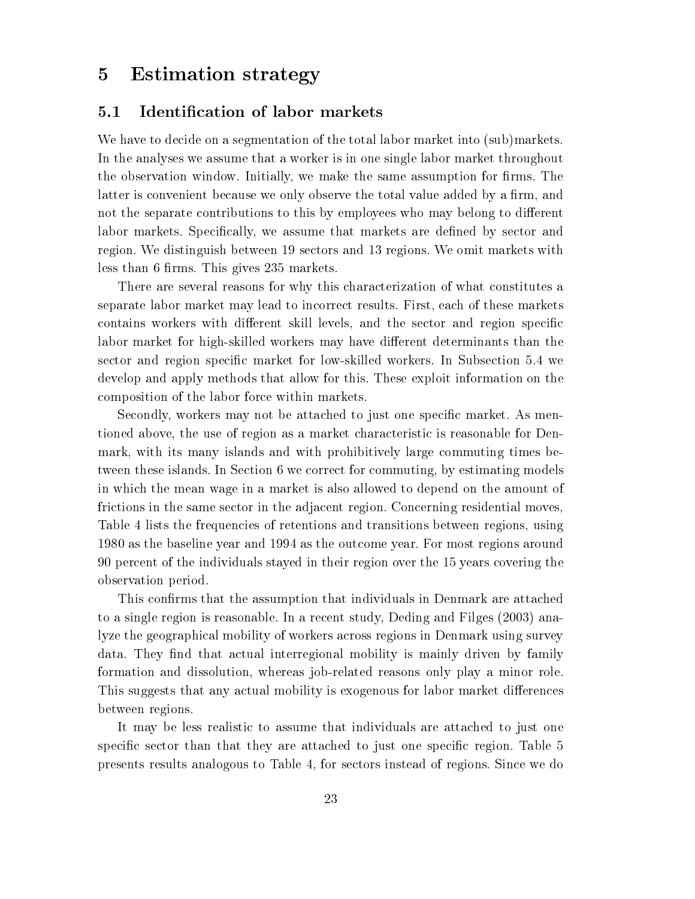## 5 Estimation strategy

#### 5.1 Identication of labor markets

We have to decide on a segmentation of the total labor market into (sub)markets. In the analyses we assume that a worker is in one single labor market throughout the observation window. Initially, we make the same assumption for firms. The latter is convenient because we only observe the total value added by a firm, and not the separate contributions to this by employees who may belong to different labor markets. Specifically, we assume that markets are defined by sector and region. We distinguish between 19 sectors and 13 regions. We omit markets with less than 6 firms. This gives 235 markets.

There are several reasons for why this characterization of what constitutes a separate labor market may lead to incorrect results. First, each of these markets contains workers with different skill levels, and the sector and region specific labor market for high-skilled workers may have different determinants than the sector and region specific market for low-skilled workers. In Subsection 5.4 we develop and apply methods that allow for this. These exploit information on the composition of the labor force within markets.

Secondly, workers may not be attached to just one specic market. As mentioned above, the use of region asa market characteristic is reasonable for Denmark, with its many islands and with prohibitively large commuting times between these islands. In Section 6 we correct for commuting, by estimating models in which the mean wage in a market is also allowed to depend on the amount of frictions in the same sector in the adjacent region. Concerning residential moves, Table 4 lists the frequencies of retentions and transitions between regions, using 1980 as the baseline year and 1994 as the outcome year. For most regions around 90 percent of the individuals stayed in their region over the 15 years covering the observation period.

This confirms that the assumption that individuals in Denmark are attached to a single region is reasonable. In a recent study, Deding and Filges (2003) analyze the geographical mobility of workers across regions in Denmark using survey data. They find that actual interregional mobility is mainly driven by family formation and dissolution, whereas job-related reasons only play a minor role. This suggests that any actual mobility is exogenous for labor market differences between regions.

It may be less realistic to assume that individuals are attached to just one specific sector than that they are attached to just one specific region. Table 5 presents results analogous to Table 4, for sectors instead of regions. Since we do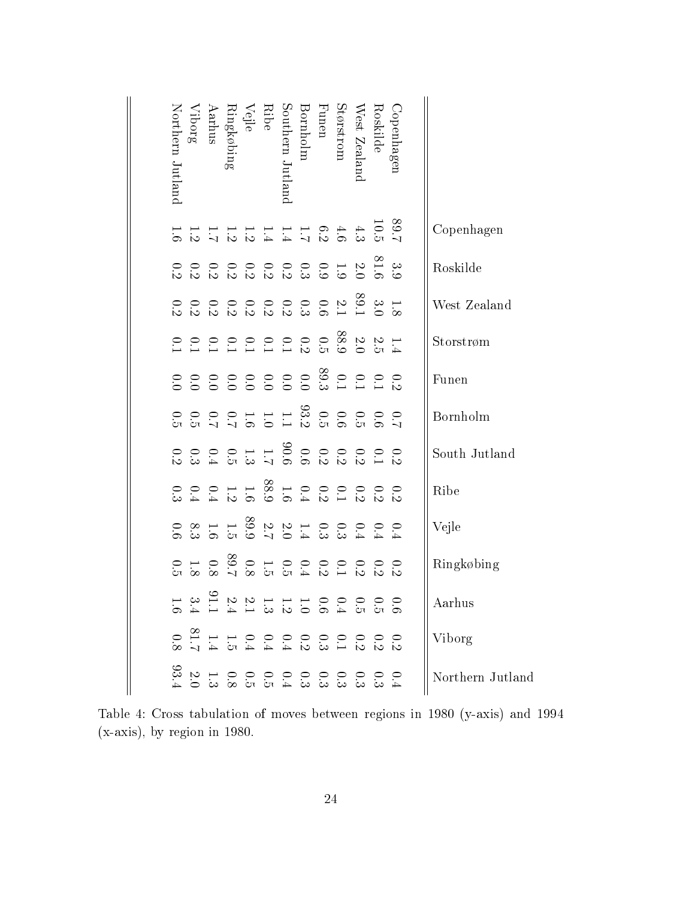| Northern Jutland | Viborg | $\begin{array}{c} \mathrm{Ringkøbing} \\ \mathrm{Aarhus} \end{array}$ | Southern Jutland<br>Ribe<br>Vejle                                                                                                                                                                                                                                                                                                                                                                                                                    | <b>Bornholm</b> | ${\rm Function}$ | Størstrom | West Zealano | Roskilde | Copenhagen |                  |
|------------------|--------|-----------------------------------------------------------------------|------------------------------------------------------------------------------------------------------------------------------------------------------------------------------------------------------------------------------------------------------------------------------------------------------------------------------------------------------------------------------------------------------------------------------------------------------|-----------------|------------------|-----------|--------------|----------|------------|------------------|
|                  |        |                                                                       | $\frac{83}{12}$<br>$\frac{3}{12}$<br>$\frac{4}{3}$ $\frac{4}{3}$ $\frac{6}{3}$ $\frac{1}{12}$ $\frac{1}{4}$ $\frac{1}{4}$ $\frac{1}{3}$ $\frac{1}{3}$ $\frac{1}{12}$ $\frac{1}{12}$ $\frac{1}{12}$                                                                                                                                                                                                                                                   |                 |                  |           |              |          |            | Copenhagen       |
|                  |        |                                                                       | $\frac{33}{16}$ $\frac{21}{16}$ $\frac{31}{16}$ $\frac{31}{16}$ $\frac{31}{16}$ $\frac{31}{16}$ $\frac{31}{16}$ $\frac{31}{16}$ $\frac{31}{16}$ $\frac{31}{16}$                                                                                                                                                                                                                                                                                      |                 |                  |           |              |          |            | Roskilde         |
|                  |        |                                                                       | $\frac{11}{12}$ $\frac{28}{12}$ $\frac{21}{12}$ $\frac{12}{16}$ $\frac{3}{16}$ $\frac{3}{16}$ $\frac{1}{36}$ $\frac{1}{36}$ $\frac{1}{36}$ $\frac{1}{36}$ $\frac{1}{36}$ $\frac{1}{36}$                                                                                                                                                                                                                                                              |                 |                  |           |              |          |            | West Zealand     |
|                  |        |                                                                       |                                                                                                                                                                                                                                                                                                                                                                                                                                                      |                 |                  |           |              |          |            | Storstrøm        |
|                  |        |                                                                       |                                                                                                                                                                                                                                                                                                                                                                                                                                                      |                 |                  |           |              |          |            | Funen            |
|                  |        |                                                                       |                                                                                                                                                                                                                                                                                                                                                                                                                                                      |                 |                  |           |              |          |            | Bornholm         |
|                  |        |                                                                       |                                                                                                                                                                                                                                                                                                                                                                                                                                                      |                 |                  |           |              |          |            | South Jutland    |
|                  |        |                                                                       |                                                                                                                                                                                                                                                                                                                                                                                                                                                      |                 |                  |           |              |          |            | Ribe             |
|                  |        |                                                                       | $\begin{array}{ccccccccccccc} \multicolumn{4}{c }{0} & \multicolumn{4}{c }{0} & \multicolumn{4}{c }{0} & \multicolumn{4}{c }{0} & \multicolumn{4}{c }{0} & \multicolumn{4}{c }{0} & \multicolumn{4}{c }{0} & \multicolumn{4}{c }{0} & \multicolumn{4}{c }{0} & \multicolumn{4}{c }{0} & \multicolumn{4}{c }{0} & \multicolumn{4}{c }{0} & \multicolumn{4}{c }{0} & \multicolumn{4}{c }{0} & \multicolumn{4}{c }{0} & \multicolumn{4}{c }{0} & \mult$ |                 |                  |           |              |          |            | Vejle            |
|                  |        |                                                                       |                                                                                                                                                                                                                                                                                                                                                                                                                                                      |                 |                  |           |              |          |            | Ringkøbing       |
|                  | . ⇔ జ  | $\sim$ $\sim$                                                         |                                                                                                                                                                                                                                                                                                                                                                                                                                                      |                 |                  |           |              |          |            | Aarhus           |
|                  |        |                                                                       |                                                                                                                                                                                                                                                                                                                                                                                                                                                      |                 |                  |           |              |          |            | Viborg           |
|                  |        |                                                                       | 0 0 0 0 0 0 0 0 0 0 0 0 1 0 1<br>4 13 13 13 13 14 15 16 16 16 16 16 1                                                                                                                                                                                                                                                                                                                                                                                |                 |                  |           |              |          |            | Northern Jutland |

Table 4:Cross tabulation of moves between regions in 1980 (y-axis) and 1994 (x-axis), by region in 1980.

 $\parallel$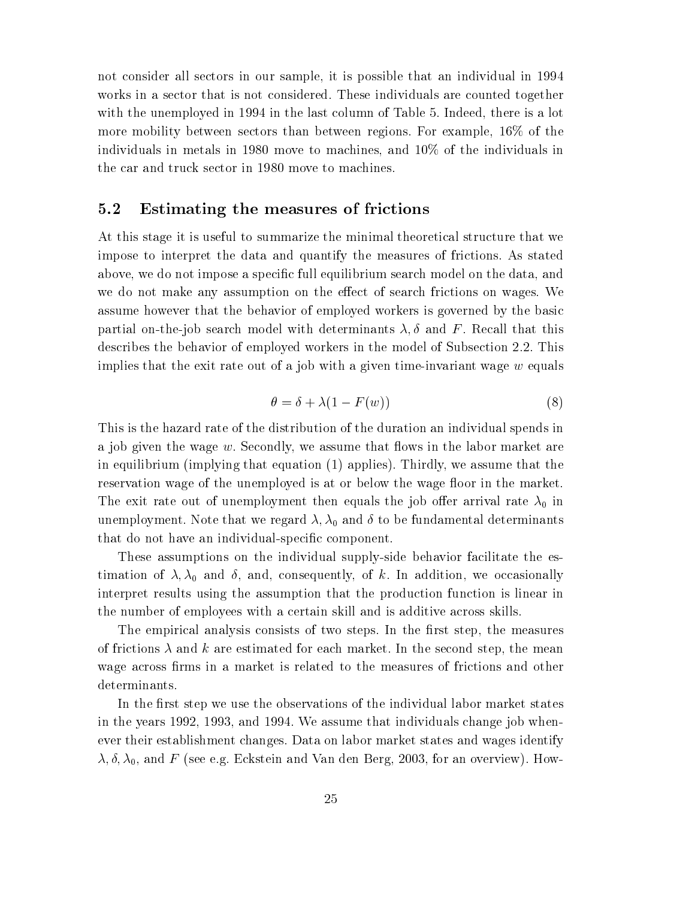not consider all sectors in our sample, it is possible that an individual in 1994 works in a sector that is not considered. These individuals are counted together with the unemployed in 1994 in the last column of Table 5. Indeed, there is a lot more mobility between sectors than between regions. For example, 16% of the individuals in metals in 1980 move to machines, and 10% of the individuals in the car and truck sector in 1980 move to machines.

#### 5.2 Estimating the measures of frictions

At this stage it is useful to summarize the minimal theoretical structure that we impose to interpret the data and quantify the measures of frictions. As stated above, we do not impose a specific full equilibrium search model on the data, and we do not make any assumption on the effect of search frictions on wages. We assume however that the behavior of employed workers is governed by the basic partial on-the-job search model with determinants  $\lambda, \delta$  and F. Recall that this describes the behavior of employed workers in the model of Subsection 2.2. This implies that the exit rate out of a job with a given time-invariant wage  $w$  equals

$$
\theta = \delta + \lambda (1 - F(w)) \tag{8}
$$

This is the hazard rate of the distribution of the duration an individual spends in a job given the wage  $w$ . Secondly, we assume that flows in the labor market are in equilibrium (implying that equation (1) applies). Thirdly, we assume that the reservation wage of the unemployed is at or below the wage floor in the market. The exit rate out of unemployment then equals the job offer arrival rate  $\lambda_0$  in unemployment. Note that we regard  $\lambda$ ,  $\lambda_0$  and  $\delta$  to be fundamental determinants that do not have an individual-specic component.

These assumptions on the individual supply-side behavior facilitate the estimation of  $\lambda, \lambda_0$  and  $\delta$ , and, consequently, of k. In addition, we occasionally interpret results using the assumption that the production function is linear in the number of employees with a certain skill and is additive across skills.

The empirical analysis consists of two steps. In the first step, the measures of frictions  $\lambda$  and k are estimated for each market. In the second step, the mean wage across firms in a market is related to the measures of frictions and other determinants.

In the first step we use the observations of the individual labor market states in the years 1992, 1993, and 1994. We assume that individuals change job whenever their establishment changes. Data on labor market states and wages identify  $\lambda$ ,  $\delta$ ,  $\lambda$ <sub>0</sub>, and F (see e.g. Eckstein and Van den Berg, 2003, for an overview). How-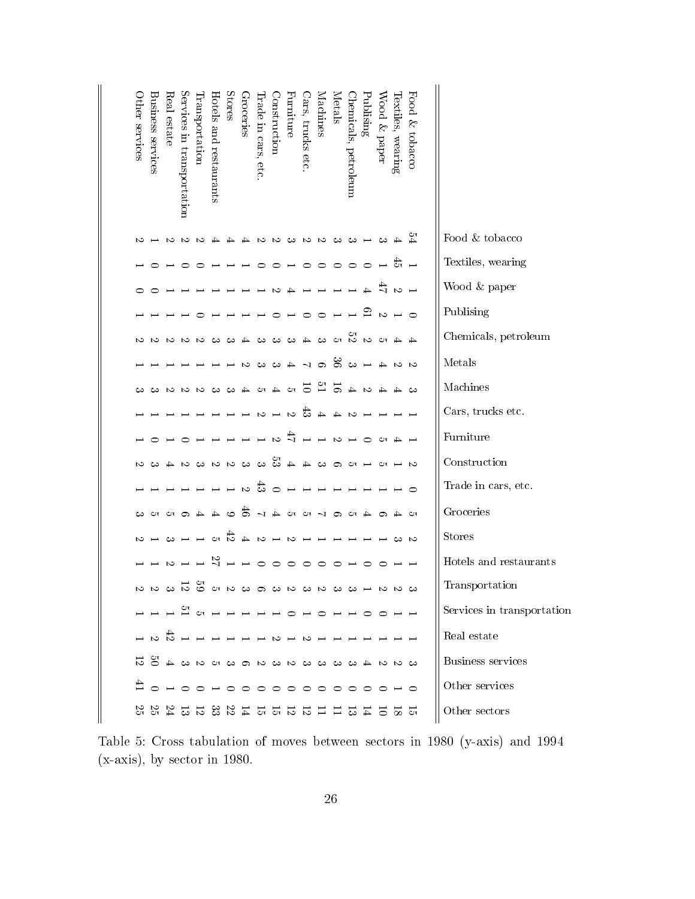| <b>Other services</b> | Business services | Real estate | Services in transportation | ransportation | Hotels and restaurants | <b>Stores</b>           | Groceries     | Irade in cars, etc.                                            | Construction      | Furniture      | Jars, trucks etc.  | Vlachines      | Metals        | Chemicals, petroleum     | Publising                | Wood & paper   | lextiles, wearing          | Food & tobacco |                            |
|-----------------------|-------------------|-------------|----------------------------|---------------|------------------------|-------------------------|---------------|----------------------------------------------------------------|-------------------|----------------|--------------------|----------------|---------------|--------------------------|--------------------------|----------------|----------------------------|----------------|----------------------------|
|                       |                   | N           | S                          | $\sim$        |                        |                         | ↛             | $\sim$                                                         | $\sim$            | ు              | လ လ ယ ယ            |                |               |                          |                          | دى             |                            |                | Food & tobacco             |
|                       |                   |             |                            |               |                        |                         |               |                                                                |                   |                |                    | ○              | $\circ$       | $\circ$                  | $\circ$                  |                |                            | ਨੋ ⊢           | Textiles, wearing          |
|                       |                   |             |                            |               |                        |                         |               |                                                                |                   |                |                    |                |               |                          | $\rightarrow$            |                | ミット                        |                | Wood & paper               |
|                       |                   |             |                            |               |                        |                         |               |                                                                |                   |                |                    | ⊂              |               |                          |                          |                | $\circ$ $ \circ$ $\approx$ |                | Publising                  |
|                       |                   |             |                            |               |                        |                         |               |                                                                | دى                | دى             | ┷                  | దాల అ          |               |                          | $\sim$ $\sim$ $\sim$     |                |                            |                | Chemicals, petroleum       |
|                       |                   |             |                            |               |                        |                         | S             | دى                                                             | ⊾ ت               |                | $\sim$ ದಿ $\%$     |                |               | లు                       |                          |                | $\sim$ $\sim$ $\sim$       |                | Metals                     |
|                       |                   | $\sim$      | N                          | ∾             | دى                     | ు                       | ↛             |                                                                | $D \rightarrow D$ |                | $\overline{\circ}$ | $16$ $-12$     |               | $\rightarrow$            | ى                        |                |                            |                | Machines                   |
|                       |                   |             |                            |               |                        |                         |               | S                                                              | $\overline{z}$    |                | ದ                  | $\sim$ 4 4     |               |                          |                          |                |                            |                | Cars, trucks etc.          |
|                       |                   |             |                            |               |                        |                         |               |                                                                | $\mathcal{D}$     | $\overline{1}$ |                    |                | $\sim$ $\sim$ | $\overline{\phantom{0}}$ | $\circ$                  | C <sub>T</sub> |                            |                | Furniture                  |
|                       |                   |             |                            |               | $\sim$ $\sim$          |                         | دى            |                                                                | ా దొ దా           |                | $\rightarrow$      | ပေးတယ          |               |                          |                          | CП             |                            |                | Construction               |
|                       |                   |             |                            |               |                        |                         | S             | ಹ                                                              | $\circ$           |                |                    |                |               |                          |                          |                |                            |                | Trade in cars, etc.        |
|                       |                   | <u>ය ග</u>  |                            |               |                        | ం                       | శా            |                                                                | 7272              |                |                    | $\sim$ $\circ$ |               | $\mathbf{C}$             |                          | ం              |                            | CП             | Groceries                  |
| V.                    |                   |             |                            |               |                        | $\sigma$ $\bar{\sigma}$ | $\rightarrow$ | $\sim$ $-$                                                     |                   | ು              |                    |                |               |                          |                          |                | ట                          | ು              | <b>Stores</b>              |
|                       |                   |             |                            |               | 22                     |                         |               |                                                                | ◯                 | ⌒              | $\overline{ }$     | ⊂              |               |                          |                          |                |                            |                | Hotels and restaurants     |
| S                     | $\sim$            | ు స         |                            | SS            |                        | $\alpha \sim \omega$    |               | ာ                                                              | ు స               |                | ు                  | $\sim$         | ు బ           |                          | $\overline{\phantom{0}}$ |                | <b>ω ω</b>                 |                | Transportation             |
|                       |                   |             |                            |               |                        |                         |               | -------------------                                            |                   |                |                    |                |               |                          |                          |                |                            |                | Services in transportation |
|                       |                   |             |                            |               |                        |                         |               |                                                                |                   |                |                    |                |               |                          |                          |                |                            |                | Real estate                |
|                       |                   |             |                            |               |                        |                         |               | 3024133333230055102                                            |                   |                |                    |                |               |                          |                          |                |                            |                | Business services          |
|                       |                   |             |                            |               |                        |                         |               | ∄оноонооооооооно                                               |                   |                |                    |                |               |                          |                          |                |                            |                | Other services             |
|                       |                   |             |                            |               |                        |                         |               | 12 18 12 12 12 12 12 12 12 12 12 12 12 13 13 13 14 15 16 16 17 |                   |                |                    |                |               |                          |                          |                |                            |                | Other sectors              |

Table 5: Cross tabulation of moves between sectors in 1980 (y-axis) and 1994 (x-axis), by sector in 1980.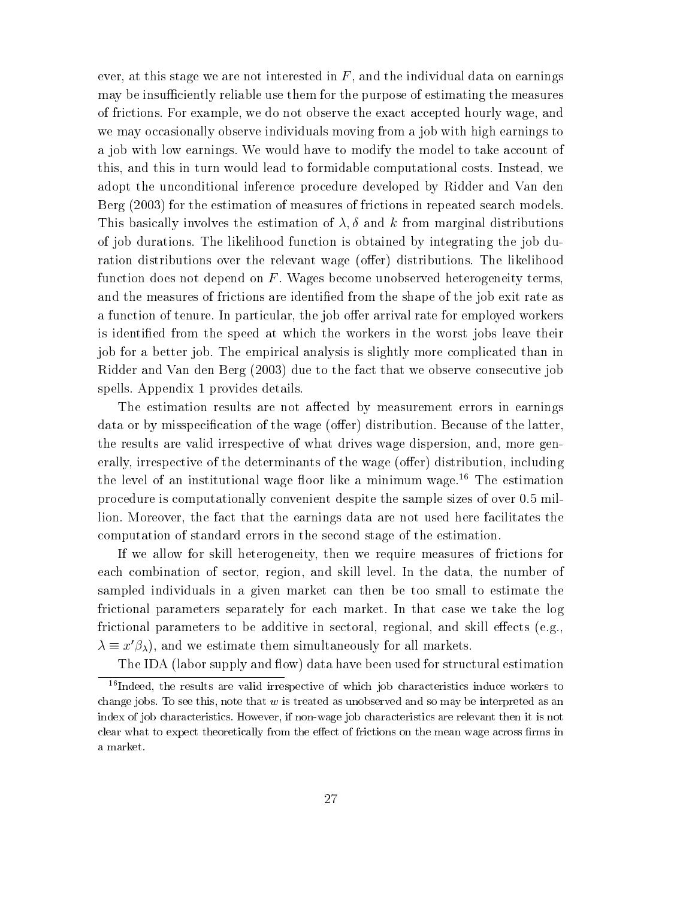ever, at this stage we are not interested in  $F$ , and the individual data on earnings may be insufficiently reliable use them for the purpose of estimating the measures of frictions. For example, we do not observe the exact accepted hourly wage, and we may occasionally observe individuals moving from a job with high earnings to a job with low earnings. We would have to modify the model to take account of this, and this in turn would lead to formidable computational costs. Instead, we adopt the unconditional inference procedure developed by Ridder and Van den Berg (2003) for the estimation of measures of frictions in repeated search models. This basically involves the estimation of  $\lambda, \delta$  and k from marginal distributions of job durations. The likelihood function is obtained by integrating the job duration distributions over the relevant wage (offer) distributions. The likelihood function does not depend on  $F$ . Wages become unobserved heterogeneity terms, and the measures of frictions are identified from the shape of the job exit rate as a function of tenure. In particular, the job offer arrival rate for employed workers is identied from the speed at which the workers in the worst jobs leave their job for a better job. The empirical analysis is slightly more complicated than in Ridder and Van den Berg (2003) due to the fact that we observe consecutive job spells. Appendix 1 provides details.

The estimation results are not affected by measurement errors in earnings data or by misspecification of the wage (offer) distribution. Because of the latter, the results are valid irrespective of what drives wage dispersion, and, more generally, irrespective of the determinants of the wage (offer) distribution, including the level of an institutional wage floor like a minimum wage.<sup>16</sup> The estimation procedure is computationally convenient despite the sample sizes of over 0.5 million. Moreover, the fact that the earnings data are not used here facilitates the computation of standard errors in the second stage of the estimation.

If we allow for skill heterogeneity, then we require measures of frictions for each combination of sector, region, and skill level. In the data, the number of sampled individuals in a given market can then be too small to estimate the frictional parameters separately for each market. In that case we take the log frictional parameters to be additive in sectoral, regional, and skill effects (e.g.,  $\lambda \equiv x \rho_{\lambda}$ ), and we estimate them simultaneously for all markets.

The IDA (labor supply and flow) data have been used for structural estimation

<sup>&</sup>lt;sup>16</sup>Indeed, the results are valid irrespective of which job characteristics induce workers to change jobs. To see this, note that  $w$  is treated as unobserved and so may be interpreted as an index of job characteristics. However, if non-wage job characteristics are relevant then it is not clear what to expect theoretically from the effect of frictions on the mean wage across firms in a market.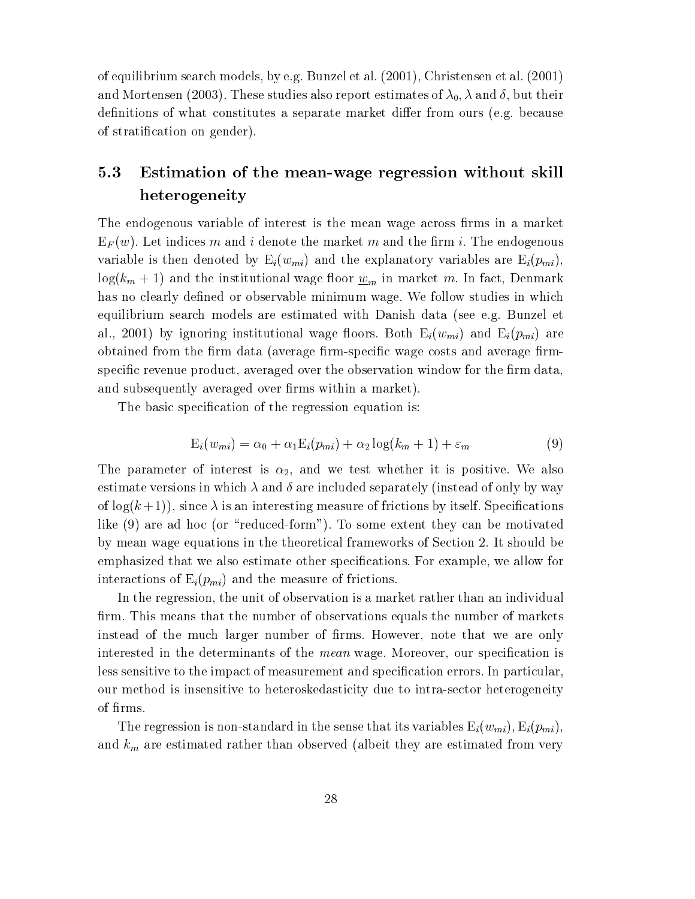of equilibrium search models, by e.g. Bunzel et al. (2001), Christensen et al. (2001) and Mortensen (2003). These studies also report estimates of  $\lambda_0$ ,  $\lambda$  and  $\delta$ , but their definitions of what constitutes a separate market differ from ours (e.g. because of stratication on gender).

## 5.3 Estimation of the mean-wage regression without skill heterogeneity

The endogenous variable of interest is the mean wage across firms in a market  $E_F(w)$ . Let indices m and i denote the market m and the firm i. The endogenous variable is then denoted by  $E_i(w_{mi})$  and the explanatory variables are  $E_i(p_{mi})$ ,  $log(k_m + 1)$  and the institutional wage floor  $\underline{w}_m$  in market m. In fact, Denmark has no clearly defined or observable minimum wage. We follow studies in which equilibrium search models are estimated with Danish data (see e.g. Bunzel et al., 2001) by ignoring institutional wage floors. Both  $E_i(w_{mi})$  and  $E_i(p_{mi})$  are obtained from the firm data (average firm-specific wage costs and average firmspecific revenue product, averaged over the observation window for the firm data, and subsequently averaged over firms within a market).

The basic specification of the regression equation is:

$$
E_i(w_{mi}) = \alpha_0 + \alpha_1 E_i(p_{mi}) + \alpha_2 \log(k_m + 1) + \varepsilon_m \tag{9}
$$

The parameter of interest is  $\alpha_2$ , and we test whether it is positive. We also estimate versions in which  $\lambda$  and  $\delta$  are included separately (instead of only by way of  $\log(k+1)$ , since  $\lambda$  is an interesting measure of frictions by itself. Specifications like (9) are ad hoc (or "reduced-form"). To some extent they can be motivated by mean wage equations in the theoretical frameworks of Section 2. It should be emphasized that we also estimate other specications. For example, we allow for interactions of  $E_i(p_{mi})$  and the measure of frictions.

In the regression, the unit of observation is a market rather than an individual firm. This means that the number of observations equals the number of markets instead of the much larger number of firms. However, note that we are only interested in the determinants of the *mean* wage. Moreover, our specification is less sensitive to the impact of measurement and specification errors. In particular, our method is insensitive to heteroskedasticity due to intra-sector heterogeneity of firms.

The regression is non-standard in the sense that its variables  $\mathrm{E}_{i}(w_{mi}), \mathrm{E}_{i}(p_{mi}),$ and  $k_m$  are estimated rather than observed (albeit they are estimated from very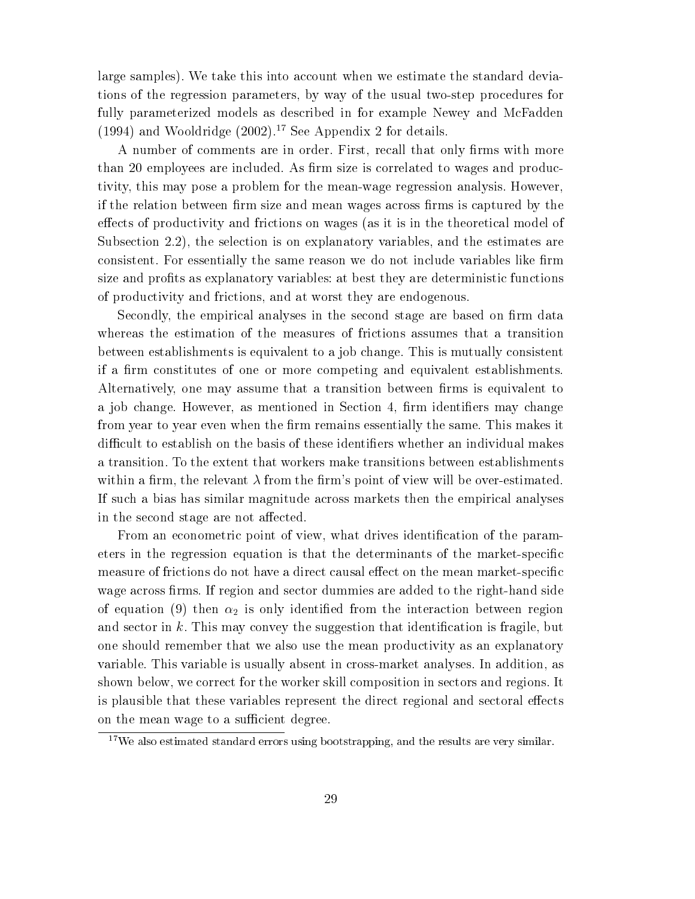large samples). We take this into account when we estimate the standard deviations of the regression parameters, by way of the usual two-step procedures for fully parameterized models as described in for example Newey and McFadden (1994) and Wooldridge  $(2002)$ .<sup>17</sup> See Appendix 2 for details.

A number of comments are in order. First, recall that only firms with more than 20 employees are included. As firm size is correlated to wages and productivity, this may pose a problem for the mean-wage regression analysis. However, if the relation between firm size and mean wages across firms is captured by the effects of productivity and frictions on wages (as it is in the theoretical model of Subsection 2.2), the selection is on explanatory variables, and the estimates are consistent. For essentially the same reason we do not include variables like firm size and profits as explanatory variables: at best they are deterministic functions of productivity and frictions, and at worst they are endogenous.

Secondly, the empirical analyses in the second stage are based on firm data whereas the estimation of the measures of frictions assumes that a transition between establishments is equivalent to a job change. This is mutually consistent if a firm constitutes of one or more competing and equivalent establishments. Alternatively, one may assume that a transition between firms is equivalent to a job change. However, as mentioned in Section 4, firm identifiers may change from year to year even when the firm remains essentially the same. This makes it difficult to establish on the basis of these identifiers whether an individual makes a transition. To the extent that workers make transitions between establishments within a firm, the relevant  $\lambda$  from the firm's point of view will be over-estimated. If such a bias has similar magnitude across markets then the empirical analyses in the second stage are not affected.

From an econometric point of view, what drives identification of the parameters in the regression equation is that the determinants of the market-specific measure of frictions do not have a direct causal effect on the mean market-specific wage across firms. If region and sector dummies are added to the right-hand side of equation (9) then  $\alpha_2$  is only identified from the interaction between region and sector in  $k$ . This may convey the suggestion that identification is fragile, but one should remember that we also use the mean productivity as an explanatory variable. This variable is usually absent in cross-market analyses. In addition, as shown below, we correct for the worker skill composition in sectors and regions. It is plausible that these variables represent the direct regional and sectoral effects on the mean wage to a sufficient degree.

 $17$ We also estimated standard errors using bootstrapping, and the results are very similar.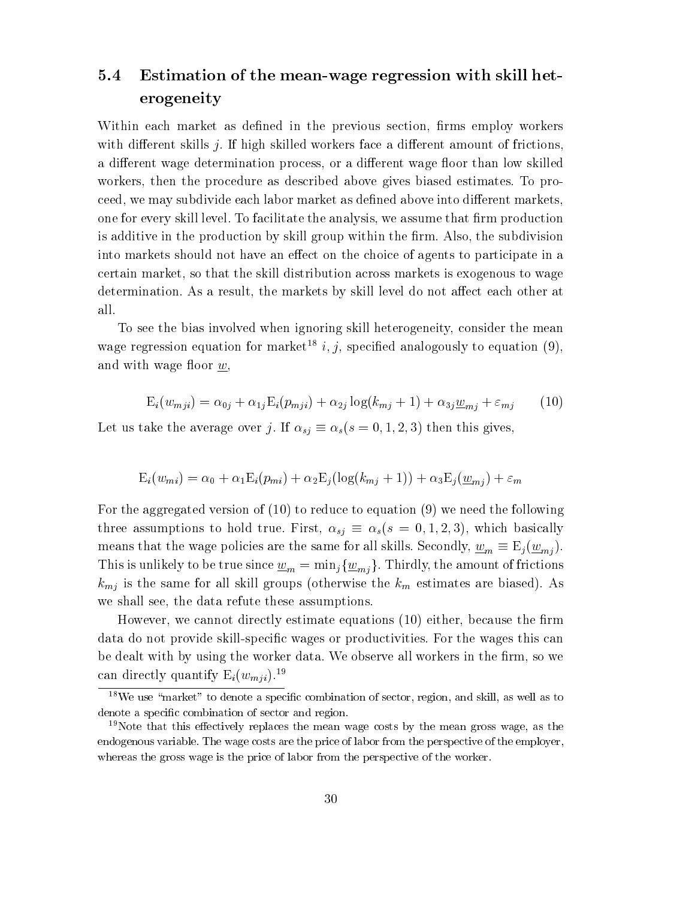## 5.4 Estimation of the mean-wage regression with skill heterogeneity

Within each market as defined in the previous section, firms employ workers with different skills  $j$ . If high skilled workers face a different amount of frictions, a different wage determination process, or a different wage floor than low skilled workers, then the procedure as described above gives biased estimates. To proceed, we may subdivide each labor market as defined above into different markets, one for every skill level. To facilitate the analysis, we assume that firm production is additive in the production by skill group within the firm. Also, the subdivision into markets should not have an effect on the choice of agents to participate in a certain market, so that the skill distribution across markets is exogenous to wage determination. As a result, the markets by skill level do not affect each other at all.

To see the bias involved when ignoring skill heterogeneity, consider the mean wage regression equation for market<sup>18</sup> i, j, specified analogously to equation (9), and with wage floor  $w$ ,

$$
E_i(w_{mji}) = \alpha_{0j} + \alpha_{1j} E_i(p_{mji}) + \alpha_{2j} \log(k_{mj} + 1) + \alpha_{3j} \underline{w}_{mi} + \varepsilon_{mj} \tag{10}
$$

Let us take the average over j. If  $\alpha_{sj} \equiv \alpha_s(s = 0, 1, 2, 3)$  then this gives,

$$
E_i(w_{mi}) = \alpha_0 + \alpha_1 E_i(p_{mi}) + \alpha_2 E_j(\log(k_{mj} + 1)) + \alpha_3 E_j(\underline{w}_{mj}) + \varepsilon_m
$$

For the aggregated version of (10) to reduce to equation (9) we need the following three assumptions to hold true. First,  $\alpha_{sj} \equiv \alpha_s(s = 0, 1, 2, 3)$ , which basically means that the wage policies are the same for all skills. Secondly,  $\underline{w}_m \equiv \mathrm{E}_j(\underline{w}_{mi})$ . This is unlikely to be true since  $\underline{w}_m = \min_j {\{\underline{w}_{mj}\}}$ . Thirdly, the amount of frictions  $k_{mj}$  is the same for all skill groups (otherwise the  $k_m$  estimates are biased). As we shall see, the data refute these assumptions.

However, we cannot directly estimate equations (10) either, because the firm data do not provide skill-specic wages or productivities. For the wages this can be dealt with by using the worker data. We observe all workers in the firm, so we can directly quantify  $E_i(w_{mji})$ .<sup>19</sup>

 $18$ We use "market" to denote a specific combination of sector, region, and skill, as well as to denote a specific combination of sector and region.

<sup>&</sup>lt;sup>19</sup>Note that this effectively replaces the mean wage costs by the mean gross wage, as the endogenous variable. The wage costs are the price of labor from the perspective of the employer, whereas the gross wage is the price of labor from the perspective of the worker.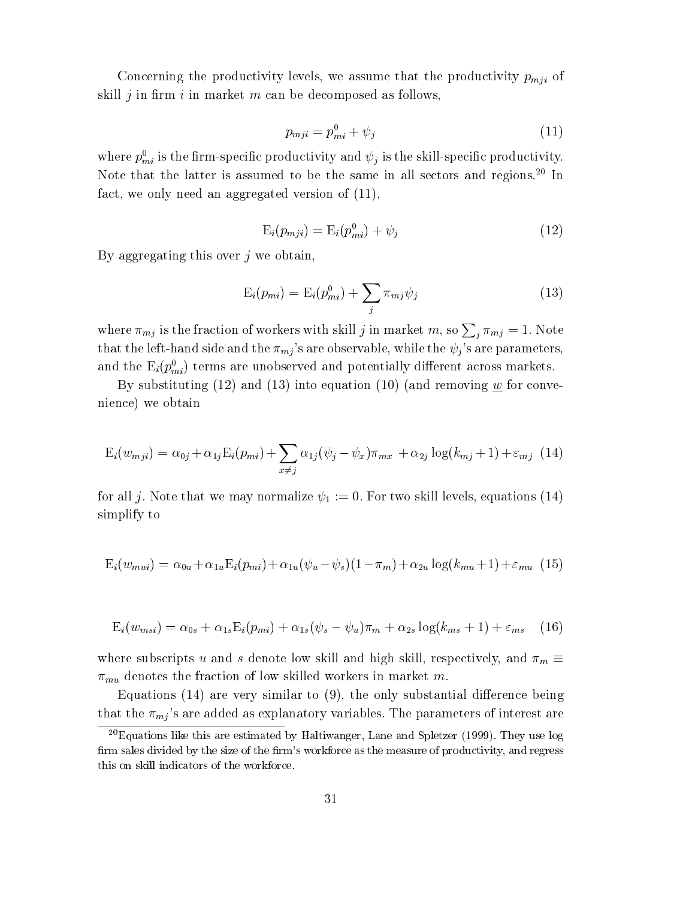Concerning the productivity levels, we assume that the productivity  $p_{mji}$  of skill *i* in firm *i* in market m can be decomposed as follows,

$$
p_{mji} = p_{mi}^0 + \psi_j \tag{11}
$$

where  $p_{mi}$  is the lifth-specific productivity and  $\psi_j$  is the skill-specific productivity. Note that the latter is assumed to be the same in all sectors and regions.<sup>20</sup> In fact, we only need an aggregated version of (11),

$$
E_i(p_{mji}) = E_i(p_{mi}^0) + \psi_j \tag{12}
$$

By aggregating this over  $j$  we obtain,

$$
E_i(p_{mi}) = E_i(p_{mi}^0) + \sum_j \pi_{mj}\psi_j \tag{13}
$$

where  $\pi_{mj}$  is the fraction of workers with skill j in market m, so  $\sum_i \pi_{mj} = 1$ . Note that the left-hand side and the  $\pi_{mj}$ 's are observable, while the  $\psi_j$ 's are parameters, and the  $\mathrm{E}_i(p_{mi})$  terms are unobserved and potentially different across markets.

By substituting  $(12)$  and  $(13)$  into equation  $(10)$  (and removing w for convenience) we obtain

$$
E_i(w_{mji}) = \alpha_{0j} + \alpha_{1j} E_i(p_{mi}) + \sum_{x \neq j} \alpha_{1j} (\psi_j - \psi_x) \pi_{mx} + \alpha_{2j} \log(k_{mj} + 1) + \varepsilon_{mj} (14)
$$

for all j. Note that we may normalize  $\psi_1 := 0$ . For two skill levels, equations (14) simplify to

$$
E_i(w_{mui}) = \alpha_{0u} + \alpha_{1u}E_i(p_{mi}) + \alpha_{1u}(\psi_u - \psi_s)(1 - \pi_m) + \alpha_{2u}\log(k_{mu} + 1) + \varepsilon_{mu} (15)
$$

$$
E_i(w_{msi}) = \alpha_{0s} + \alpha_{1s}E_i(p_{mi}) + \alpha_{1s}(\psi_s - \psi_u)\pi_m + \alpha_{2s}\log(k_{ms} + 1) + \varepsilon_{ms} \quad (16)
$$

where subscripts u and s denote low skill and high skill, respectively, and  $\pi_m \equiv$  $\pi_{mu}$  denotes the fraction of low skilled workers in market m.

Equations  $(14)$  are very similar to  $(9)$ , the only substantial difference being that the  $\pi_{mj}$ 's are added as explanatory variables. The parameters of interest are

<sup>20</sup>Equations like this are estimated by Haltiwanger, Lane and Spletzer (1999). They use log firm sales divided by the size of the firm's workforce as the measure of productivity, and regress this on skill indicators of the workforce.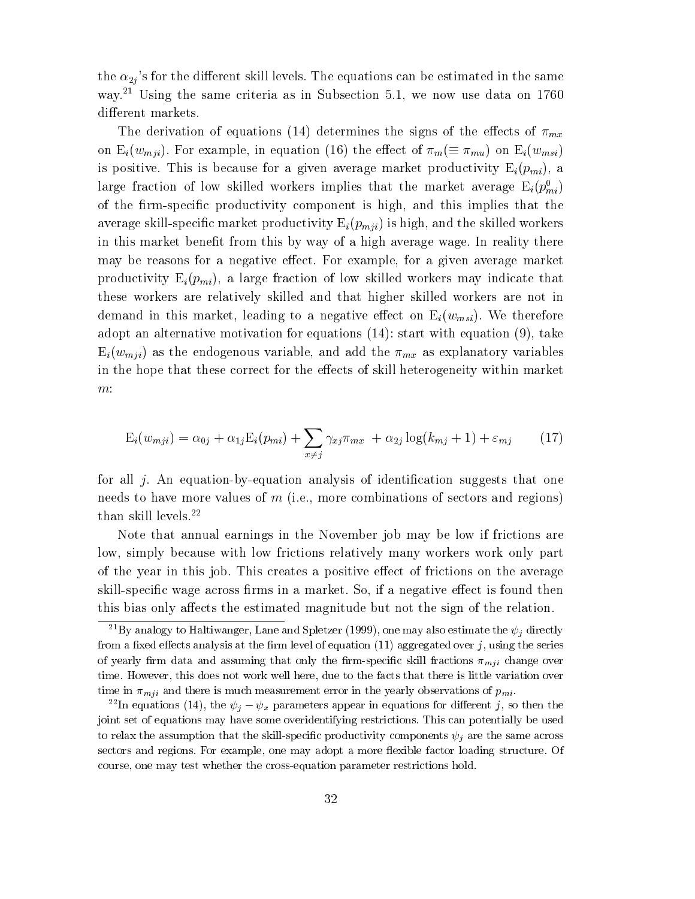the  $\alpha_{2i}$ 's for the different skill levels. The equations can be estimated in the same way.<sup>21</sup> Using the same criteria as in Subsection 5.1, we now use data on 1760 different markets.

The derivation of equations (14) determines the signs of the effects of  $\pi_{mx}$ on  $E_i(w_{mji})$ . For example, in equation (16) the effect of  $\pi_m(\equiv \pi_{mu})$  on  $E_i(w_{msi})$ is positive. This is because for a given average market productivity  $E_i(p_{mi})$ , a large fraction of low skilled workers implies that the market average  ${\tt E}_i(p_{mi}^-)$ of the firm-specific productivity component is high, and this implies that the average skill-specific market productivity  $E_i(p_{mji})$  is high, and the skilled workers in this market benet from this by way of a high average wage. In reality there may be reasons for a negative effect. For example, for a given average market productivity  $E_i(p_{mi})$ , a large fraction of low skilled workers may indicate that these workers are relatively skilled and that higher skilled workers are not in demand in this market, leading to a negative effect on  $E_i(w_{msi})$ . We therefore adopt an alternative motivation for equations (14): start with equation (9), take  $E_i(w_{mji})$  as the endogenous variable, and add the  $\pi_{mx}$  as explanatory variables in the hope that these correct for the effects of skill heterogeneity within market m:

$$
E_i(w_{mji}) = \alpha_{0j} + \alpha_{1j} E_i(p_{mi}) + \sum_{x \neq j} \gamma_{xj} \pi_{mx} + \alpha_{2j} \log(k_{mj} + 1) + \varepsilon_{mj} \tag{17}
$$

for all  $j$ . An equation-by-equation analysis of identification suggests that one needs to have more values of  $m$  (i.e., more combinations of sectors and regions) than skill levels.22

Note that annual earnings in the November job may be low if frictions are low, simply because with low frictions relatively many workers work only part of the year in this job. This creates a positive effect of frictions on the average skill-specific wage across firms in a market. So, if a negative effect is found then this bias only affects the estimated magnitude but not the sign of the relation.

<sup>&</sup>lt;sup>21</sup>By analogy to Haltiwanger, Lane and Spletzer (1999), one may also estimate the  $\psi_j$  directly from a fixed effects analysis at the firm level of equation  $(11)$  aggregated over j, using the series of yearly firm data and assuming that only the firm-specific skill fractions  $\pi_{mji}$  change over time. However, this does not work well here, due to the facts that there is little variation over time in  $\pi_{mji}$  and there is much measurement error in the yearly observations of  $p_{mi}$ .

<sup>&</sup>lt;sup>22</sup>In equations (14), the  $\psi_j - \psi_x$  parameters appear in equations for different j, so then the joint set of equations may have some overidentifying restrictions. This can potentially be used to relax the assumption that the skill-specific productivity components  $\psi_j$  are the same across sectors and regions. For example, one may adopt a more flexible factor loading structure. Of course, one may test whether the cross-equation parameter restrictions hold.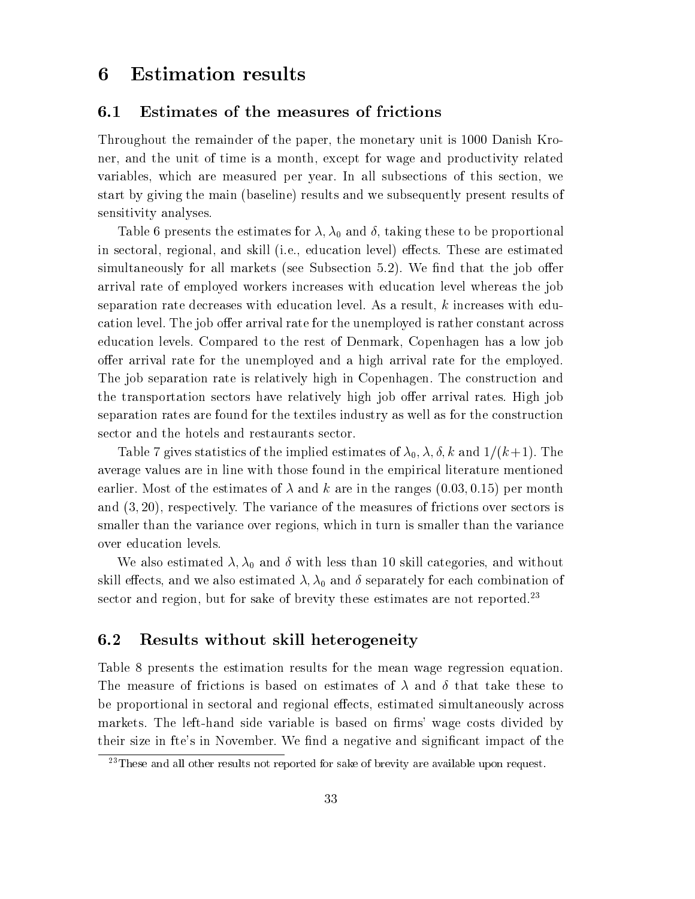## 6 Estimation results

#### 6.1 Estimates of the measures of frictions

Throughout the remainder of the paper, the monetary unit is 1000 Danish Kroner, and the unit of time is a month, except for wage and productivity related variables, which are measured per year. In all subsections of this section, we start by giving the main (baseline) results and we subsequently present results of sensitivity analyses.

Table 6 presents the estimates for  $\lambda$ ,  $\lambda_0$  and  $\delta$ , taking these to be proportional in sectoral, regional, and skill (i.e., education level) effects. These are estimated simultaneously for all markets (see Subsection  $5.2$ ). We find that the job offer arrival rate of employed workers increases with education level whereas the job separation rate decreases with education level. As a result, <sup>k</sup> increases with education level. The job offer arrival rate for the unemployed is rather constant across education levels. Compared to the rest of Denmark, Copenhagen has a low job offer arrival rate for the unemployed and a high arrival rate for the employed. The job separation rate is relatively high in Copenhagen. The construction and the transportation sectors have relatively high job offer arrival rates. High job separation rates are found for the textiles industry as well as for the construction sector and the hotels and restaurants sector.

Table 7 gives statistics of the implied estimates of  $\lambda_0$ ,  $\lambda$ ,  $\delta$ ,  $k$  and  $1/(k+1)$ . The average values are in line with those found in the empirical literature mentioned earlier. Most of the estimates of  $\lambda$  and k are in the ranges  $(0.03, 0.15)$  per month and (3; 20), respectively. The variance of the measures of frictions over sectors is smaller than the variance over regions, which in turn is smaller than the variance over education levels.

We also estimated  $\lambda$ ,  $\lambda_0$  and  $\delta$  with less than 10 skill categories, and without skill effects, and we also estimated  $\lambda$ ,  $\lambda_0$  and  $\delta$  separately for each combination of sector and region, but for sake of brevity these estimates are not reported.<sup>23</sup>

#### 6.2 Results without skill heterogeneity

Table 8 presents the estimation results for the mean wage regression equation. The measure of frictions is based on estimates of  $\lambda$  and  $\delta$  that take these to be proportional in sectoral and regional effects, estimated simultaneously across markets. The left-hand side variable is based on firms' wage costs divided by their size in fte's in November. We find a negative and significant impact of the

 $23$ These and all other results not reported for sake of brevity are available upon request.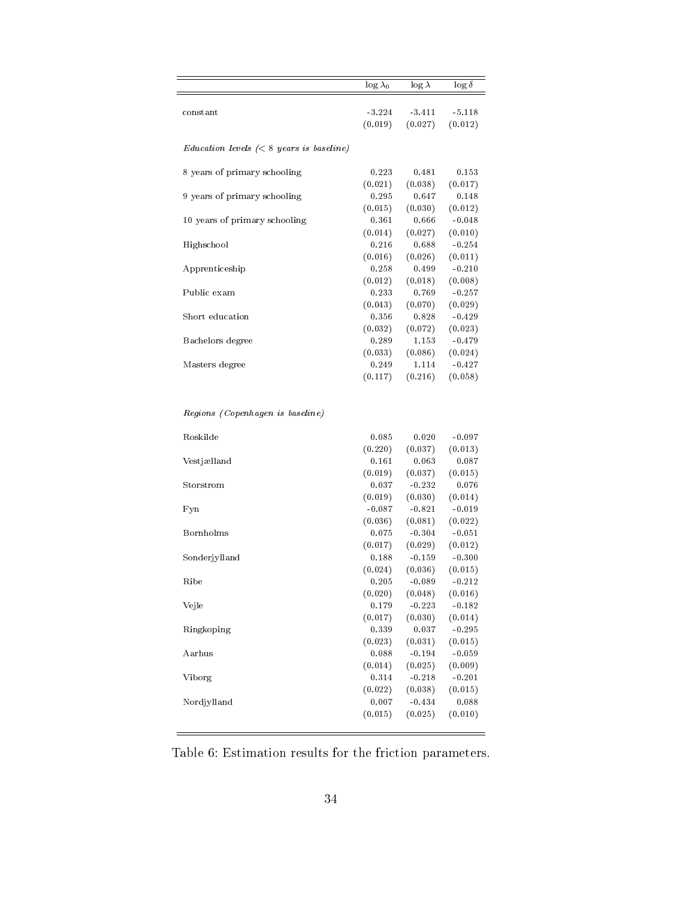|                                                                   | $\log \lambda_0$ | $\log \lambda$ | $\log \delta$ |
|-------------------------------------------------------------------|------------------|----------------|---------------|
| constant                                                          | $-3.224$         | $-3.411$       | $-5.118$      |
|                                                                   | (0.019)          | (0.027)        | (0.012)       |
| $Education$ levels $\left( < 8 \text{ years is baseline} \right)$ |                  |                |               |
| 8 years of primary schooling                                      | 0.223            | 0.481          | 0.153         |
|                                                                   | (0.021)          | (0.038)        | (0.017)       |
| 9 years of primary schooling                                      | 0.295            | 0.647          | 0.148         |
|                                                                   | (0.015)          | (0.030)        | (0.012)       |
| 10 years of primary schooling                                     | 0.361            | 0.666          | $-0.048$      |
|                                                                   | (0.014)          | (0.027)        | (0.010)       |
| Highschool                                                        | 0.216            | 0.688          | $-0.254$      |
|                                                                   | (0.016)          | (0.026)        | (0.011)       |
| Apprenticeship                                                    | 0.258            | 0.499          | $-0.210$      |
|                                                                   | (0.012)          | (0.018)        | (0.008)       |
| Public exam                                                       | 0.233            | 0.769          | $-0.257$      |
|                                                                   | (0.043)          | (0.070)        | (0.029)       |
| Short education                                                   | 0.356            | 0.828          | $-0.429$      |
|                                                                   | (0.032)          | (0.072)        | (0.023)       |
| Bachelors degree                                                  | 0.289            | 1.153          | $-0.479$      |
|                                                                   | (0.033)          | (0.086)        | (0.024)       |
| Masters degree                                                    | 0.249            | 1.114          | $-0.427$      |
|                                                                   | (0.117)          | (0.216)        | (0.058)       |
| Regions (Copenhagen is baseline)                                  |                  |                |               |
| Roskilde                                                          | 0.085            | 0.020          | $-0.097$      |
|                                                                   | (0.220)          | (0.037)        | (0.013)       |
| Vestjælland                                                       | 0.161            | 0.063          | 0.087         |
|                                                                   | (0.019)          | (0.037)        | (0.015)       |
| Storstrom                                                         | 0.037            | $-0.232$       | 0.076         |
|                                                                   |                  |                |               |

|               | (0.220)  | (0.037)             | (0.013)  |  |
|---------------|----------|---------------------|----------|--|
| Vestjælland   | 0.161    | 0.063               | 0.087    |  |
|               | (0.019)  | (0.037)             | (0.015)  |  |
| Storstrom     | 0.037    | $-0.232$            | 0.076    |  |
|               |          | $(0.019)$ $(0.030)$ | (0.014)  |  |
| Fyn           | $-0.087$ | $-0.821$            | $-0.019$ |  |
|               | (0.036)  | (0.081)             | (0.022)  |  |
| Bornholms     | 0.075    | $-0.304$            | $-0.051$ |  |
|               | (0.017)  | (0.029)             | (0.012)  |  |
| Sonderjylland | 0.188    | $-0.159$            | $-0.300$ |  |
|               | (0.024)  | (0.036)             | (0.015)  |  |
| Ribe          | 0.205    | $-0.089$            | $-0.212$ |  |
|               | (0.020)  | (0.048)             | (0.016)  |  |
| Vejle         | 0.179    | $-0.223$            | $-0.182$ |  |
|               | (0.017)  | (0.030)             | (0.014)  |  |
| Ringkoping    | 0.339    | 0.037               | $-0.295$ |  |
|               | (0.023)  | (0.031)             | (0.015)  |  |
| Aarhus        | 0.088    | $-0.194$            | $-0.059$ |  |
|               | (0.014)  | (0.025)             | (0.009)  |  |
| Viborg        | 0.314    | $-0.218$            | $-0.201$ |  |
|               | (0.022)  | (0.038)             | (0.015)  |  |
| Nordjylland   | 0.007    | $-0.434$            | 0.088    |  |
|               | (0.015)  | (0.025)             | (0.010)  |  |
|               |          |                     |          |  |
|               |          |                     |          |  |

Table 6: Estimation results for the friction parameters.

-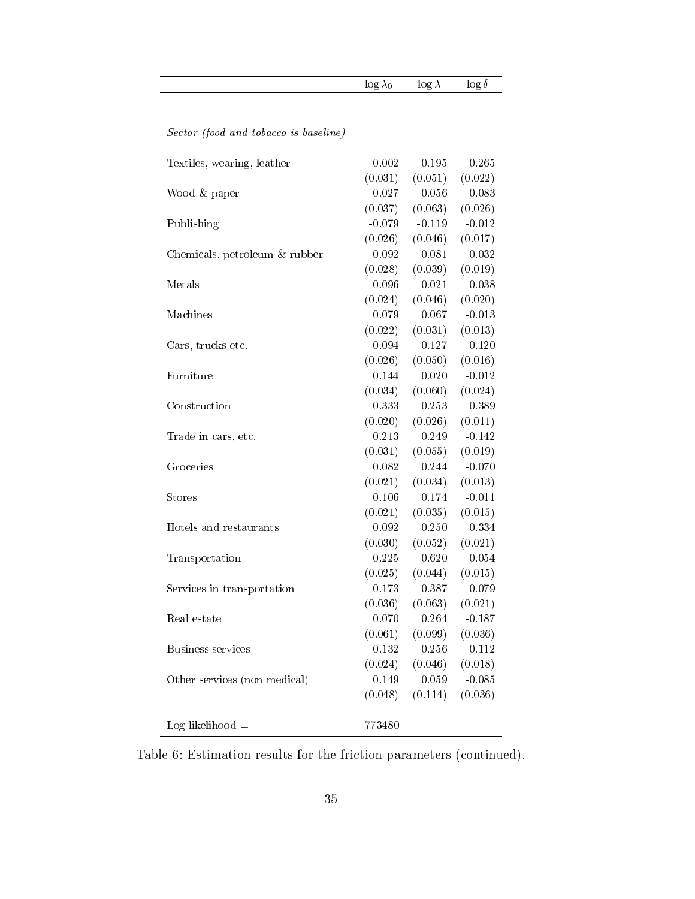|  | <b>Section</b> |  |
|--|----------------|--|
|  | --             |  |

Sector (food and tobacco is baseline)

| Textiles, wearing, leather    | $-0.002$  | $-0.195$ | 0.265    |
|-------------------------------|-----------|----------|----------|
|                               | (0.031)   | (0.051)  | (0.022)  |
| Wood & paper                  | 0.027     | $-0.056$ | $-0.083$ |
|                               | (0.037)   | (0.063)  | (0.026)  |
| Publishing                    | $-0.079$  | $-0.119$ | $-0.012$ |
|                               | (0.026)   | (0.046)  | (0.017)  |
| Chemicals, petroleum & rubber | 0.092     | 0.081    | $-0.032$ |
|                               | (0.028)   | (0.039)  | (0.019)  |
| Metals                        | 0.096     | 0.021    | 0.038    |
|                               | (0.024)   | (0.046)  | (0.020)  |
| Machines                      | 0.079     | 0.067    | $-0.013$ |
|                               | (0.022)   | (0.031)  | (0.013)  |
| Cars, trucks etc.             | 0.094     | 0.127    | 0.120    |
|                               | (0.026)   | (0.050)  | (0.016)  |
| Furniture                     | 0.144     | 0.020    | $-0.012$ |
|                               | (0.034)   | (0.060)  | (0.024)  |
| Construction                  | 0.333     | 0.253    | 0.389    |
|                               | (0.020)   | (0.026)  | (0.011)  |
| Trade in cars, etc.           | 0.213     | 0.249    | $-0.142$ |
|                               | (0.031)   | (0.055)  | (0.019)  |
| Groceries                     | 0.082     | 0.244    | $-0.070$ |
|                               | (0.021)   | (0.034)  | (0.013)  |
| Stores                        | 0.106     | 0.174    | $-0.011$ |
|                               | (0.021)   | (0.035)  | (0.015)  |
| Hotels and restaurants        | 0.092     | 0.250    | 0.334    |
|                               | (0.030)   | (0.052)  | (0.021)  |
| Transportation                | 0.225     | 0.620    | 0.054    |
|                               | (0.025)   | (0.044)  | (0.015)  |
| Services in transportation    | 0.173     | 0.387    | 0.079    |
|                               | (0.036)   | (0.063)  | (0.021)  |
| Real estate                   | 0.070     | 0.264    | $-0.187$ |
|                               | (0.061)   | (0.099)  | (0.036)  |
| Business services             | $0.132\,$ | 0.256    | $-0.112$ |
|                               | (0.024)   | (0.046)  | (0.018)  |
| Other services (non medical)  | 0.149     | 0.059    | $-0.085$ |
|                               | (0.048)   | (0.114)  | (0.036)  |
|                               |           |          |          |
| Log likelihood $=$            | $-773480$ |          |          |

Table 6: Estimation results for the friction parameters (continued).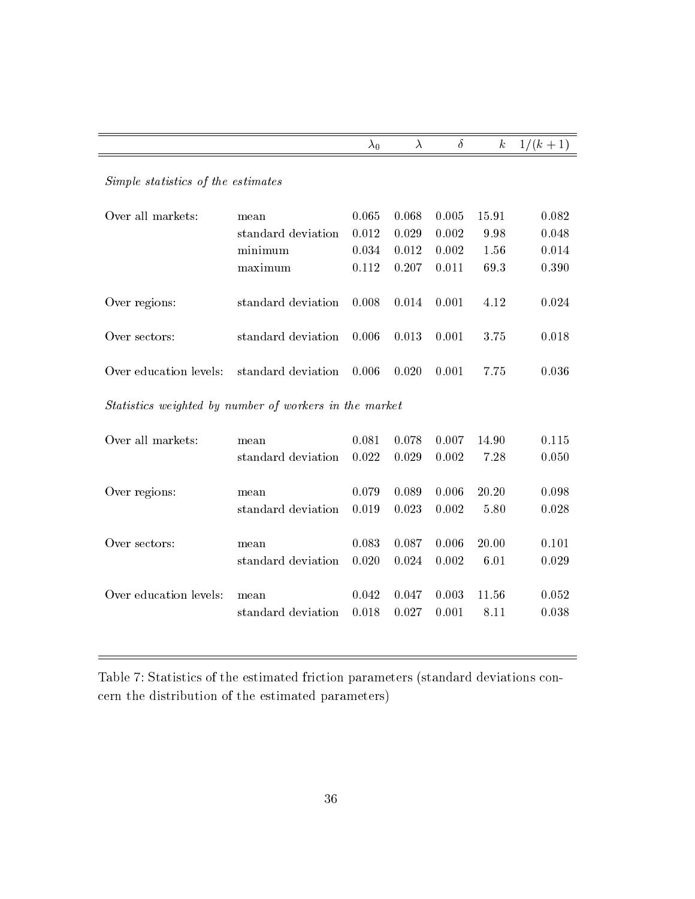|                                                        |                    | $\lambda_0$ | $\lambda$ | $\delta$ | $\boldsymbol{k}$ | $1/(k + 1)$ |  |  |  |
|--------------------------------------------------------|--------------------|-------------|-----------|----------|------------------|-------------|--|--|--|
| Simple statistics of the estimates                     |                    |             |           |          |                  |             |  |  |  |
| Over all markets:                                      | mean               | 0.065       | 0.068     | 0.005    | 15.91            | 0.082       |  |  |  |
|                                                        | standard deviation | 0.012       | 0.029     | 0.002    | 9.98             | 0.048       |  |  |  |
|                                                        | minimum            | 0.034       | 0.012     | 0.002    | 1.56             | 0.014       |  |  |  |
|                                                        | maximum            | 0.112       | 0.207     | 0.011    | 69.3             | 0.390       |  |  |  |
| Over regions:                                          | standard deviation | 0.008       | 0.014     | 0.001    | 4.12             | 0.024       |  |  |  |
| Over sectors:                                          | standard deviation | 0.006       | 0.013     | 0.001    | 3.75             | 0.018       |  |  |  |
| Over education levels:                                 | standard deviation | 0.006       | 0.020     | 0.001    | 7.75             | 0.036       |  |  |  |
| Statistics weighted by number of workers in the market |                    |             |           |          |                  |             |  |  |  |
| Over all markets:                                      | mean               | 0.081       | 0.078     | 0.007    | 14.90            | 0.115       |  |  |  |
|                                                        | standard deviation | 0.022       | 0.029     | 0.002    | 7.28             | 0.050       |  |  |  |
| Over regions:                                          | mean               | 0.079       | 0.089     | 0.006    | 20.20            | 0.098       |  |  |  |
|                                                        | standard deviation | 0.019       | 0.023     | 0.002    | 5.80             | 0.028       |  |  |  |
| Over sectors:                                          | mean               | 0.083       | 0.087     | 0.006    | 20.00            | 0.101       |  |  |  |
|                                                        | standard deviation | 0.020       | 0.024     | 0.002    | 6.01             | 0.029       |  |  |  |
| Over education levels:                                 | mean               | 0.042       | 0.047     | 0.003    | 11.56            | 0.052       |  |  |  |
|                                                        | standard deviation | 0.018       | 0.027     | 0.001    | 8.11             | 0.038       |  |  |  |
|                                                        |                    |             |           |          |                  |             |  |  |  |

Table 7: Statistics of the estimated friction parameters (standard deviations concern the distribution of the estimated parameters)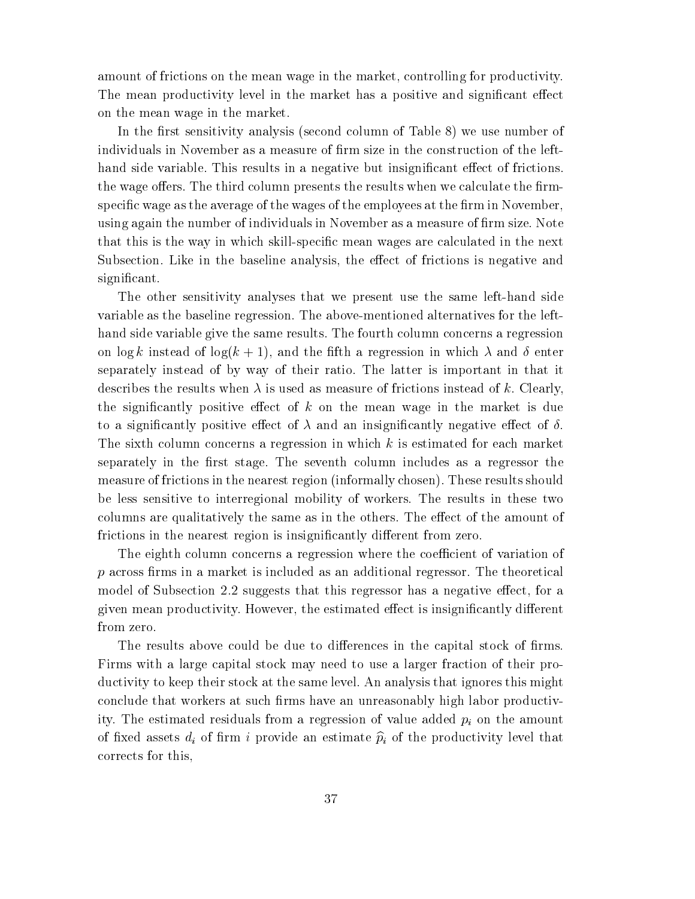amount of frictions on the mean wage in the market, controlling for productivity. The mean productivity level in the market has a positive and significant effect on the mean wage in the market.

In the first sensitivity analysis (second column of Table 8) we use number of individuals in November as a measure of firm size in the construction of the lefthand side variable. This results in a negative but insignificant effect of frictions. the wage offers. The third column presents the results when we calculate the firmspecific wage as the average of the wages of the employees at the firm in November, using again the number of individuals in November as a measure of firm size. Note that this is the way in which skill-specific mean wages are calculated in the next Subsection. Like in the baseline analysis, the effect of frictions is negative and significant.

The other sensitivity analyses that we present use the same left-hand side variable as the baseline regression. The above-mentioned alternatives for the lefthand side variable give the same results. The fourth column concerns a regression on  $\log k$  instead of  $\log(k+1)$ , and the fifth a regression in which  $\lambda$  and  $\delta$  enter separately instead of by way of their ratio. The latter is important in that it describes the results when  $\lambda$  is used as measure of frictions instead of k. Clearly, the significantly positive effect of  $k$  on the mean wage in the market is due to a significantly positive effect of  $\lambda$  and an insignificantly negative effect of  $\delta$ . The sixth column concerns a regression in which  $k$  is estimated for each market separately in the first stage. The seventh column includes as a regressor the measure of frictions in the nearest region (informally chosen). These results should be less sensitive to interregional mobility of workers. The results in these two columns are qualitatively the same as in the others. The effect of the amount of frictions in the nearest region is insignificantly different from zero.

The eighth column concerns a regression where the coefficient of variation of  $p$  across firms in a market is included as an additional regressor. The theoretical model of Subsection 2.2 suggests that this regressor has a negative effect, for a given mean productivity. However, the estimated effect is insignificantly different from zero.

The results above could be due to differences in the capital stock of firms. Firms with a large capital stock may need to use a larger fraction of their productivity to keep their stock at the same level. An analysis that ignores this might conclude that workers at such firms have an unreasonably high labor productivity. The estimated residuals from a regression of value added  $p_i$  on the amount of fixed assets  $d_i$  of firm i provide an estimate  $\hat{p}_i$  of the productivity level that corrects for this,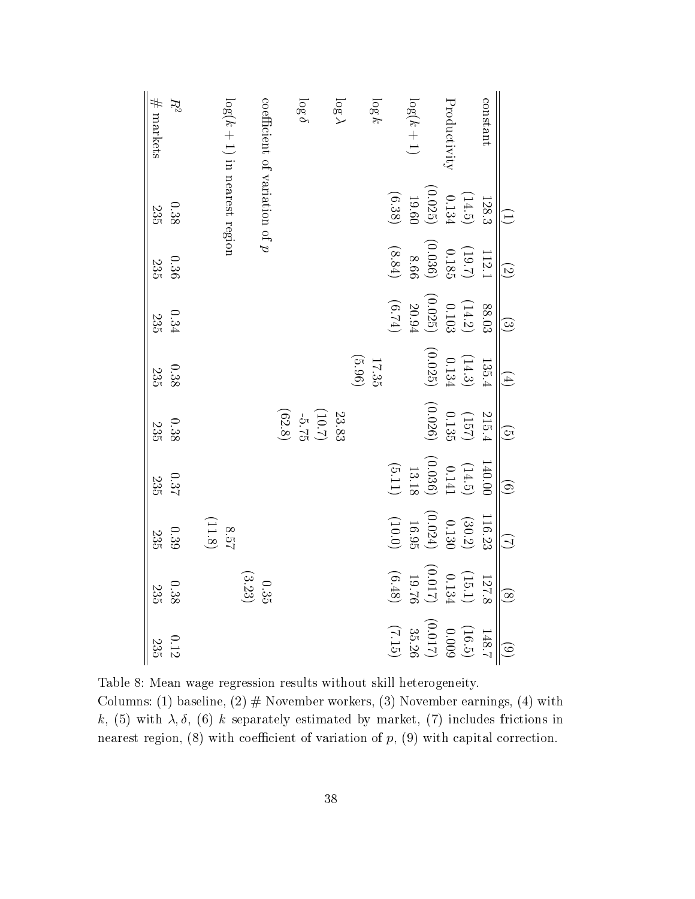| $\#$ markets<br>$R^2$ | $log(k + 1)$ in nearest region | coefficient of variation of $p$             |                                                                 | log 6 | $log \lambda$ |        | $\log k$ |          | $log(k+1)$ |                                                                              | Productivity |                                                                                                  | constant |                   |
|-----------------------|--------------------------------|---------------------------------------------|-----------------------------------------------------------------|-------|---------------|--------|----------|----------|------------|------------------------------------------------------------------------------|--------------|--------------------------------------------------------------------------------------------------|----------|-------------------|
| $0.38\,$<br>235       |                                |                                             |                                                                 |       |               |        |          | (6.38)   |            |                                                                              |              | $\begin{array}{c} 128.3 \\[-4pt] 0.134 \\[-4pt] 0.025 \\[-4pt] 19.60 \\[-4pt] 19.60 \end{array}$ |          | $\bigoplus$       |
| $0.36\,$<br>235       |                                |                                             |                                                                 |       |               |        |          | $(8.84)$ |            |                                                                              |              | $\begin{array}{c} (19.7)\\ 0.185\\ 0.185\\ 0.036 \end{array}$                                    | 112.1    | $\odot$           |
| $0.34\,$<br>235       |                                |                                             |                                                                 |       |               |        |          | (6.74)   |            |                                                                              |              | $\begin{array}{c} 88.03\\ (14.2)\\ 0.103\\ (0.025)\\ 20.94 \end{array}$                          |          | $\odot$           |
| $0.38\,$<br>235       |                                |                                             |                                                                 |       |               | (96.3) | 17.35    |          |            |                                                                              |              | $\begin{array}{c} (14.3) \\ 0.134 \\ \begin{array}{c} 0.134 \\ \end{array} \end{array}$          | 135.4    | $\bigoplus$       |
| $0.38\,$<br>235       |                                |                                             | $\begin{array}{c} 23.83 \\ -5.75 \\ \hline 10.7 \\ \end{array}$ |       |               |        |          |          |            | (0.026)                                                                      |              | $(157)$<br>0.135                                                                                 | 215.4    | $\odot$           |
| 0.37<br>235           |                                |                                             |                                                                 |       |               |        |          |          |            |                                                                              |              | $\begin{array}{c} (14.5) \\ 0.141 \\ (0.036) \\ 13.18 \\ (5.11) \end{array}$                     | 140.00   | $\widehat{\odot}$ |
| $0.39\,$<br>235       | $8.57\phantom{11}$             |                                             |                                                                 |       |               |        |          |          |            |                                                                              |              | $\begin{array}{c} (30.2) \\ 0.130 \\ (0.024) \\ 16.95 \\ (10.0) \end{array}$                     | 116.23   | $\bigcirc$        |
| $0.38\,$<br>235       |                                | $\begin{array}{c} 0.35 \\ 0.35 \end{array}$ |                                                                 |       |               |        |          |          |            | $(0.017)$<br>$(0.48)$                                                        |              | $(15.1)$ $\,$                                                                                    | 127.8    | $\circledS$       |
| $0.12\,$<br>235       |                                |                                             |                                                                 |       |               |        |          |          |            | $\begin{array}{c} (16.5) \\ (0.009 \\ 35.26 \\ (7.15) \\ (7.15) \end{array}$ |              |                                                                                                  | 148.7    | $\odot$           |

Table 8: Mean wage regression results without skill heterogeneity. Columns: (1) baseline, (2)  $#$  November workers, (3) November earnings, (4) with k, (5) with  $\lambda$ ,  $\delta$ , (6) k separately estimated by market, (7) includes frictions in nearest region,  $(8)$  with coefficient of variation of p,  $(9)$  with capital correction.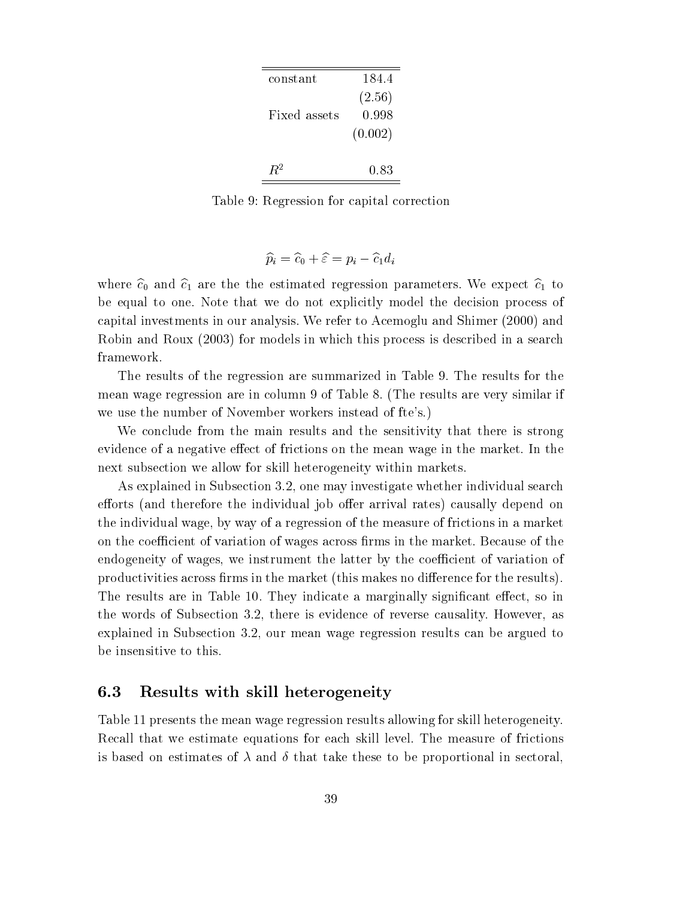| constant     | 184.4   |  |
|--------------|---------|--|
|              | (2.56)  |  |
| Fixed assets | 0.998   |  |
|              | (0.002) |  |
| $P^2$        | 0.83    |  |

Table 9: Regression for capital correction

$$
\widehat{p}_i = \widehat{c}_0 + \widehat{\varepsilon} = p_i - \widehat{c}_1 d_i
$$

where  $\hat{c}_0$  and  $\hat{c}_1$  are the the estimated regression parameters. We expect  $\hat{c}_1$  to be equal to one. Note that we do not explicitly model the decision process of capital investments in our analysis. We refer to Acemoglu and Shimer (2000) and Robin and Roux (2003) for models in which this process is described in a search framework.

The results of the regression are summarized in Table 9.The results for the mean wage regression are in column 9 of Table 8. (The results are very similar if we use the number of November workers instead of fte's.)

We conclude from the main results and the sensitivity that there is strong evidence of a negative effect of frictions on the mean wage in the market. In the next subsection we allow for skill heterogeneity within markets.

As explained in Subsection 3.2, one may investigate whether individual search efforts (and therefore the individual job offer arrival rates) causally depend on the individual wage, by way of a regression of the measure of frictions in a market on the coefficient of variation of wages across firms in the market. Because of the endogeneity of wages, we instrument the latter by the coefficient of variation of productivities across firms in the market (this makes no difference for the results). The results are in Table 10. They indicate a marginally significant effect, so in the words of Subsection 3.2, there is evidence of reverse causality. However, as explained in Subsection 3.2, our mean wage regression results can be argued to be insensitive to this.

#### 6.3 Results with skill heterogeneity

Table 11 presents the mean wage regression results allowing for skill heterogeneity. Recall that we estimate equations for each skill level. The measure of frictions is based on estimates of  $\lambda$  and  $\delta$  that take these to be proportional in sectoral,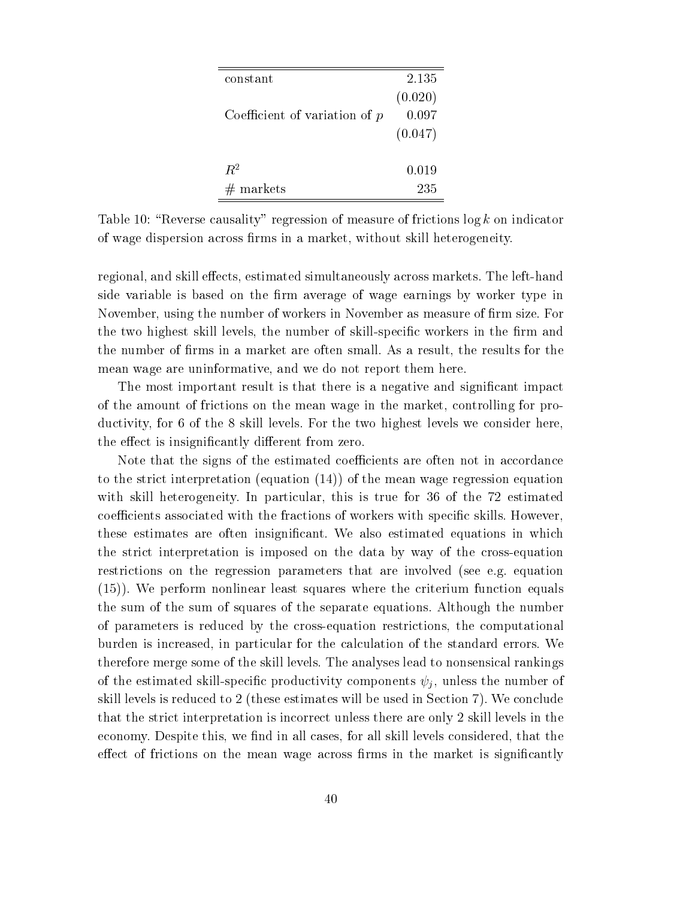| constant                        | 2.135   |
|---------------------------------|---------|
|                                 | (0.020) |
| Coefficient of variation of $p$ | 0.097   |
|                                 | (0.047) |
|                                 |         |
| $R^2$                           | 0.019   |
| markets                         | 235     |

Table 10: "Reverse causality" regression of measure of frictions  $\log k$  on indicator of wage dispersion across rms in a market, without skill heterogeneity.

regional, and skill effects, estimated simultaneously across markets. The left-hand side variable is based on the firm average of wage earnings by worker type in November, using the number of workers in November as measure of firm size. For the two highest skill levels, the number of skill-specific workers in the firm and the number of firms in a market are often small. As a result, the results for the mean wage are uninformative, and we do not report them here.

The most important result is that there is a negative and significant impact of the amount of frictions on the mean wage in the market, controlling for productivity, for 6 of the 8 skill levels. For the two highest levels we consider here, the effect is insignificantly different from zero.

Note that the signs of the estimated coefficients are often not in accordance to the strict interpretation (equation (14)) of the mean wage regression equation with skill heterogeneity. In particular, this is true for 36 of the 72 estimated coefficients associated with the fractions of workers with specific skills. However, these estimates are often insignicant. We also estimated equations in which the strict interpretation isimposed on the data by way of the cross-equation restrictions on the regression parameters that are involved (see e.g. equation (15)). We perform nonlinear least squares where the criterium function equals the sum of the sum of squares of the separate equations. Although the number of parameters is reduced by the cross-equation restrictions, the computational burden is increased, in particular for the calculation of the standard errors. We therefore merge some of the skill levels. The analyses lead to nonsensical rankings of the estimated skill-specific productivity components  $\psi_j$ , unless the number of skill levels is reduced to 2 (these estimates will be used in Section 7). We conclude that the strict interpretation is incorrect unless there are only 2 skill levels in the economy. Despite this, we find in all cases, for all skill levels considered, that the effect of frictions on the mean wage across firms in the market is significantly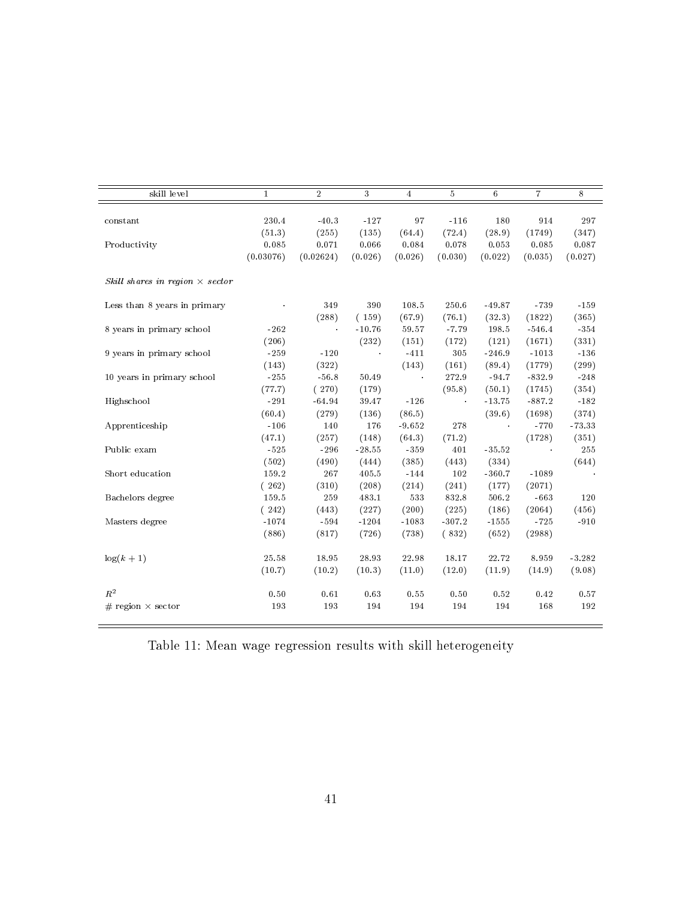| skill level                            | $\mathbf{1}$ | $\overline{2}$ | 3        | $\overline{4}$ | $\overline{5}$ | $\,6\,$  | $\overline{7}$ | 8        |
|----------------------------------------|--------------|----------------|----------|----------------|----------------|----------|----------------|----------|
|                                        |              |                |          |                |                |          |                |          |
| constant                               | 230.4        | $-40.3$        | $-127$   | 97             | $-116$         | 180      | 914            | 297      |
|                                        | (51.3)       | (255)          | (135)    | (64.4)         | (72.4)         | (28.9)   | (1749)         | (347)    |
| Productivity                           | 0.085        | 0.071          | 0.066    | 0.084          | 0.078          | 0.053    | 0.085          | 0.087    |
|                                        | (0.03076)    | (0.02624)      | (0.026)  | (0.026)        | (0.030)        | (0.022)  | (0.035)        | (0.027)  |
| Skill shares in region $\times$ sector |              |                |          |                |                |          |                |          |
| Less than 8 years in primary           |              | 349            | 390      | 108.5          | 250.6          | $-49.87$ | $-739$         | $-159$   |
|                                        |              | (288)          | (159)    | (67.9)         | (76.1)         | (32.3)   | (1822)         | (365)    |
| 8 years in primary school              | $-262$       | $\alpha$       | $-10.76$ | 59.57          | $-7.79$        | 198.5    | $-546.4$       | $-354$   |
|                                        | (206)        |                | (232)    | (151)          | (172)          | (121)    | (1671)         | (331)    |
| 9 years in primary school              | $-259$       | $-120$         | $\sim$   | $-411$         | 305            | $-246.9$ | $-1013$        | $-136$   |
|                                        | (143)        | (322)          |          | (143)          | (161)          | (89.4)   | (1779)         | (299)    |
| 10 years in primary school             | $-255$       | $-56.8$        | 50.49    | $\sim$         | 272.9          | $-94.7$  | $-832.9$       | $-248$   |
|                                        | (77.7)       | (270)          | (179)    |                | (95.8)         | (50.1)   | (1745)         | (354)    |
| Highschool                             | $-291$       | $-64.94$       | 39.47    | $-126$         | $\alpha$       | $-13.75$ | $-887.2$       | $-182$   |
|                                        | (60.4)       | (279)          | (136)    | (86.5)         |                | (39.6)   | (1698)         | (374)    |
| Apprenticeship                         | $-106$       | 140            | 176      | $-9.652$       | 278            | $\sim$   | $-770$         | $-73.33$ |
|                                        | (47.1)       | (257)          | (148)    | (64.3)         | (71.2)         |          | (1728)         | (351)    |
| Public exam                            | $-525$       | $-296$         | $-28.55$ | $-359$         | 401            | $-35.52$ |                | 255      |
|                                        | (502)        | (490)          | (444)    | (385)          | (443)          | (334)    |                | (644)    |
| Short education                        | 159.2        | 267            | 405.5    | $-144$         | 102            | $-360.7$ | $-1089$        | $\sim$   |
|                                        | (262)        | (310)          | (208)    | (214)          | (241)          | (177)    | (2071)         |          |
| Bachelors degree                       | 159.5        | 259            | 483.1    | 533            | 832.8          | 506.2    | $-663$         | 120      |
|                                        | (242)        | (443)          | (227)    | (200)          | (225)          | (186)    | (2064)         | (456)    |
| Masters degree                         | $-1074$      | $-594$         | $-1204$  | $-1083$        | $-307.2$       | $-1555$  | $-725$         | $-910$   |
|                                        | (886)        | (817)          | (726)    | (738)          | (832)          | (652)    | (2988)         |          |
| $\log(k+1)$                            | 25.58        | 18.95          | 28.93    | 22.98          | 18.17          | 22.72    | 8.959          | $-3.282$ |
|                                        | (10.7)       | (10.2)         | (10.3)   | (11.0)         | (12.0)         | (11.9)   | (14.9)         | (9.08)   |
| $R^2$                                  | 0.50         | 0.61           | 0.63     | 0.55           | 0.50           | 0.52     | 0.42           | 0.57     |
| $#$ region $\times$ sector             | 193          | 193            | 194      | 194            | 194            | 194      | 168            | 192      |

Table 11: Mean wage regression results with skill heterogeneity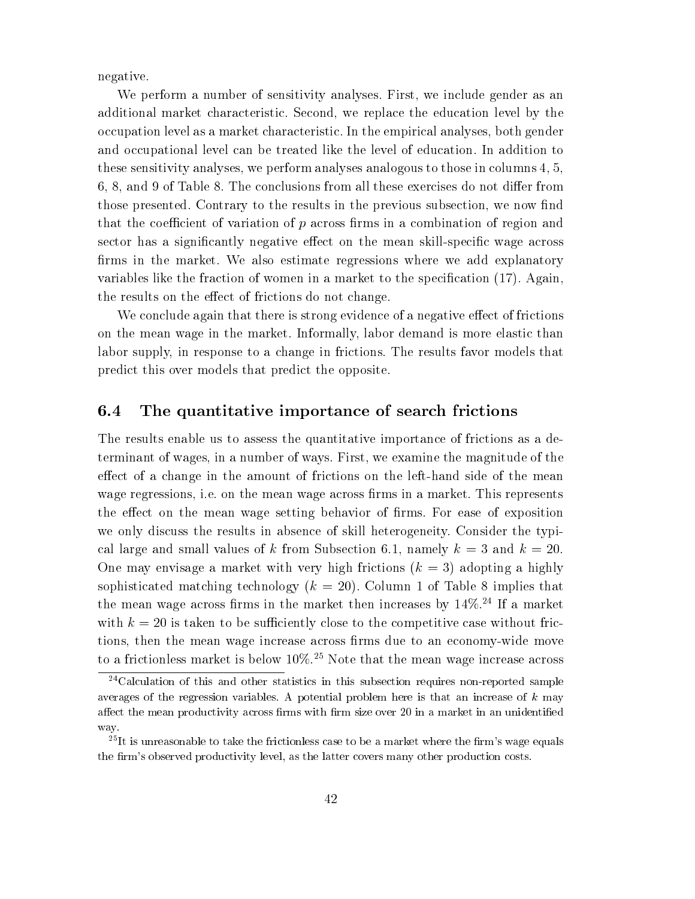negative.

We perform a number of sensitivity analyses. First, we include gender as an additional market characteristic. Second, we replace the education level by the occupation level as a market characteristic. In the empirical analyses, both gender and occupational level can be treated like the level of education. In addition to these sensitivity analyses, we perform analyses analogous to those in columns 4, 5,  $6, 8,$  and  $9$  of Table 8. The conclusions from all these exercises do not differ from those presented. Contrary to the results in the previous subsection, we now find that the coefficient of variation of  $p$  across firms in a combination of region and sector has a significantly negative effect on the mean skill-specific wage across firms in the market. We also estimate regressions where we add explanatory variables like the fraction of women in a market to the specification (17). Again, the results on the effect of frictions do not change.

We conclude again that there is strong evidence of a negative effect of frictions on the mean wage in the market. Informally, labor demand is more elastic than labor supply, in response to a change in frictions. The results favor models that predict this over models that predict the opposite.

#### 6.4 The quantitative importance of search frictions

The results enable us to assess the quantitative importance of frictions as a determinant of wages, in a number of ways. First, we examine the magnitude of the effect of a change in the amount of frictions on the left-hand side of the mean wage regressions, i.e. on the mean wage across firms in a market. This represents the effect on the mean wage setting behavior of firms. For ease of exposition we only discuss the results in absence of skill heterogeneity. Consider the typical large and small values of k from Subsection 6.1, namely  $k = 3$  and  $k = 20$ . One may envisage a market with very high frictions  $(k = 3)$  adopting a highly sophisticated matching technology  $(k = 20)$ . Column 1 of Table 8 implies that the mean wage across firms in the market then increases by  $14\%$ <sup>24</sup> If a market with  $k = 20$  is taken to be sufficiently close to the competitive case without frictions, then the mean wage increase across firms due to an economy-wide move to a frictionless market is below  $10\%$ .<sup>25</sup> Note that the mean wage increase across

 $24$ Calculation of this and other statistics in this subsection requires non-reported sample averages of the regression variables. A potential problem here is that an increase of  $k$  may affect the mean productivity across firms with firm size over 20 in a market in an unidentified way.

<sup>&</sup>lt;sup>25</sup>It is unreasonable to take the frictionless case to be a market where the firm's wage equals the firm's observed productivity level, as the latter covers many other production costs.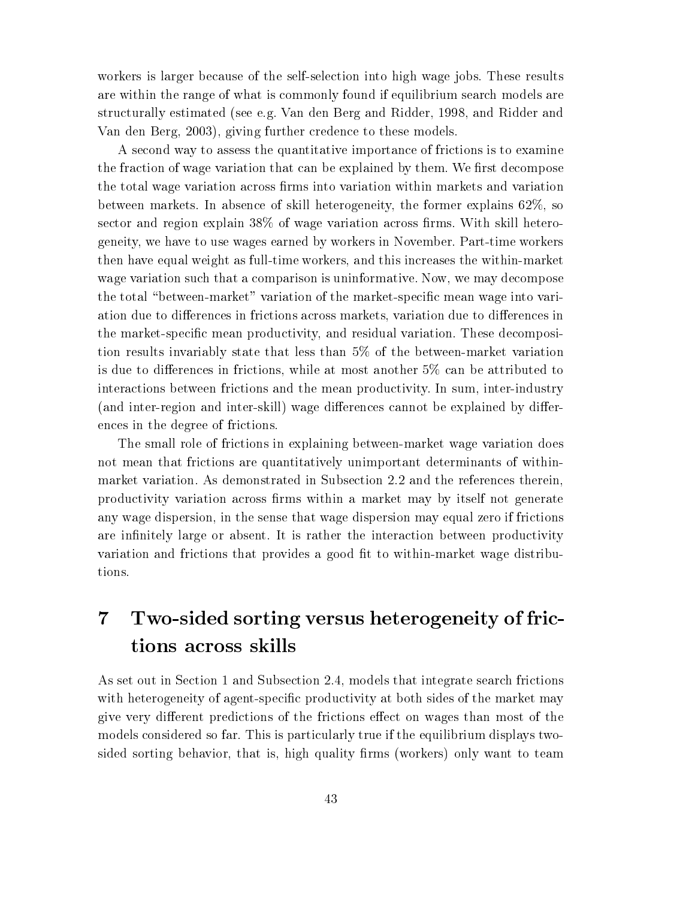workers is larger because of the self-selection into high wage jobs. These results are within the range of what is commonly found if equilibrium search models are structurally estimated (see e.g. Van den Berg and Ridder, 1998, and Ridder and Van den Berg, 2003), giving further credence to these models.

A second way to assess the quantitative importance of frictions is to examine the fraction of wage variation that can be explained by them. We first decompose the total wage variation across firms into variation within markets and variation between markets. In absence of skill heterogeneity, the former explains 62%, so sector and region explain  $38\%$  of wage variation across firms. With skill heterogeneity, we have to use wages earned by workers in November. Part-time workers then have equal weight as full-time workers, and this increases the within-market wage variation such that a comparison is uninformative. Now, we may decompose the total "between-market" variation of the market-specific mean wage into variation due to differences in frictions across markets, variation due to differences in the market-specic mean productivity, and residual variation. These decomposition results invariably state that less than 5% of the between-market variation is due to differences in frictions, while at most another  $5\%$  can be attributed to interactions between frictions and the mean productivity. In sum, inter-industry (and inter-region and inter-skill) wage differences cannot be explained by differences in the degree of frictions.

The small role of frictions in explaining between-market wage variation does not mean that frictions are quantitatively unimportant determinants of withinmarket variation. As demonstrated in Subsection 2.2 and the references therein, productivity variation across firms within a market may by itself not generate any wage dispersion, in the sense that wage dispersion may equal zero if frictions are infinitely large or absent. It is rather the interaction between productivity variation and frictions that provides a good fit to within-market wage distributions.

## 7 Two-sided sorting versus heterogeneity of frictions across skills

As set out in Section 1 and Subsection 2.4, models that integrate search frictions with heterogeneity of agent-specific productivity at both sides of the market may give very different predictions of the frictions effect on wages than most of the models considered so far. This is particularly true if the equilibrium displays twosided sorting behavior, that is, high quality firms (workers) only want to team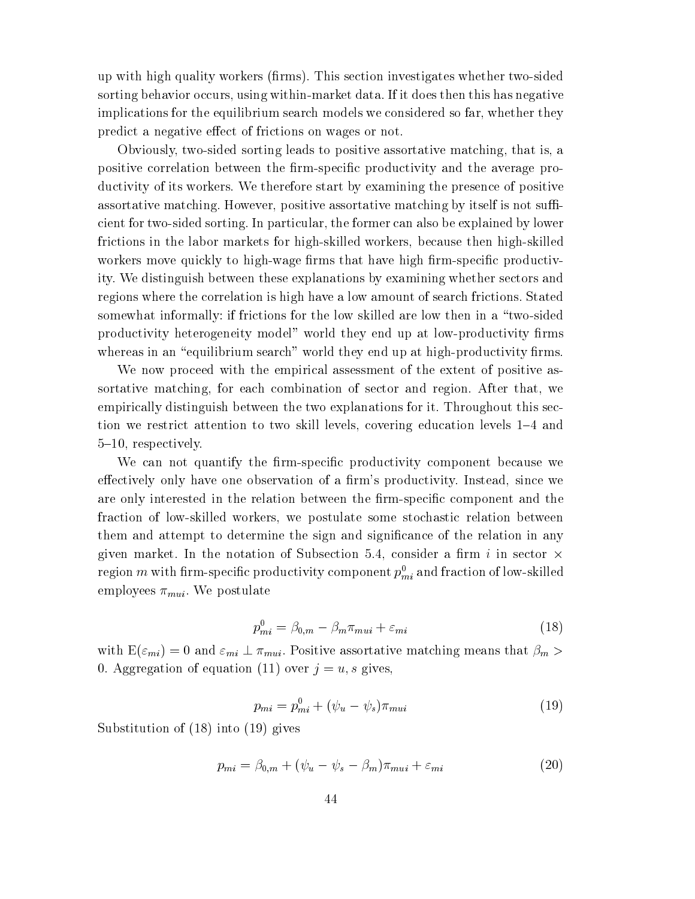up with high quality workers (firms). This section investigates whether two-sided sorting behavior occurs, using within-market data. If it does then this has negative implications for the equilibrium search models we considered so far, whether they predict a negative effect of frictions on wages or not.

Obviously, two-sided sorting leads to positive assortative matching, that is, a positive correlation between the firm-specific productivity and the average productivity of its workers. We therefore start by examining the presence of positive assortative matching. However, positive assortative matching by itself is not sufficient for two-sided sorting. In particular, the former can also be explained by lower frictions in the labor markets for high-skilled workers, because then high-skilled workers move quickly to high-wage firms that have high firm-specific productivity. We distinguish between these explanations by examining whether sectors and regions where the correlation is high have a low amount of search frictions. Stated somewhat informally: if frictions for the low skilled are low then in a "two-sided productivity heterogeneity model" world they end up at low-productivity firms whereas in an "equilibrium search" world they end up at high-productivity firms.

We now proceed with the empirical assessment of the extent of positive assortative matching, for each combination of sector and region. After that, we empirically distinguish between the two explanations for it. Throughout this section we restrict attention to two skill levels, covering education levels 1{4 and 5{10, respectively.

We can not quantify the firm-specific productivity component because we effectively only have one observation of a firm's productivity. Instead, since we are only interested in the relation between the firm-specific component and the fraction of low-skilled workers, we postulate some stochastic relation between them and attempt to determine the sign and signicance of the relation in any  $\Omega$ iven market. In the notation of Subsection 3.4, consider a manufacture sector  $\Omega$ region  $m$  with hrm-specific productivity component  $p_{mi}^{}$  and fraction of low-skilled employees  $\pi_{mui}$ . We postulate

$$
p_{mi}^0 = \beta_{0,m} - \beta_m \pi_{mui} + \varepsilon_{mi} \tag{18}
$$

with  $E(\varepsilon_{mi}) = 0$  and  $\varepsilon_{mi} \perp \pi_{mui}$ . Positive assortative matching means that  $\beta_m >$ 0. Aggregation of equation (11) over  $j = u$ , s gives,

$$
p_{mi} = p_{mi}^0 + (\psi_u - \psi_s)\pi_{mui} \tag{19}
$$

Substitution of (18) into (19) gives

$$
p_{mi} = \beta_{0,m} + (\psi_u - \psi_s - \beta_m)\pi_{mui} + \varepsilon_{mi} \tag{20}
$$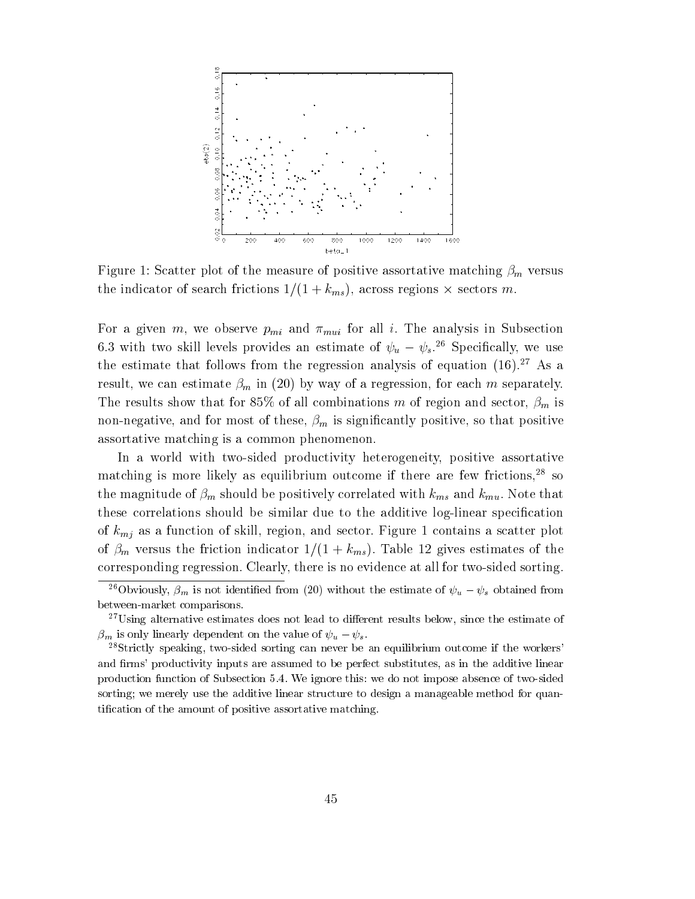

Figure 1: Scatter plot of the measure of positive assortative matching  $\beta_m$  versus  $\mathbf{1}$  indicator  $\mathbf{1}$  indicator  $\mathbf{1}$ 

For a given m, we observe  $p_{mi}$  and  $\pi_{mui}$  for all i. The analysis in Subsection 6.3 with two skill levels provides an estimate of  $\psi_u - \psi_s$ .<sup>26</sup> Specifically, we use the estimate that follows from the regression analysis of equation  $(16)$ .<sup>27</sup> As a result, we can estimate  $\beta_m$  in (20) by way of a regression, for each m separately. The results show that for 85% of all combinations m of region and sector,  $\beta_m$  is non-negative, and for most of these,  $\beta_m$  is significantly positive, so that positive assortative matching is a common phenomenon.

In a world with two-sided productivity heterogeneity, positive assortative matching is more likely as equilibrium outcome if there are few frictions,<sup>28</sup> so the magnitude of  $\beta_m$  should be positively correlated with  $k_{ms}$  and  $k_{mu}$ . Note that these correlations should be similar due to the additive log-linear specication of  $k_{mi}$  as a function of skill, region, and sector. Figure 1 contains a scatter plot of  $\beta_m$  versus the friction indicator  $1/(1 + k_{ms})$ . Table 12 gives estimates of the corresponding regression. Clearly, there is no evidence at all for two-sided sorting.

<sup>&</sup>lt;sup>26</sup>Obviously,  $\beta_m$  is not identified from (20) without the estimate of  $\psi_u - \psi_s$  obtained from between-market comparisons.

 $27$ Using alternative estimates does not lead to different results below, since the estimate of  $\beta_m$  is only linearly dependent on the value of  $\psi_u - \psi_s$ .

<sup>&</sup>lt;sup>28</sup>Strictly speaking, two-sided sorting can never be an equilibrium outcome if the workers' and firms' productivity inputs are assumed to be perfect substitutes, as in the additive linear production function of Subsection 5.4. We ignore this: we do not impose absence of two-sided sorting; we merely use the additive linear structure to design a manageable method for quantication of the amount of positive assortative matching.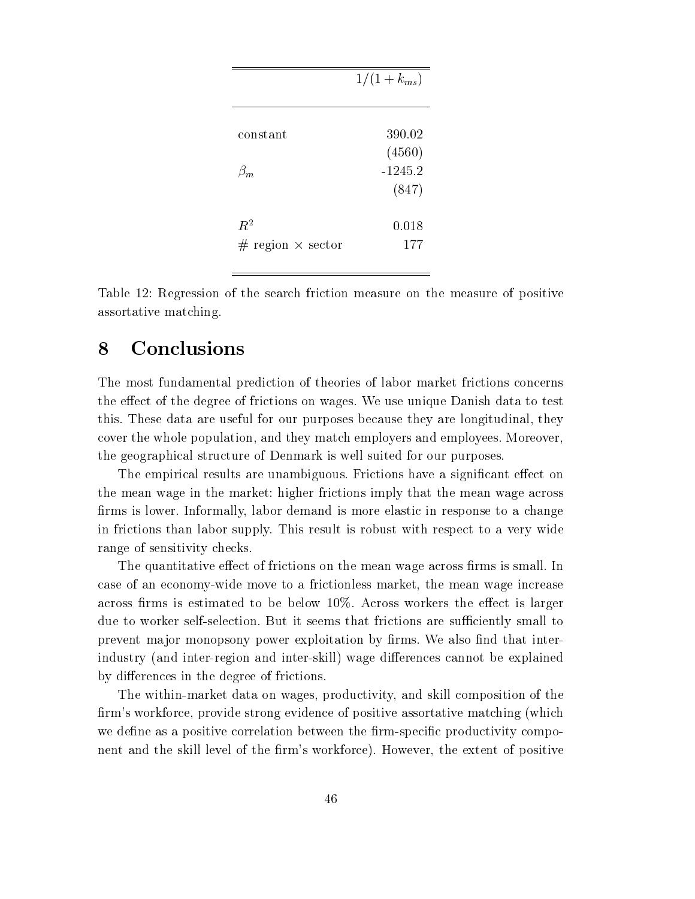|                            | $1/(1 + k_{ms})$ |
|----------------------------|------------------|
|                            |                  |
| constant                   | 390.02           |
|                            | (4560)           |
| $\beta_m$                  | $-1245.2$        |
|                            | (847)            |
| $\mathbb{R}^2$             | 0.018            |
| $#$ region $\times$ sector | 177              |

Table 12: Regression of the search friction measure on the measure of positive assortative matching.

## 8 Conclusions

The most fundamental prediction of theories of labor market frictions concerns the effect of the degree of frictions on wages. We use unique Danish data to test this. These data are useful for our purposes because they are longitudinal, they cover the whole population, and they match employers and employees. Moreover, the geographical structure of Denmark is well suited for our purposes.

The empirical results are unambiguous. Frictions have a significant effect on the mean wage in the market: higher frictions imply that the mean wage across firms is lower. Informally, labor demand is more elastic in response to a change in frictions than labor supply. This result is robust with respect to a very wide range of sensitivity checks.

The quantitative effect of frictions on the mean wage across firms is small. In case of an economy-wide move to a frictionless market, the mean wage increase across firms is estimated to be below  $10\%$ . Across workers the effect is larger due to worker self-selection. But it seems that frictions are sufficiently small to prevent major monopsony power exploitation by firms. We also find that interindustry (and inter-region and inter-skill) wage differences cannot be explained by differences in the degree of frictions.

The within-market data on wages, productivity, and skill composition of the firm's workforce, provide strong evidence of positive assortative matching (which we define as a positive correlation between the firm-specific productivity component and the skill level of the firm's workforce). However, the extent of positive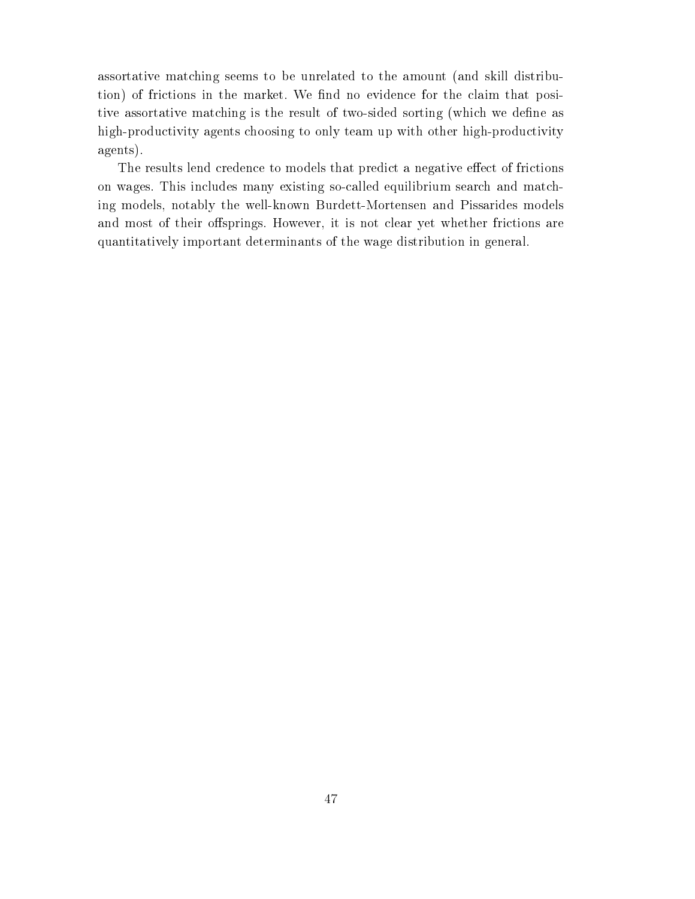assortative matching seems to be unrelated to the amount (and skill distribution) of frictions in the market. We find no evidence for the claim that positive assortative matching is the result of two-sided sorting (which we define as high-productivity agents choosing to only team up with other high-productivity agents).

The results lend credence to models that predict a negative effect of frictions on wages. This includes many existing so-called equilibrium search and matching models, notably the well-known Burdett-Mortensen and Pissarides models and most of their offsprings. However, it is not clear yet whether frictions are quantitatively important determinants of the wage distribution in general.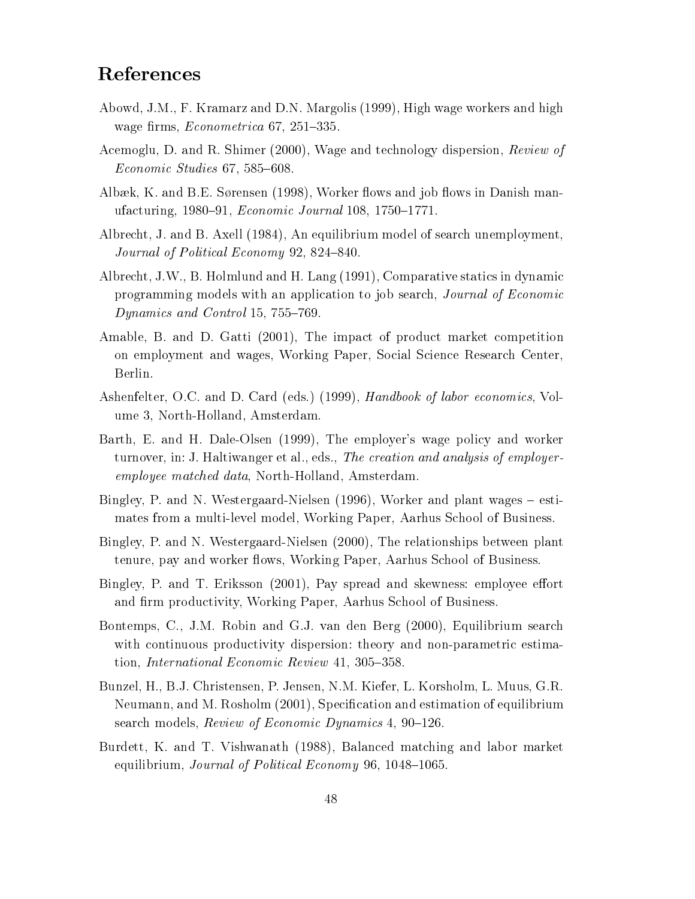## References

- Abowd, J.M., F. Kramarz and D.N. Margolis (1999), High wage workers and high wage firms,  $Econometrica 67, 251-335$ .
- Acemoglu, D. and R. Shimer (2000), Wage and technology dispersion, Review of  $Economic Studies 67, 585–608.$
- Albæk, K. and B.E. Sørensen (1998), Worker flows and job flows in Danish manufacturing,  $1980{-}91$ , *Economic Journal* 108, 1750-1771.
- Albrecht, J. and B. Axell (1984), An equilibrium model of search unemployment, Journal of Political Economy 92, 824-840.
- Albrecht, J.W., B. Holmlund and H. Lang (1991), Comparative statics in dynamic programming models with an application to job search, Journal of Economic Dynamics and Control 15, 755-769.
- Amable, B. and D. Gatti (2001), The impact of product market competition on employment and wages, Working Paper, Social Science Research Center, Berlin.
- Ashenfelter, O.C. and D. Card (eds.) (1999), Handbook of labor economics, Volume 3, North-Holland, Amsterdam.
- Barth, E. and H. Dale-Olsen (1999), The employer's wage policy and worker turnover, in: J. Haltiwanger et al., eds., The creation and analysis of employeremployee matched data, North-Holland, Amsterdam.
- Bingley, P. and N. Westergaard-Nielsen  $(1996)$ , Worker and plant wages  $-$  estimates from a multi-level model, Working Paper, Aarhus School of Business.
- Bingley, P. and N. Westergaard-Nielsen (2000), The relationships between plant tenure, pay and worker flows, Working Paper, Aarhus School of Business.
- Bingley, P. and T. Eriksson (2001), Pay spread and skewness: employee effort and firm productivity, Working Paper, Aarhus School of Business.
- Bontemps, C., J.M. Robin and G.J. van den Berg (2000), Equilibrium search with continuous productivity dispersion: theory and non-parametric estimation, International Economic Review  $41, 305-358$ .
- Bunzel, H., B.J. Christensen, P. Jensen, N.M. Kiefer, L. Korsholm, L. Muus, G.R. Neumann, and M. Rosholm (2001), Specication and estimation of equilibrium search models, Review of Economic Dynamics 4, 90-126.
- Burdett, K. and T. Vishwanath (1988), Balanced matching and labor market equilibrium, Journal of Political Economy 96, 1048-1065.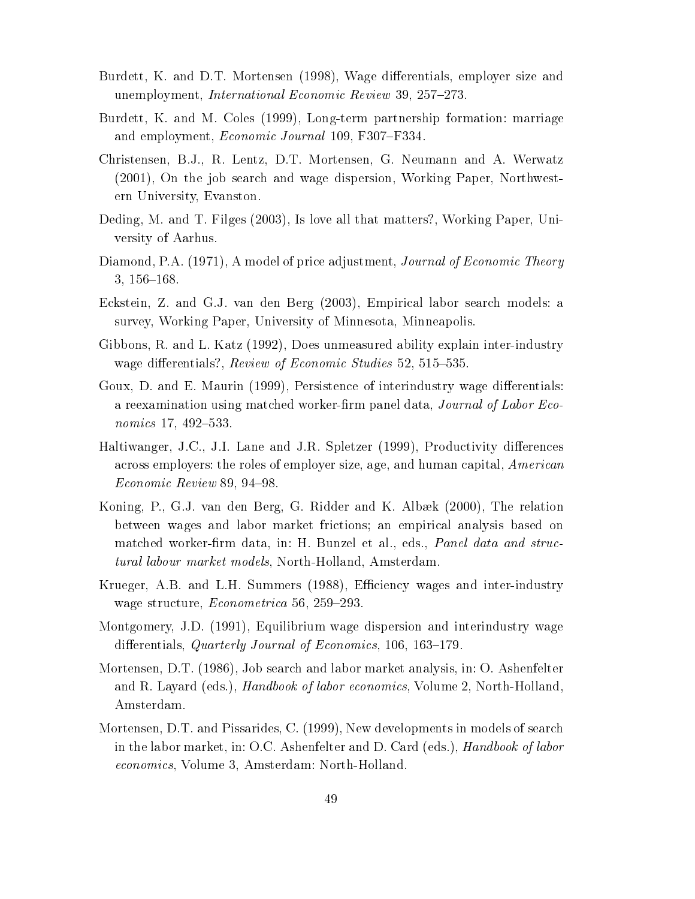- Burdett, K. and D.T. Mortensen (1998), Wage differentials, employer size and unemployment, *International Economic Review* 39, 257-273.
- Burdett, K. and M. Coles (1999), Long-term partnership formation: marriage and employment, *Economic Journal* 109, F307-F334.
- Christensen, B.J., R. Lentz, D.T. Mortensen, G. Neumann and A. Werwatz (2001), On the job search and wage dispersion, Working Paper, Northwestern University, Evanston.
- Deding, M. and T. Filges (2003), Is love all that matters?, Working Paper, University of Aarhus.
- Diamond, P.A. (1971), A model of price adjustment, *Journal of Economic Theory*  $3, 156 - 168.$
- Eckstein, Z. and G.J. van den Berg (2003), Empirical labor search models: a survey, Working Paper, University of Minnesota, Minneapolis.
- Gibbons, R. and L. Katz (1992), Does unmeasured ability explain inter-industry wage differentials?, Review of Economic Studies 52, 515-535.
- Goux, D. and E. Maurin (1999), Persistence of interindustry wage differentials: a reexamination using matched worker-firm panel data, Journal of Labor Economics  $17, 492 - 533$ .
- Haltiwanger, J.C., J.I. Lane and J.R. Spletzer (1999), Productivity differences across employers: the roles of employer size, age, and human capital, *American*  $E_{conomic\; Review\;89,\;94-98.}$
- Koning, P., G.J. van den Berg, G. Ridder and K. Albæk (2000), The relation between wages and labor market frictions; an empirical analysis based on matched worker-firm data, in: H. Bunzel et al., eds., *Panel data and struc*tural labour market models, North-Holland, Amsterdam.
- Krueger, A.B. and L.H. Summers (1988), Efficiency wages and inter-industry wage structure, *Econometrica* 56, 259-293.
- Montgomery, J.D. (1991), Equilibrium wage dispersion and interindustry wage differentials, Quarterly Journal of Economics,  $106, 163-179$ .
- Mortensen, D.T. (1986), Job search and labor market analysis, in: O. Ashenfelter and R. Layard (eds.), *Handbook of labor economics*, Volume 2, North-Holland, Amsterdam.
- Mortensen, D.T. and Pissarides, C. (1999), New developments in models of search in the labor market, in: O.C. Ashenfelter and D. Card (eds.), Handbook of labor economics, Volume 3, Amsterdam: North-Holland.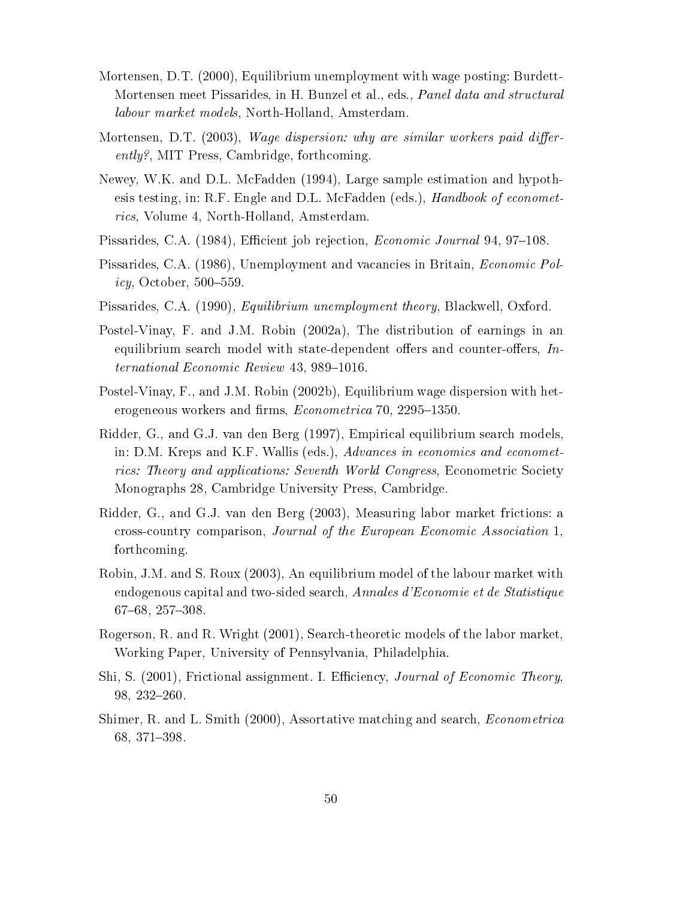- Mortensen, D.T. (2000), Equilibrium unemployment with wage posting: Burdett-Mortensen meet Pissarides, in H. Bunzel et al., eds., Panel data and structural labour market models, North-Holland, Amsterdam.
- Mortensen, D.T. (2003), Wage dispersion: why are similar workers paid differently?, MIT Press, Cambridge, forthcoming.
- Newey, W.K. and D.L. McFadden (1994), Large sample estimation and hypothesis testing, in: R.F. Engle and D.L. McFadden (eds.), *Handbook of economet*rics, Volume 4, North-Holland, Amsterdam.
- Pissarides, C.A. (1984), Efficient job rejection, *Economic Journal* 94, 97–108.
- Pissarides, C.A. (1986), Unemployment and vacancies in Britain, Economic Pol*icy*, October,  $500-559$ .
- Pissarides, C.A. (1990), Equilibrium unemployment theory, Blackwell, Oxford.
- Postel-Vinay, F. and J.M. Robin (2002a), The distribution of earnings in an equilibrium search model with state-dependent offers and counter-offers,  $In$  $ternational Economic Review 43, 989-1016.$
- Postel-Vinay, F., and J.M. Robin (2002b), Equilibrium wage dispersion with heterogeneous workers and firms, *Econometrica* 70, 2295–1350.
- Ridder, G., and G.J. van den Berg (1997), Empirical equilibrium search models, in: D.M. Kreps and K.F. Wallis (eds.), Advances in economics and econometrics: Theory and applications: Seventh World Congress, Econometric Society Monographs 28, Cambridge University Press, Cambridge.
- Ridder, G., and G.J. van den Berg (2003), Measuring labor market frictions: a cross-country comparison, Journal of the European Economic Association 1, forthcoming.
- Robin, J.M. and S. Roux (2003), An equilibrium model of the labour market with endogenous capital and two-sided search, Annales d'Economie et de Statistique  $67{-}68, 257{-}308.$
- Rogerson, R. and R. Wright (2001), Search-theoretic models of the labor market, Working Paper, University of Pennsylvania, Philadelphia.
- Shi, S. (2001), Frictional assignment. I. Efficiency, Journal of Economic Theory,  $98, 232 - 260.$
- Shimer, R. and L. Smith (2000), Assortative matching and search, Econometrica 68, 371-398.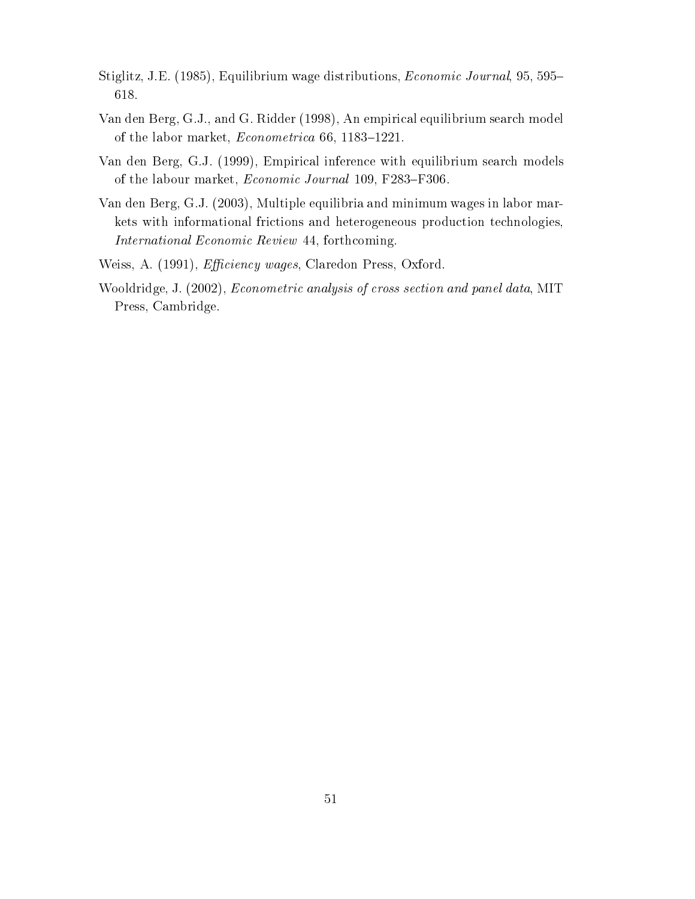- Stiglitz, J.E. (1985), Equilibrium wage distributions, *Economic Journal*, 95, 595– 618.
- Van den Berg, G.J., and G. Ridder (1998), An empirical equilibrium search model of the labor market,  $Econometrica$  66, 1183-1221.
- Van den Berg, G.J. (1999), Empirical inference with equilibrium search models of the labour market, *Economic Journal* 109, F283-F306.
- Van den Berg, G.J. (2003), Multiple equilibria and minimum wages in labor markets with informational frictions and heterogeneous production technologies, International Economic Review 44, forthcoming.
- Weiss, A. (1991), *Efficiency wages*, Claredon Press, Oxford.
- Wooldridge, J. (2002), Econometric analysis of cross section and panel data, MIT Press, Cambridge.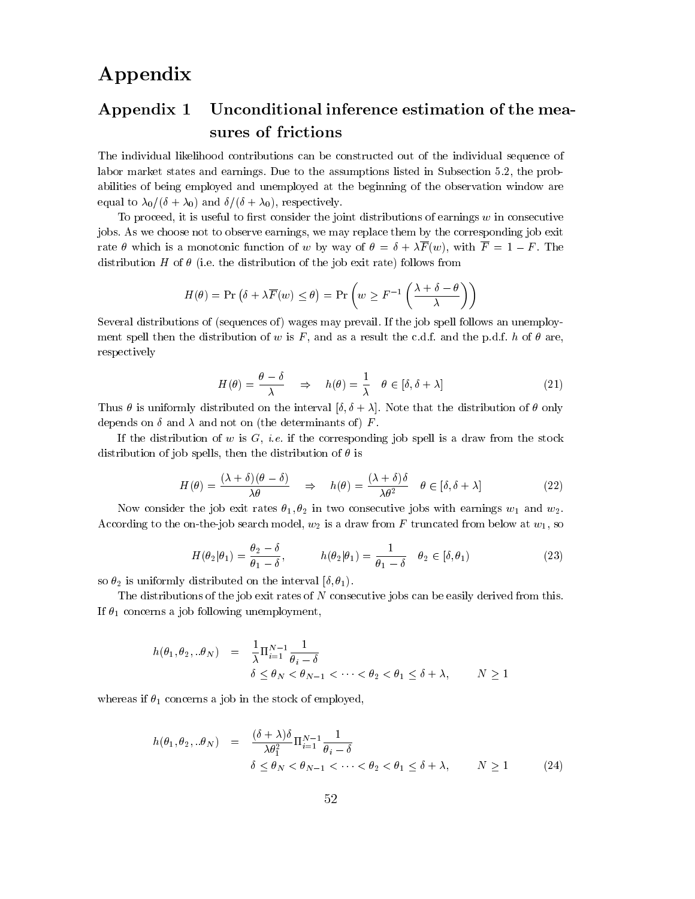## Appendix

## Appendix 1 Unconditional inference estimation of the measures of frictions

The individual likelihood contributions can be constructed out of the individual sequence of labor market states and earnings. Due to the assumptions listed in Subsection 5.2, the probabilities of being employed and unemployed atthe beginning of the observation window are equal to  $\lambda_0/(\delta + \lambda_0)$  and  $\delta/(\delta + \lambda_0)$ , respectively.

To proceed, it is useful to first consider the joint distributions of earnings  $w$  in consecutive jobs. As we choose not to observe earnings, we may replace them by the corresponding job exit rate  $\theta$  which is a monotonic function of w by way of  $\theta = \delta + \lambda \overline{F}(w)$ , with  $\overline{F} = 1 - F$ . The distribution H of  $\theta$  (i.e. the distribution of the job exit rate) follows from

$$
H(\theta) = \Pr(\delta + \lambda \overline{F}(w) \le \theta) = \Pr(w \ge F^{-1}\left(\frac{\lambda + \delta - \theta}{\lambda}\right))
$$

Several distributions of (sequences of) wages may prevail. If the job spell follows an unemployment spell then the distribution of w is F, and as a result the c.d.f. and the p.d.f. h of  $\theta$  are, respectively

$$
H(\theta) = \frac{\theta - \delta}{\lambda} \quad \Rightarrow \quad h(\theta) = \frac{1}{\lambda} \quad \theta \in [\delta, \delta + \lambda]
$$
 (21)

Thus  $\theta$  is uniformly distributed on the interval  $[\delta, \delta + \lambda]$ . Note that the distribution of  $\theta$  only depends on  $\delta$  and  $\lambda$  and not on (the determinants of) F.

If the distribution of  $w$  is  $G$ , *i.e.* if the corresponding job spell is a draw from the stock distribution of job spells, then the distribution of  $\theta$  is

$$
H(\theta) = \frac{(\lambda + \delta)(\theta - \delta)}{\lambda \theta} \quad \Rightarrow \quad h(\theta) = \frac{(\lambda + \delta)\delta}{\lambda \theta^2} \quad \theta \in [\delta, \delta + \lambda]
$$
 (22)

Now consider the job exit rates  $\theta_1, \theta_2$  in two consecutive jobs with earnings  $w_1$  and  $w_2$ . According to the on-the-job search model,  $w_2$  is a draw from F truncated from below at  $w_1$ , so

$$
H(\theta_2|\theta_1) = \frac{\theta_2 - \delta}{\theta_1 - \delta}, \qquad h(\theta_2|\theta_1) = \frac{1}{\theta_1 - \delta} \quad \theta_2 \in [\delta, \theta_1)
$$
 (23)

so  $\theta_2$  is uniformly distributed on the interval  $[\delta, \theta_1)$ .

The distributions of the job exit rates of  $N$  consecutive jobs can be easily derived from this. If  $\theta_1$  concerns a job following unemployment,

$$
h(\theta_1, \theta_2, \ldots \theta_N) = \frac{1}{\lambda} \Pi_{i=1}^{N-1} \frac{1}{\theta_i - \delta}
$$
  

$$
\delta \leq \theta_N < \theta_{N-1} < \cdots < \theta_2 < \theta_1 \leq \delta + \lambda, \qquad N \geq 1
$$

whereas if  $\theta_1$  concerns a job in the stock of employed,

$$
h(\theta_1, \theta_2, \ldots \theta_N) = \frac{(\delta + \lambda)\delta}{\lambda \theta_1^2} \Pi_{i=1}^{N-1} \frac{1}{\theta_i - \delta}
$$
  

$$
\delta \le \theta_N < \theta_{N-1} < \cdots < \theta_2 < \theta_1 \le \delta + \lambda, \qquad N \ge 1 \tag{24}
$$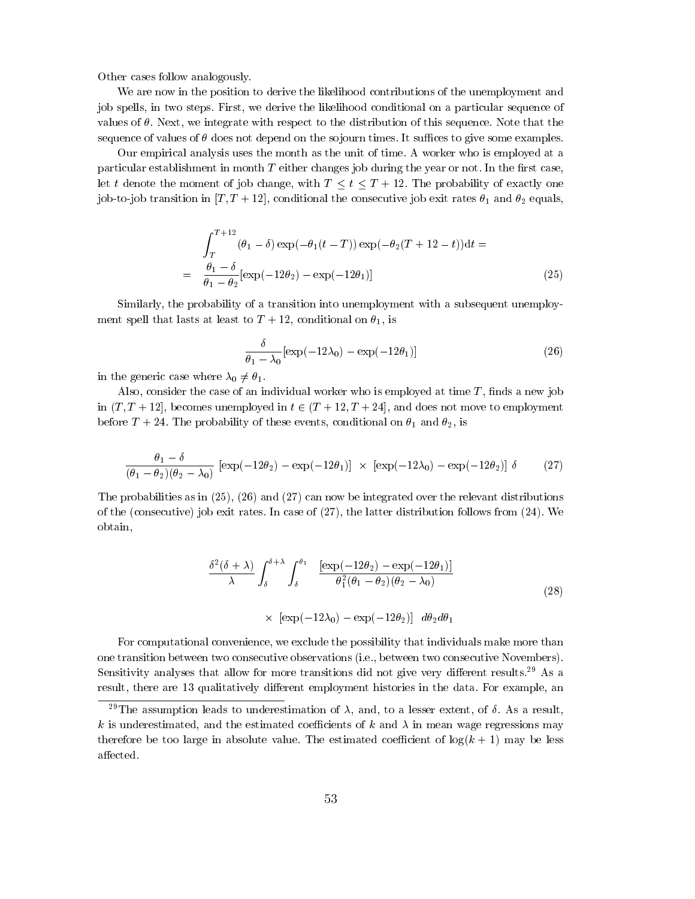Other cases follow analogously.

We are now in the position to derive the likelihood contributions of the unemployment and job spells, in two steps. First, we derive the likelihood conditional on a particular sequence of values of  $\theta$ . Next, we integrate with respect to the distribution of this sequence. Note that the sequence of values of  $\theta$  does not depend on the so journ times. It suffices to give some examples.

Our empirical analysis uses the month as the unit of time. A worker who is employed at a particular establishment in month  $T$  either changes job during the year or not. In the first case, let t denote the moment of job change, with  $T \le t \le T + 12$ . The probability of exactly one job-to-job transition in  $[T, T + 12]$ , conditional the consecutive job exit rates  $\theta_1$  and  $\theta_2$  equals,

$$
\int_{T}^{T+12} (\theta_1 - \delta) \exp(-\theta_1(t - T)) \exp(-\theta_2(T + 12 - t)) dt =
$$
\n
$$
= \frac{\theta_1 - \delta}{\theta_1 - \theta_2} [\exp(-12\theta_2) - \exp(-12\theta_1)]
$$
\n(25)

Similarly, the probability of a transition into unemployment with a subsequent unemployment spell that lasts at least to  $T + 12$ , conditional on  $\theta_1$ , is

$$
\frac{\delta}{\theta_1 - \lambda_0} [\exp(-12\lambda_0) - \exp(-12\theta_1)] \tag{26}
$$

in the generic case where  $\lambda_0 \neq \theta_1$ .

Also, consider the case of an individual worker who is employed at time  $T$ , finds a new job in  $(T, T + 12]$ , becomes unemployed in  $t \in (T + 12, T + 24]$ , and does not move to employment before  $T + 24$ . The probability of these events, conditional on  $\theta_1$  and  $\theta_2$ , is

$$
\frac{\theta_1 - \delta}{(\theta_1 - \theta_2)(\theta_2 - \lambda_0)} \left[ \exp(-12\theta_2) - \exp(-12\theta_1) \right] \times \left[ \exp(-12\lambda_0) - \exp(-12\theta_2) \right] \delta \tag{27}
$$

The probabilities as in (25), (26) and (27) can now be integrated over the relevant distributions of the (consecutive) job exit rates. In case of (27), the latter distribution follows from (24). We obtain,

$$
\frac{\delta^2(\delta+\lambda)}{\lambda} \int_{\delta}^{\delta+\lambda} \int_{\delta}^{\theta_1} \frac{\left[\exp(-12\theta_2) - \exp(-12\theta_1)\right]}{\theta_1^2(\theta_1 - \theta_2)(\theta_2 - \lambda_0)} \times \left[\exp(-12\lambda_0) - \exp(-12\theta_2)\right] d\theta_2 d\theta_1
$$
\n(28)

For computational convenience, we exclude the possibility that individuals make more than one transition between two consecutive observations (i.e., between two consecutive Novembers). Sensitivity analyses that allow for more transitions did not give very different results.<sup>29</sup> As a result, there are 13 qualitatively different employment histories in the data. For example, an

<sup>&</sup>lt;sup>29</sup>The assumption leads to underestimation of  $\lambda$ , and, to a lesser extent, of  $\delta$ . As a result, k is underestimated, and the estimated coefficients of k and  $\lambda$  in mean wage regressions may therefore be too large in absolute value. The estimated coefficient of  $log(k + 1)$  may be less affected.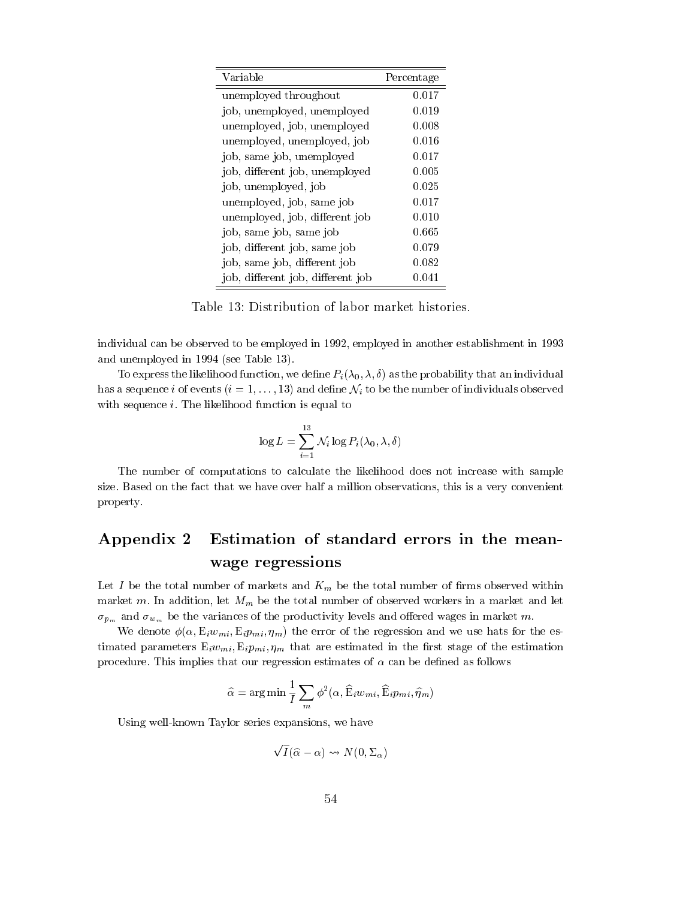| Variable                          | Percentage |
|-----------------------------------|------------|
| unemployed throughout             | 0.017      |
| job, unemployed, unemployed       | 0.019      |
| unemployed, job, unemployed       | 0.008      |
| unemployed, unemployed, job       | 0.016      |
| job, same job, unemployed         | 0.017      |
| job, different job, unemployed    | 0.005      |
| job, unemployed, job              | 0.025      |
| unemployed, job, same job         | 0.017      |
| unemployed, job, different job    | 0.010      |
| job, same job, same job           | 0.665      |
| job, different job, same job      | 0.079      |
| job, same job, different job      | 0.082      |
| job, different job, different job | 0.041      |

Table 13: Distribution of labor market histories.

individual can be observed to be employed in 1992, employed in another establishment in 1993 and unemployed in 1994 (see Table 13).

To express the likelihood function, we define  $P_i(\lambda_0, \lambda, \delta)$  as the probability that an individual has a sequence i of events  $(i = 1, \ldots, 13)$  and define  $\mathcal{N}_i$  to be the number of individuals observed with sequence i. The likelihood function is equal to

$$
\log L = \sum_{i=1}^{13} \mathcal{N}_i \log P_i(\lambda_0, \lambda, \delta)
$$

The number of computations to calculate the likelihood does not increase with sample size. Based on the fact that we have over half a million observations, this is a very convenient property.

## Appendix 2 Estimation of standard errors in the meanwage regressions

Let I be the total number of markets and  $K_m$  be the total number of firms observed within market m. In addition, let  $M_m$  be the total number of observed workers in a market and let  $\sigma_{p_m}$  and  $\sigma_{w_m}$  be the variances of the productivity levels and offered wages in market m.

We denote  $\phi(\alpha, E_i w_{mi}, E_i p_{mi}, \eta_m)$  the error of the regression and we use hats for the estimated parameters  $E_i w_{mi}$ ,  $E_i p_{mi}$ ,  $\eta_m$  that are estimated in the first stage of the estimation procedure. This implies that our regression estimates of  $\alpha$  can be defined as follows

$$
\widehat{\alpha} = \arg \min \frac{1}{I} \sum_{m} \phi^2(\alpha, \widehat{\mathbf{E}}_i w_{mi}, \widehat{\mathbf{E}}_i p_{mi}, \widehat{\eta}_m)
$$

Using well-known Taylor series expansions, we have

 $\sqrt{I}(\hat{\alpha} - \alpha) \rightsquigarrow N(0, \Sigma_{\alpha})$  $\blacksquare$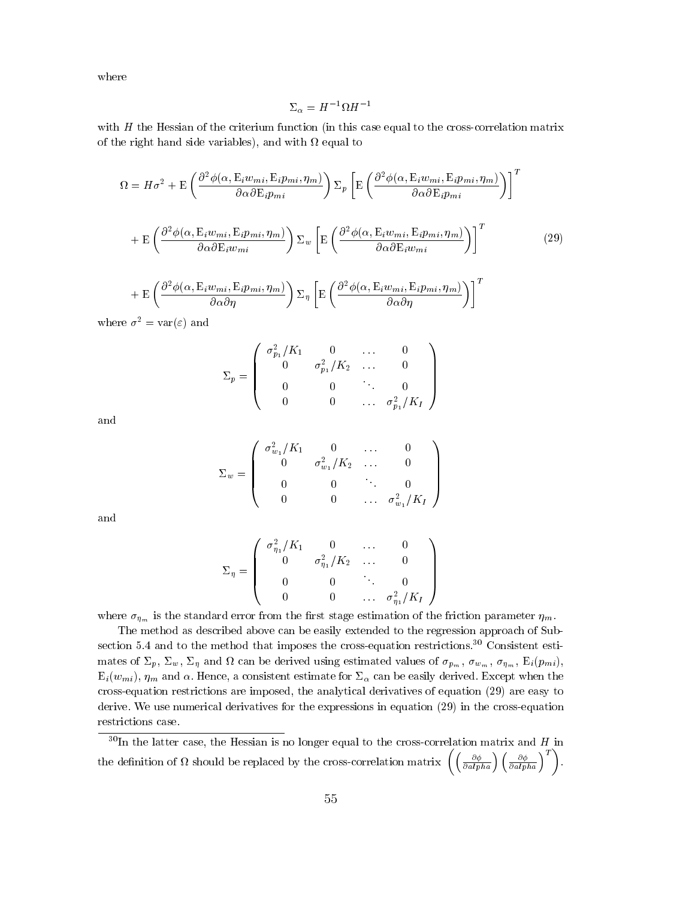where

$$
\Sigma_\alpha=H^{-1}\Omega H^{-1}
$$

with  $H$  the Hessian of the criterium function (in this case equal to the cross-correlation matrix of the right distribution of the right side variables of with  $\alpha$ 

$$
\Omega = H\sigma^2 + \mathcal{E}\left(\frac{\partial^2 \phi(\alpha, \mathcal{E}_i w_{mi}, \mathcal{E}_i p_{mi}, \eta_m)}{\partial \alpha \partial \mathcal{E}_i p_{mi}}\right) \Sigma_p \left[\mathcal{E}\left(\frac{\partial^2 \phi(\alpha, \mathcal{E}_i w_{mi}, \mathcal{E}_i p_{mi}, \eta_m)}{\partial \alpha \partial \mathcal{E}_i p_{mi}}\right)\right]^T
$$

$$
+ \mathcal{E}\left(\frac{\partial^2 \phi(\alpha, \mathcal{E}_i w_{mi}, \mathcal{E}_i p_{mi}, \eta_m)}{\partial \alpha \partial \mathcal{E}_i w_{mi}}\right) \Sigma_w \left[\mathcal{E}\left(\frac{\partial^2 \phi(\alpha, \mathcal{E}_i w_{mi}, \mathcal{E}_i p_{mi}, \eta_m)}{\partial \alpha \partial \mathcal{E}_i w_{mi}}\right)\right]^T
$$
(29)
$$
+ \mathcal{E}\left(\frac{\partial^2 \phi(\alpha, \mathcal{E}_i w_{mi}, \mathcal{E}_i p_{mi}, \eta_m)}{\partial \alpha \partial \eta}\right) \Sigma_\eta \left[\mathcal{E}\left(\frac{\partial^2 \phi(\alpha, \mathcal{E}_i w_{mi}, \mathcal{E}_i p_{mi}, \eta_m)}{\partial \alpha \partial \eta}\right)\right]^T
$$

where  $\sigma^2 = \text{var}(\varepsilon)$  and

$$
\Sigma_p = \left( \begin{array}{cccc} \sigma_{p_1}^2/K_1 & 0 & \dots & 0 \\ 0 & \sigma_{p_1}^2/K_2 & \dots & 0 \\ 0 & 0 & \ddots & 0 \\ 0 & 0 & \dots & \sigma_{p_1}^2/K_I \end{array} \right)
$$

and

$$
\Sigma_w = \left(\begin{array}{cccc} \sigma_{w_1}^2/K_1 & 0 & \dots & 0 \\ 0 & \sigma_{w_1}^2/K_2 & \dots & 0 \\ 0 & 0 & \ddots & 0 \\ 0 & 0 & \dots & \sigma_{w_1}^2/K_I \end{array}\right)
$$

and

$$
\Sigma_{\eta} = \left( \begin{array}{cccc} \sigma_{\eta_1}^2/K_1 & 0 & \dots & 0 \\ 0 & \sigma_{\eta_1}^2/K_2 & \dots & 0 \\ 0 & 0 & \ddots & 0 \\ 0 & 0 & \dots & \sigma_{\eta_1}^2/K_I \end{array} \right)
$$

where  $\sigma_{\eta_m}$  is the standard error from the first stage estimation of the friction parameter  $\eta_m$ .

The method as described above can be easily extended to the regression approach of Subsection 5.4 and to the method that imposes the cross-equation restrictions.<sup>30</sup> Consistent estimates of  $p$ ,  $w$ ,  $p$  and  $c$  is the derived using estimated values of  $p$ <sub>m</sub>), w<sub>m</sub> ,  $q$ <sub>m</sub> ,  $p$ <sub>i</sub>(pmi),  $E_i(w_{mi}), \eta_m$  and  $\alpha$ . Hence, a consistent estimate for  $\Sigma_{\alpha}$  can be easily derived. Except when the cross-equation restrictions are imposed, the analytical derivatives of equation (29) are easy to derive. We use numerical derivatives for the expressions in equation (29) in the cross-equation restrictions case.

 $30$ In the latter case, the Hessian is no longer equal to the cross-correlation matrix and H in the definition of  $\Omega$  should be replaced by the cross-correlation matrix  $\left(\left(\frac{\partial \phi}{\partial alpha}\right) \left(\frac{\partial \phi}{\partial alpha}\right)^T\right)$ .